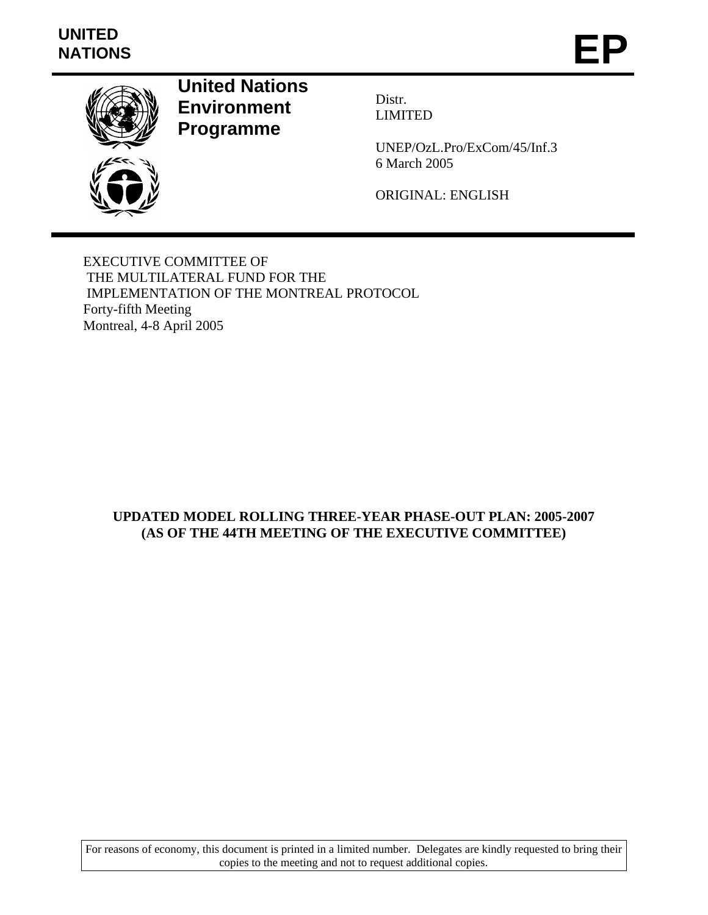# **UNITED**  UNITED<br>NATIONS **EP**



**United Nations Environment Programme** 

Distr. LIMITED

UNEP/OzL.Pro/ExCom/45/Inf.3 6 March 2005

ORIGINAL: ENGLISH

EXECUTIVE COMMITTEE OF THE MULTILATERAL FUND FOR THE IMPLEMENTATION OF THE MONTREAL PROTOCOL Forty-fifth Meeting Montreal, 4-8 April 2005

# **UPDATED MODEL ROLLING THREE-YEAR PHASE-OUT PLAN: 2005-2007 (AS OF THE 44TH MEETING OF THE EXECUTIVE COMMITTEE)**

For reasons of economy, this document is printed in a limited number. Delegates are kindly requested to bring their copies to the meeting and not to request additional copies.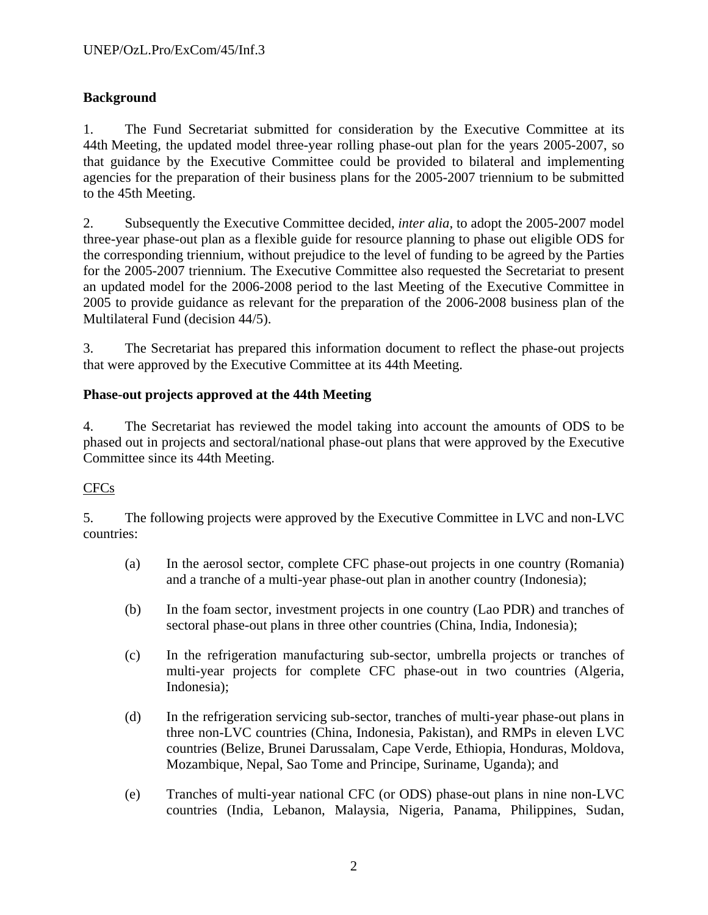# **Background**

1. The Fund Secretariat submitted for consideration by the Executive Committee at its 44th Meeting, the updated model three-year rolling phase-out plan for the years 2005-2007, so that guidance by the Executive Committee could be provided to bilateral and implementing agencies for the preparation of their business plans for the 2005-2007 triennium to be submitted to the 45th Meeting.

2. Subsequently the Executive Committee decided, *inter alia,* to adopt the 2005-2007 model three-year phase-out plan as a flexible guide for resource planning to phase out eligible ODS for the corresponding triennium, without prejudice to the level of funding to be agreed by the Parties for the 2005-2007 triennium. The Executive Committee also requested the Secretariat to present an updated model for the 2006-2008 period to the last Meeting of the Executive Committee in 2005 to provide guidance as relevant for the preparation of the 2006-2008 business plan of the Multilateral Fund (decision 44/5).

3. The Secretariat has prepared this information document to reflect the phase-out projects that were approved by the Executive Committee at its 44th Meeting.

## **Phase-out projects approved at the 44th Meeting**

4. The Secretariat has reviewed the model taking into account the amounts of ODS to be phased out in projects and sectoral/national phase-out plans that were approved by the Executive Committee since its 44th Meeting.

## CFCs

5. The following projects were approved by the Executive Committee in LVC and non-LVC countries:

- (a) In the aerosol sector, complete CFC phase-out projects in one country (Romania) and a tranche of a multi-year phase-out plan in another country (Indonesia);
- (b) In the foam sector, investment projects in one country (Lao PDR) and tranches of sectoral phase-out plans in three other countries (China, India, Indonesia);
- (c) In the refrigeration manufacturing sub-sector, umbrella projects or tranches of multi-year projects for complete CFC phase-out in two countries (Algeria, Indonesia);
- (d) In the refrigeration servicing sub-sector, tranches of multi-year phase-out plans in three non-LVC countries (China, Indonesia, Pakistan), and RMPs in eleven LVC countries (Belize, Brunei Darussalam, Cape Verde, Ethiopia, Honduras, Moldova, Mozambique, Nepal, Sao Tome and Principe, Suriname, Uganda); and
- (e) Tranches of multi-year national CFC (or ODS) phase-out plans in nine non-LVC countries (India, Lebanon, Malaysia, Nigeria, Panama, Philippines, Sudan,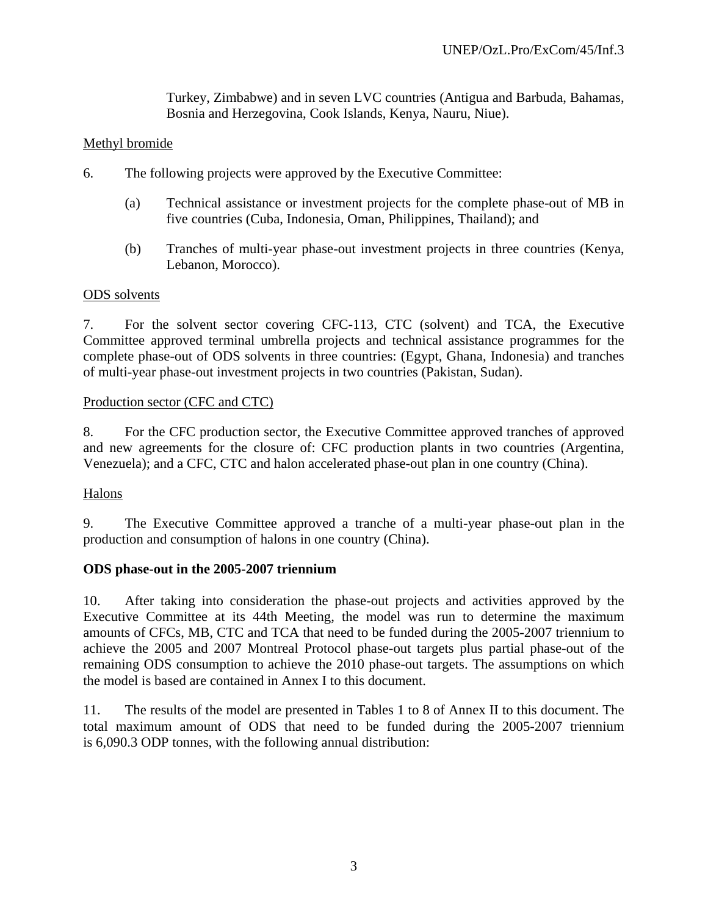Turkey, Zimbabwe) and in seven LVC countries (Antigua and Barbuda, Bahamas, Bosnia and Herzegovina, Cook Islands, Kenya, Nauru, Niue).

#### Methyl bromide

- 6. The following projects were approved by the Executive Committee:
	- (a) Technical assistance or investment projects for the complete phase-out of MB in five countries (Cuba, Indonesia, Oman, Philippines, Thailand); and
	- (b) Tranches of multi-year phase-out investment projects in three countries (Kenya, Lebanon, Morocco).

#### ODS solvents

7. For the solvent sector covering CFC-113, CTC (solvent) and TCA, the Executive Committee approved terminal umbrella projects and technical assistance programmes for the complete phase-out of ODS solvents in three countries: (Egypt, Ghana, Indonesia) and tranches of multi-year phase-out investment projects in two countries (Pakistan, Sudan).

#### Production sector (CFC and CTC)

8. For the CFC production sector, the Executive Committee approved tranches of approved and new agreements for the closure of: CFC production plants in two countries (Argentina, Venezuela); and a CFC, CTC and halon accelerated phase-out plan in one country (China).

## Halons

9. The Executive Committee approved a tranche of a multi-year phase-out plan in the production and consumption of halons in one country (China).

#### **ODS phase-out in the 2005-2007 triennium**

10. After taking into consideration the phase-out projects and activities approved by the Executive Committee at its 44th Meeting, the model was run to determine the maximum amounts of CFCs, MB, CTC and TCA that need to be funded during the 2005-2007 triennium to achieve the 2005 and 2007 Montreal Protocol phase-out targets plus partial phase-out of the remaining ODS consumption to achieve the 2010 phase-out targets. The assumptions on which the model is based are contained in Annex I to this document.

11. The results of the model are presented in Tables 1 to 8 of Annex II to this document. The total maximum amount of ODS that need to be funded during the 2005-2007 triennium is 6,090.3 ODP tonnes, with the following annual distribution: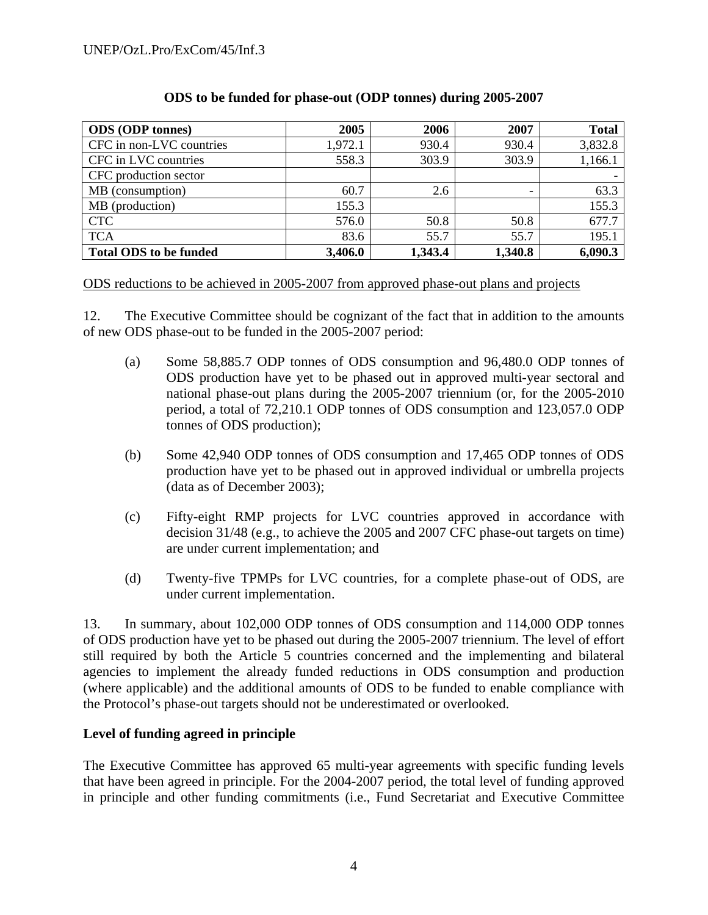| <b>ODS</b> (ODP tonnes)       | 2005    | 2006    | 2007    | <b>Total</b> |
|-------------------------------|---------|---------|---------|--------------|
| CFC in non-LVC countries      | 1,972.1 | 930.4   | 930.4   | 3,832.8      |
| CFC in LVC countries          | 558.3   | 303.9   | 303.9   | 1,166.1      |
| CFC production sector         |         |         |         |              |
| MB (consumption)              | 60.7    | 2.6     |         | 63.3         |
| MB (production)               | 155.3   |         |         | 155.3        |
| <b>CTC</b>                    | 576.0   | 50.8    | 50.8    | 677.7        |
| <b>TCA</b>                    | 83.6    | 55.7    | 55.7    | 195.1        |
| <b>Total ODS to be funded</b> | 3,406.0 | 1,343.4 | 1,340.8 | 6,090.3      |

# **ODS to be funded for phase-out (ODP tonnes) during 2005-2007**

ODS reductions to be achieved in 2005-2007 from approved phase-out plans and projects

12. The Executive Committee should be cognizant of the fact that in addition to the amounts of new ODS phase-out to be funded in the 2005-2007 period:

- (a) Some 58,885.7 ODP tonnes of ODS consumption and 96,480.0 ODP tonnes of ODS production have yet to be phased out in approved multi-year sectoral and national phase-out plans during the 2005-2007 triennium (or, for the 2005-2010 period, a total of 72,210.1 ODP tonnes of ODS consumption and 123,057.0 ODP tonnes of ODS production);
- (b) Some 42,940 ODP tonnes of ODS consumption and 17,465 ODP tonnes of ODS production have yet to be phased out in approved individual or umbrella projects (data as of December 2003);
- (c) Fifty-eight RMP projects for LVC countries approved in accordance with decision 31/48 (e.g., to achieve the 2005 and 2007 CFC phase-out targets on time) are under current implementation; and
- (d) Twenty-five TPMPs for LVC countries, for a complete phase-out of ODS, are under current implementation.

13. In summary, about 102,000 ODP tonnes of ODS consumption and 114,000 ODP tonnes of ODS production have yet to be phased out during the 2005-2007 triennium. The level of effort still required by both the Article 5 countries concerned and the implementing and bilateral agencies to implement the already funded reductions in ODS consumption and production (where applicable) and the additional amounts of ODS to be funded to enable compliance with the Protocol's phase-out targets should not be underestimated or overlooked.

## **Level of funding agreed in principle**

The Executive Committee has approved 65 multi-year agreements with specific funding levels that have been agreed in principle. For the 2004-2007 period, the total level of funding approved in principle and other funding commitments (i.e., Fund Secretariat and Executive Committee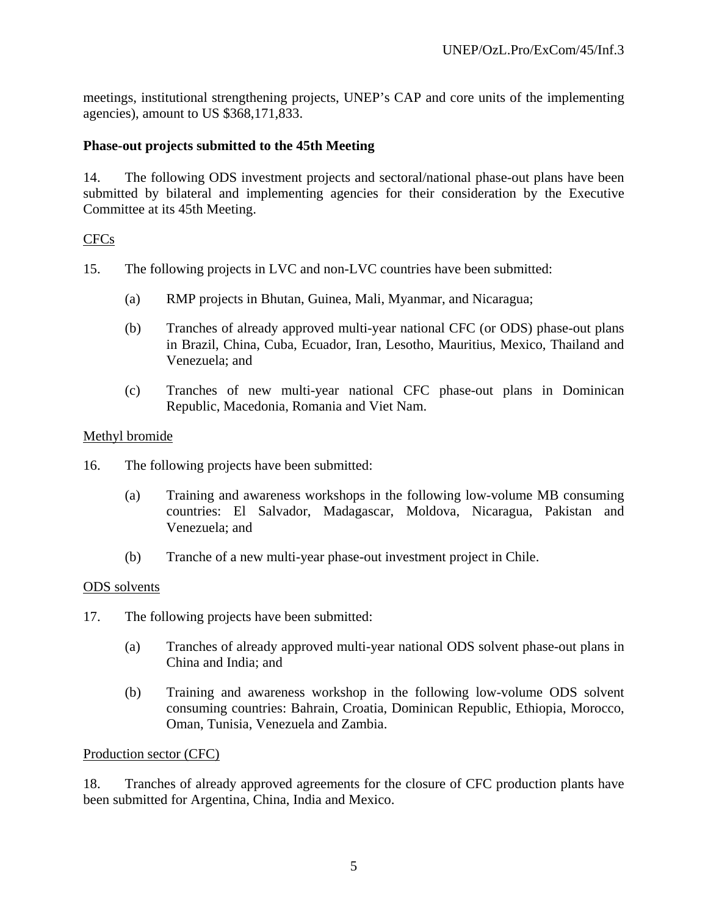meetings, institutional strengthening projects, UNEP's CAP and core units of the implementing agencies), amount to US \$368,171,833.

#### **Phase-out projects submitted to the 45th Meeting**

14. The following ODS investment projects and sectoral/national phase-out plans have been submitted by bilateral and implementing agencies for their consideration by the Executive Committee at its 45th Meeting.

#### CFCs

- 15. The following projects in LVC and non-LVC countries have been submitted:
	- (a) RMP projects in Bhutan, Guinea, Mali, Myanmar, and Nicaragua;
	- (b) Tranches of already approved multi-year national CFC (or ODS) phase-out plans in Brazil, China, Cuba, Ecuador, Iran, Lesotho, Mauritius, Mexico, Thailand and Venezuela; and
	- (c) Tranches of new multi-year national CFC phase-out plans in Dominican Republic, Macedonia, Romania and Viet Nam.

#### Methyl bromide

- 16. The following projects have been submitted:
	- (a) Training and awareness workshops in the following low-volume MB consuming countries: El Salvador, Madagascar, Moldova, Nicaragua, Pakistan and Venezuela; and
	- (b) Tranche of a new multi-year phase-out investment project in Chile.

#### ODS solvents

- 17. The following projects have been submitted:
	- (a) Tranches of already approved multi-year national ODS solvent phase-out plans in China and India; and
	- (b) Training and awareness workshop in the following low-volume ODS solvent consuming countries: Bahrain, Croatia, Dominican Republic, Ethiopia, Morocco, Oman, Tunisia, Venezuela and Zambia.

#### Production sector (CFC)

18. Tranches of already approved agreements for the closure of CFC production plants have been submitted for Argentina, China, India and Mexico.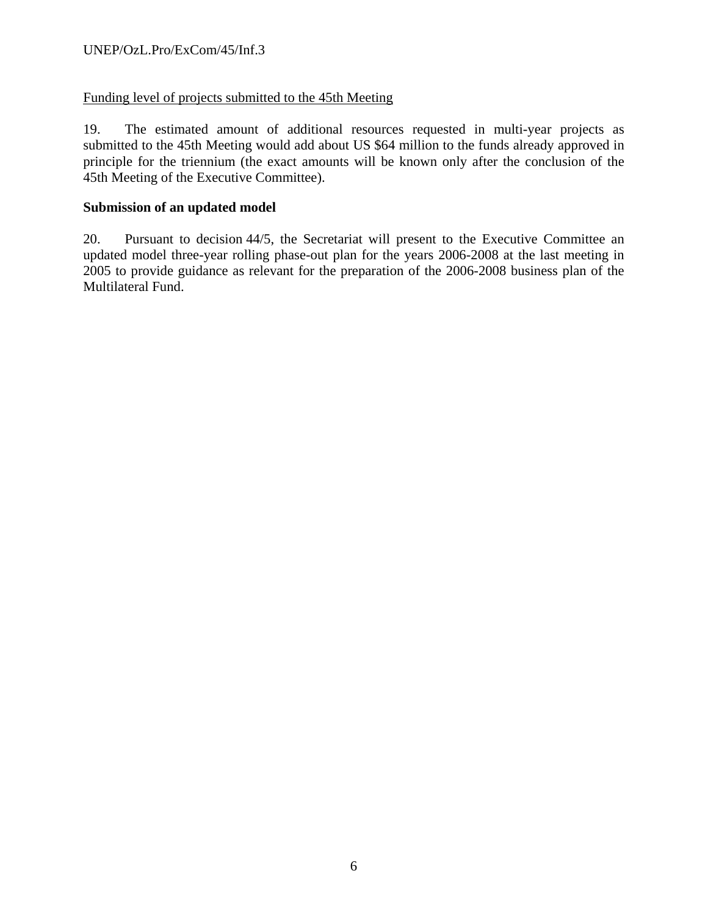## Funding level of projects submitted to the 45th Meeting

19. The estimated amount of additional resources requested in multi-year projects as submitted to the 45th Meeting would add about US \$64 million to the funds already approved in principle for the triennium (the exact amounts will be known only after the conclusion of the 45th Meeting of the Executive Committee).

#### **Submission of an updated model**

20. Pursuant to decision 44/5, the Secretariat will present to the Executive Committee an updated model three-year rolling phase-out plan for the years 2006-2008 at the last meeting in 2005 to provide guidance as relevant for the preparation of the 2006-2008 business plan of the Multilateral Fund.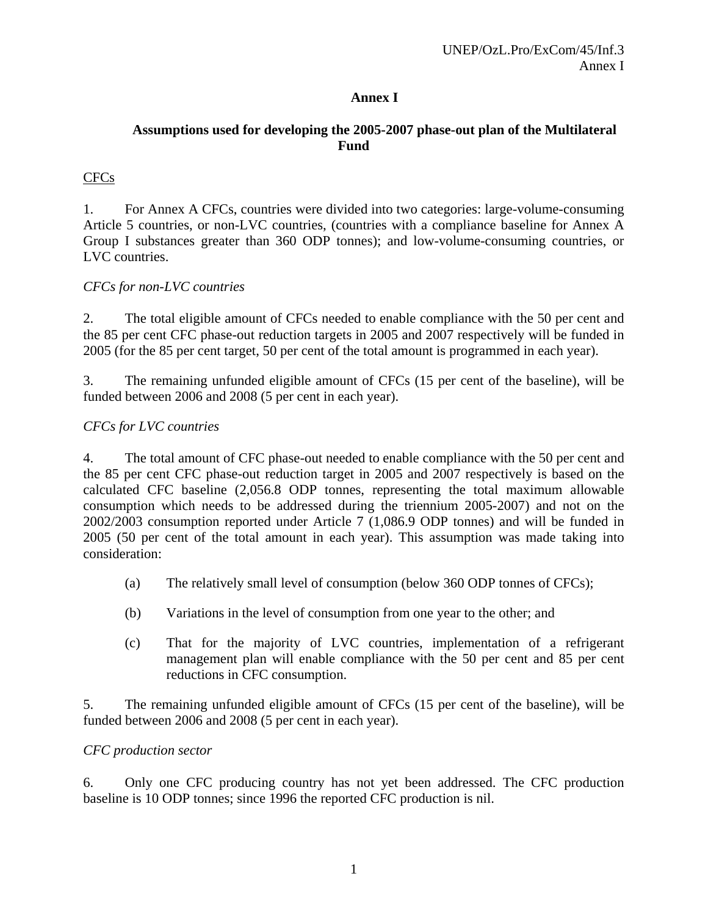## **Annex I**

# **Assumptions used for developing the 2005-2007 phase-out plan of the Multilateral Fund**

# CFCs

1. For Annex A CFCs, countries were divided into two categories: large-volume-consuming Article 5 countries, or non-LVC countries, (countries with a compliance baseline for Annex A Group I substances greater than 360 ODP tonnes); and low-volume-consuming countries, or LVC countries.

#### *CFCs for non-LVC countries*

2. The total eligible amount of CFCs needed to enable compliance with the 50 per cent and the 85 per cent CFC phase-out reduction targets in 2005 and 2007 respectively will be funded in 2005 (for the 85 per cent target, 50 per cent of the total amount is programmed in each year).

3. The remaining unfunded eligible amount of CFCs (15 per cent of the baseline), will be funded between 2006 and 2008 (5 per cent in each year).

#### *CFCs for LVC countries*

4. The total amount of CFC phase-out needed to enable compliance with the 50 per cent and the 85 per cent CFC phase-out reduction target in 2005 and 2007 respectively is based on the calculated CFC baseline (2,056.8 ODP tonnes, representing the total maximum allowable consumption which needs to be addressed during the triennium 2005-2007) and not on the 2002/2003 consumption reported under Article 7 (1,086.9 ODP tonnes) and will be funded in 2005 (50 per cent of the total amount in each year). This assumption was made taking into consideration:

- (a) The relatively small level of consumption (below 360 ODP tonnes of CFCs);
- (b) Variations in the level of consumption from one year to the other; and
- (c) That for the majority of LVC countries, implementation of a refrigerant management plan will enable compliance with the 50 per cent and 85 per cent reductions in CFC consumption.

5. The remaining unfunded eligible amount of CFCs (15 per cent of the baseline), will be funded between 2006 and 2008 (5 per cent in each year).

#### *CFC production sector*

6. Only one CFC producing country has not yet been addressed. The CFC production baseline is 10 ODP tonnes; since 1996 the reported CFC production is nil.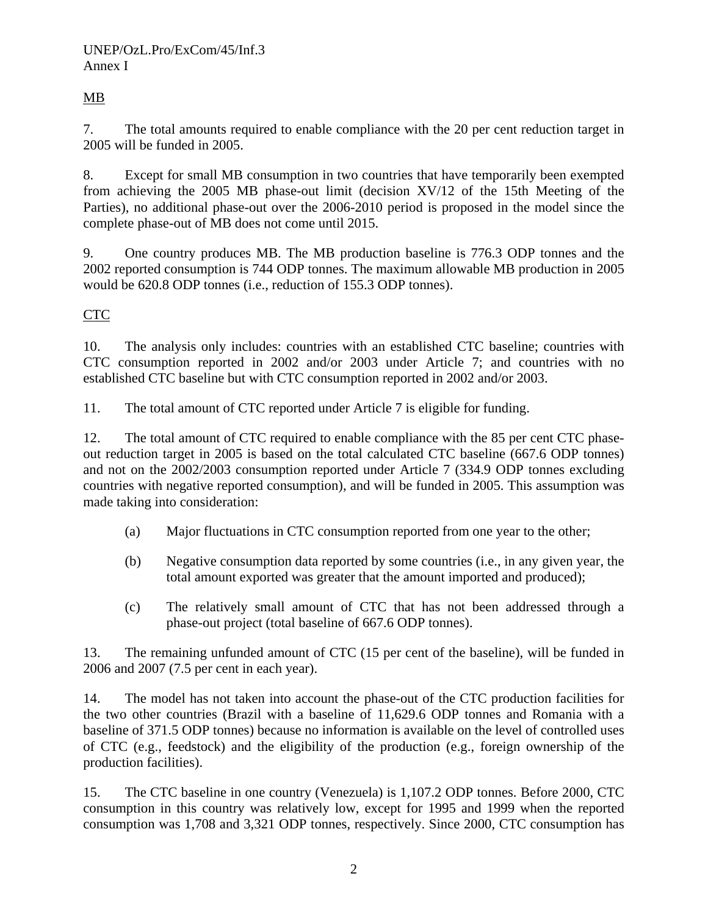# MB

7. The total amounts required to enable compliance with the 20 per cent reduction target in 2005 will be funded in 2005.

8. Except for small MB consumption in two countries that have temporarily been exempted from achieving the 2005 MB phase-out limit (decision XV/12 of the 15th Meeting of the Parties), no additional phase-out over the 2006-2010 period is proposed in the model since the complete phase-out of MB does not come until 2015.

9. One country produces MB. The MB production baseline is 776.3 ODP tonnes and the 2002 reported consumption is 744 ODP tonnes. The maximum allowable MB production in 2005 would be 620.8 ODP tonnes (i.e., reduction of 155.3 ODP tonnes).

# CTC

10. The analysis only includes: countries with an established CTC baseline; countries with CTC consumption reported in 2002 and/or 2003 under Article 7; and countries with no established CTC baseline but with CTC consumption reported in 2002 and/or 2003.

11. The total amount of CTC reported under Article 7 is eligible for funding.

12. The total amount of CTC required to enable compliance with the 85 per cent CTC phaseout reduction target in 2005 is based on the total calculated CTC baseline (667.6 ODP tonnes) and not on the 2002/2003 consumption reported under Article 7 (334.9 ODP tonnes excluding countries with negative reported consumption), and will be funded in 2005. This assumption was made taking into consideration:

- (a) Major fluctuations in CTC consumption reported from one year to the other;
- (b) Negative consumption data reported by some countries (i.e., in any given year, the total amount exported was greater that the amount imported and produced);
- (c) The relatively small amount of CTC that has not been addressed through a phase-out project (total baseline of 667.6 ODP tonnes).

13. The remaining unfunded amount of CTC (15 per cent of the baseline), will be funded in 2006 and 2007 (7.5 per cent in each year).

14. The model has not taken into account the phase-out of the CTC production facilities for the two other countries (Brazil with a baseline of 11,629.6 ODP tonnes and Romania with a baseline of 371.5 ODP tonnes) because no information is available on the level of controlled uses of CTC (e.g., feedstock) and the eligibility of the production (e.g., foreign ownership of the production facilities).

15. The CTC baseline in one country (Venezuela) is 1,107.2 ODP tonnes. Before 2000, CTC consumption in this country was relatively low, except for 1995 and 1999 when the reported consumption was 1,708 and 3,321 ODP tonnes, respectively. Since 2000, CTC consumption has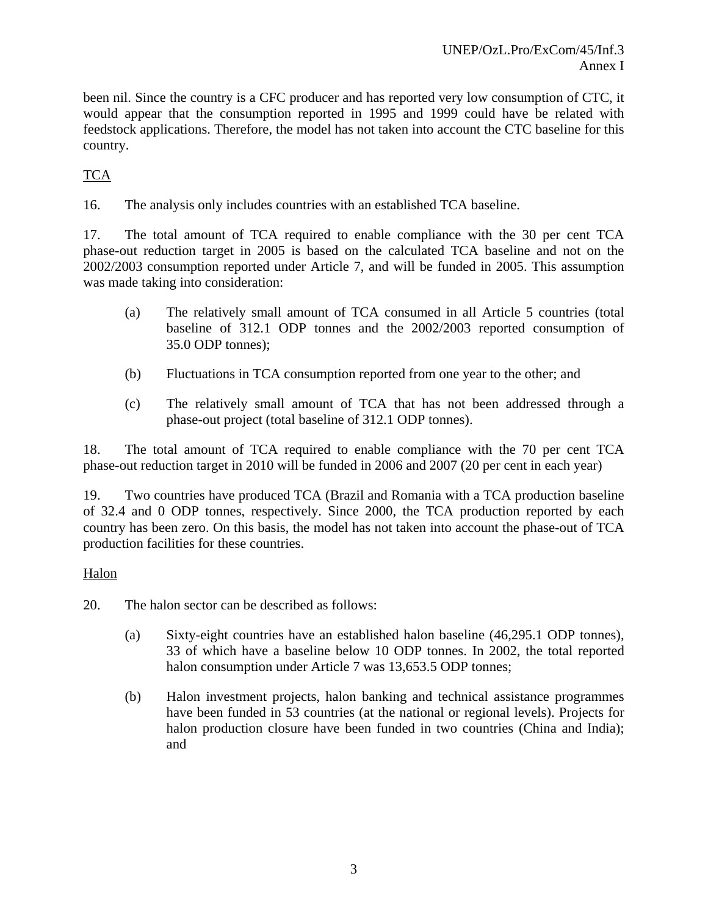been nil. Since the country is a CFC producer and has reported very low consumption of CTC, it would appear that the consumption reported in 1995 and 1999 could have be related with feedstock applications. Therefore, the model has not taken into account the CTC baseline for this country.

# **TCA**

16. The analysis only includes countries with an established TCA baseline.

17. The total amount of TCA required to enable compliance with the 30 per cent TCA phase-out reduction target in 2005 is based on the calculated TCA baseline and not on the 2002/2003 consumption reported under Article 7, and will be funded in 2005. This assumption was made taking into consideration:

- (a) The relatively small amount of TCA consumed in all Article 5 countries (total baseline of 312.1 ODP tonnes and the 2002/2003 reported consumption of 35.0 ODP tonnes);
- (b) Fluctuations in TCA consumption reported from one year to the other; and
- (c) The relatively small amount of TCA that has not been addressed through a phase-out project (total baseline of 312.1 ODP tonnes).

18. The total amount of TCA required to enable compliance with the 70 per cent TCA phase-out reduction target in 2010 will be funded in 2006 and 2007 (20 per cent in each year)

19. Two countries have produced TCA (Brazil and Romania with a TCA production baseline of 32.4 and 0 ODP tonnes, respectively. Since 2000, the TCA production reported by each country has been zero. On this basis, the model has not taken into account the phase-out of TCA production facilities for these countries.

## Halon

20. The halon sector can be described as follows:

- (a) Sixty-eight countries have an established halon baseline (46,295.1 ODP tonnes), 33 of which have a baseline below 10 ODP tonnes. In 2002, the total reported halon consumption under Article 7 was 13,653.5 ODP tonnes;
- (b) Halon investment projects, halon banking and technical assistance programmes have been funded in 53 countries (at the national or regional levels). Projects for halon production closure have been funded in two countries (China and India); and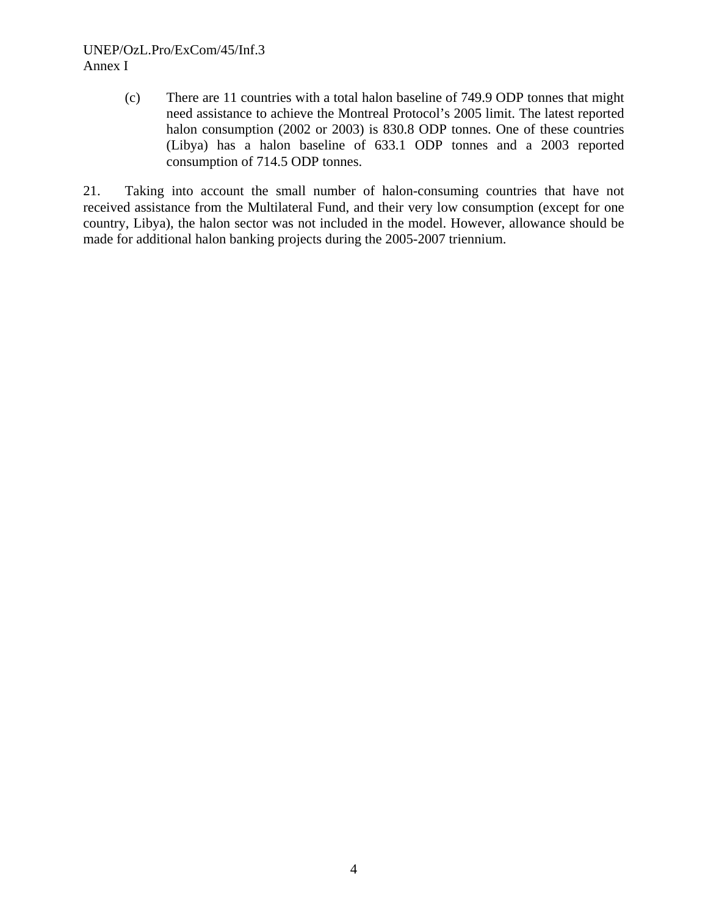### UNEP/OzL.Pro/ExCom/45/Inf.3 Annex I

(c) There are 11 countries with a total halon baseline of 749.9 ODP tonnes that might need assistance to achieve the Montreal Protocol's 2005 limit. The latest reported halon consumption (2002 or 2003) is 830.8 ODP tonnes. One of these countries (Libya) has a halon baseline of 633.1 ODP tonnes and a 2003 reported consumption of 714.5 ODP tonnes.

21. Taking into account the small number of halon-consuming countries that have not received assistance from the Multilateral Fund, and their very low consumption (except for one country, Libya), the halon sector was not included in the model. However, allowance should be made for additional halon banking projects during the 2005-2007 triennium.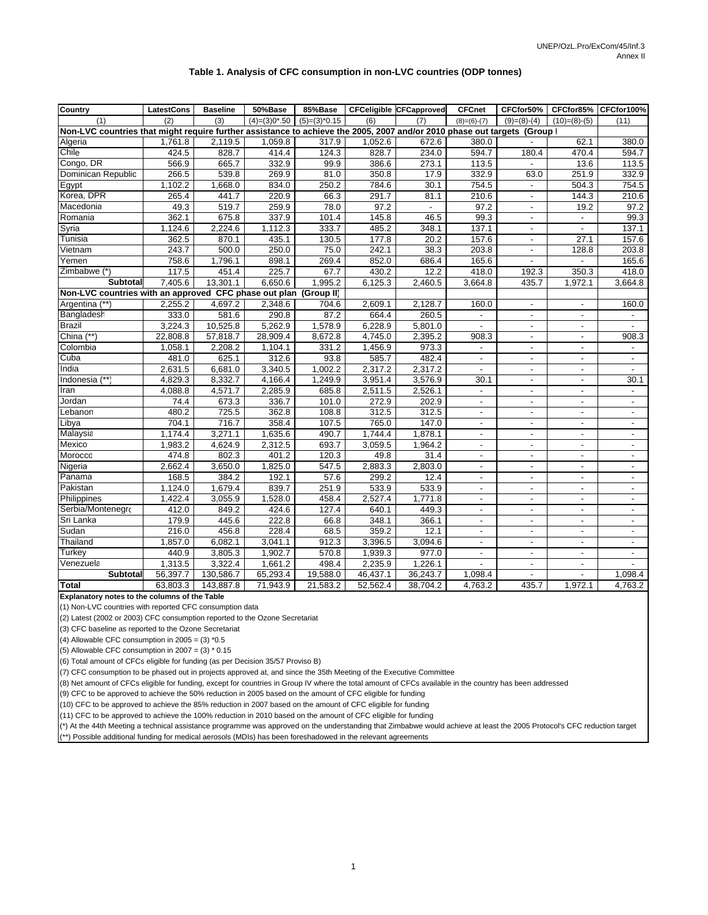#### **Table 1. Analysis of CFC consumption in non-LVC countries (ODP tonnes)**

|                                                                                                                        | <b>LatestCons</b> | <b>Baseline</b> | 50%Base         | 85%Base         |          | <b>CFCeligible CFCapproved</b> | <b>CFCnet</b>                | CFCfor50%                | CFCfor85%                | CFCfor100%               |
|------------------------------------------------------------------------------------------------------------------------|-------------------|-----------------|-----------------|-----------------|----------|--------------------------------|------------------------------|--------------------------|--------------------------|--------------------------|
| <b>Country</b><br>(1)                                                                                                  | (2)               | (3)             | $(4)=(3)0*0.50$ | $(5)=(3)^*0.15$ | (6)      | (7)                            |                              | $(9)=(8)-(4)$            | $(10)=(8)-(5)$           | (11)                     |
| Non-LVC countries that might require further assistance to achieve the 2005, 2007 and/or 2010 phase out targets (Group |                   |                 |                 |                 |          |                                | $(8)=(6)-(7)$                |                          |                          |                          |
| Algeria                                                                                                                | 1,761.8           | 2,119.5         | 1,059.8         | 317.9           | 1,052.6  | 672.6                          | 380.0                        |                          | 62.1                     | 380.0                    |
| Chile                                                                                                                  | 424.5             | 828.7           | 414.4           | 124.3           | 828.7    | 234.0                          | 594.7                        | 180.4                    | 470.4                    | 594.7                    |
| Congo, DR                                                                                                              | 566.9             | 665.7           | 332.9           | 99.9            | 386.6    | 273.1                          | 113.5                        |                          | 13.6                     | 113.5                    |
| Dominican Republic                                                                                                     | 266.5             | 539.8           | 269.9           | 81.0            | 350.8    | 17.9                           | 332.9                        | 63.0                     | 251.9                    | 332.9                    |
| Egypt                                                                                                                  | 1,102.2           | 1,668.0         | 834.0           | 250.2           | 784.6    | 30.1                           | 754.5                        | $\overline{\phantom{a}}$ | 504.3                    | 754.5                    |
| Korea, DPR                                                                                                             | 265.4             | 441.7           | 220.9           | 66.3            | 291.7    | 81.1                           | 210.6                        | $\blacksquare$           | 144.3                    | 210.6                    |
| Macedonia                                                                                                              | 49.3              | 519.7           | 259.9           | 78.0            | 97.2     | $\blacksquare$                 | 97.2                         | $\blacksquare$           | 19.2                     | 97.2                     |
| Romania                                                                                                                | 362.1             | 675.8           | 337.9           | 101.4           | 145.8    | 46.5                           | 99.3                         | $\overline{\phantom{a}}$ | $\overline{\phantom{a}}$ | 99.3                     |
| Syria                                                                                                                  | 1,124.6           | 2,224.6         | 1,112.3         | 333.7           | 485.2    | 348.1                          | 137.1                        | $\overline{a}$           |                          | 137.1                    |
| Tunisia                                                                                                                | 362.5             | 870.1           | 435.1           | 130.5           | 177.8    | 20.2                           | 157.6                        | $\blacksquare$           | 27.1                     | 157.6                    |
| Vietnam                                                                                                                | 243.7             | 500.0           | 250.0           | 75.0            | 242.1    | 38.3                           | 203.8                        | $\overline{\phantom{a}}$ | 128.8                    | 203.8                    |
| remen                                                                                                                  | 758.6             | 1,796.1         | 898.1           | 269.4           | 852.0    | 686.4                          | 165.6                        |                          |                          | 165.6                    |
| Zimbabwe (*)                                                                                                           | 117.5             | 451.4           | 225.7           | 67.7            | 430.2    | 12.2                           | 418.0                        | 192.3                    | 350.3                    | 418.0                    |
| <b>Subtotal</b>                                                                                                        | 7,405.6           | 13,301.1        | 6,650.6         | 1,995.2         | 6,125.3  | 2,460.5                        | 3,664.8                      | 435.7                    | 1,972.1                  | 3,664.8                  |
| Non-LVC countries with an approved CFC phase out plan (Group II)                                                       |                   |                 |                 |                 |          |                                |                              |                          |                          |                          |
| Argentina (**)                                                                                                         | 2,255.2           | 4,697.2         | 2,348.6         | 704.6           | 2,609.1  | 2,128.7                        | 160.0                        | $\overline{\phantom{a}}$ |                          | 160.0                    |
| Bangladesh                                                                                                             | 333.0             | 581.6           | 290.8           | 87.2            | 664.4    | 260.5                          | $\blacksquare$               | $\overline{\phantom{a}}$ | $\overline{\phantom{a}}$ |                          |
| <b>Brazil</b>                                                                                                          | 3.224.3           | 10,525.8        | 5,262.9         | 1,578.9         | 6,228.9  | 5,801.0                        | $\overline{a}$               | $\blacksquare$           | $\overline{a}$           |                          |
| China $(**)$                                                                                                           | 22,808.8          | 57,818.7        | 28,909.4        | 8,672.8         | 4,745.0  | 2,395.2                        | 908.3                        | $\overline{\phantom{a}}$ | $\overline{a}$           | 908.3                    |
| Colombia                                                                                                               | 1,058.1           | 2,208.2         | 1,104.1         | 331.2           | 1,456.9  | 973.3                          | $\blacksquare$               | $\overline{\phantom{a}}$ | $\overline{\phantom{a}}$ |                          |
| Cuba                                                                                                                   | 481.0             | 625.1           | 312.6           | 93.8            | 585.7    | 482.4                          | $\overline{\phantom{a}}$     | $\blacksquare$           | $\overline{\phantom{a}}$ | $\blacksquare$           |
| India                                                                                                                  | 2,631.5           | 6,681.0         | 3,340.5         | 1,002.2         | 2,317.2  | 2,317.2                        | $\blacksquare$               | $\blacksquare$           | $\blacksquare$           | $\blacksquare$           |
| (**<br>Indonesia                                                                                                       | 4,829.3           | 8,332.7         | 4,166.4         | 1,249.9         | 3,951.4  | 3,576.9                        | 30.1                         |                          | $\overline{a}$           | 30.1                     |
| Iran                                                                                                                   | 4,088.8           | 4,571.7         | 2,285.9         | 685.8           | 2,511.5  | 2,526.1                        | $\overline{\phantom{a}}$     | $\overline{\phantom{a}}$ | $\overline{\phantom{a}}$ | $\overline{\phantom{a}}$ |
| Jordan                                                                                                                 | 74.4              | 673.3           | 336.7           | 101.0           | 272.9    | 202.9                          | $\blacksquare$               | $\overline{\phantom{a}}$ | $\blacksquare$           | $\overline{a}$           |
| Lebanon                                                                                                                | 480.2             | 725.5           | 362.8           | 108.8           | 312.5    | 312.5                          | $\overline{a}$               | $\overline{a}$           | $\overline{a}$           | $\overline{a}$           |
| Libya                                                                                                                  | 704.1             | 716.7           | 358.4           | 107.5           | 765.0    | 147.0                          | $\qquad \qquad \blacksquare$ | $\overline{\phantom{a}}$ | $\overline{\phantom{a}}$ | $\overline{\phantom{a}}$ |
| Malaysia                                                                                                               | 1,174.4           | 3,271.1         | 1,635.6         | 490.7           | 1,744.4  | 1,878.1                        | $\blacksquare$               | $\blacksquare$           | $\overline{\phantom{a}}$ | $\overline{\phantom{a}}$ |
| Mexico                                                                                                                 | 1,983.2           | 4,624.9         | 2,312.5         | 693.7           | 3,059.5  | 1,964.2                        | $\overline{a}$               | $\overline{\phantom{a}}$ | $\overline{a}$           | $\blacksquare$           |
| Morocco                                                                                                                | 474.8             | 802.3           | 401.2           | 120.3           | 49.8     | 31.4                           | $\blacksquare$               | $\overline{\phantom{a}}$ | $\overline{\phantom{a}}$ | $\blacksquare$           |
| Nigeria                                                                                                                | 2,662.4           | 3,650.0         | 1,825.0         | 547.5           | 2,883.3  | 2,803.0                        |                              | $\overline{\phantom{a}}$ | $\blacksquare$           | $\blacksquare$           |
| Panama                                                                                                                 | 168.5             | 384.2           | 192.1           | 57.6            | 299.2    | 12.4                           | $\overline{a}$               | $\blacksquare$           | $\overline{\phantom{a}}$ | $\overline{\phantom{a}}$ |
| Pakistan                                                                                                               | 1,124.0           | 1,679.4         | 839.7           | 251.9           | 533.9    | 533.9                          | $\blacksquare$               | $\overline{\phantom{a}}$ | $\blacksquare$           | $\overline{\phantom{a}}$ |
| Philippines                                                                                                            | 1,422.4           | 3,055.9         | 1,528.0         | 458.4           | 2,527.4  | 1.771.8                        | $\overline{a}$               | $\blacksquare$           | $\overline{a}$           | $\blacksquare$           |
| Serbia/Montenegro                                                                                                      | 412.0             | 849.2           | 424.6           | 127.4           | 640.1    | 449.3                          | $\blacksquare$               | $\overline{\phantom{a}}$ | $\overline{\phantom{a}}$ | $\overline{\phantom{a}}$ |
| Sri Lanka                                                                                                              | 179.9             | 445.6           | 222.8           | 66.8            | 348.1    | 366.1                          | $\overline{\phantom{a}}$     | $\overline{\phantom{a}}$ | $\overline{\phantom{a}}$ | $\overline{\phantom{0}}$ |
| Sudan                                                                                                                  | 216.0             | 456.8           | 228.4           | 68.5            | 359.2    | 12.1                           | $\overline{a}$               | $\overline{\phantom{a}}$ | $\overline{a}$           | $\blacksquare$           |
| Thailand                                                                                                               | 1,857.0           | 6,082.1         | 3,041.1         | 912.3           | 3,396.5  | 3,094.6                        | $\qquad \qquad \blacksquare$ | $\overline{\phantom{a}}$ | $\blacksquare$           | $\overline{\phantom{a}}$ |
| Turkey                                                                                                                 | 440.9             | 3,805.3         | 1,902.7         | 570.8           | 1,939.3  | 977.0                          | $\overline{a}$               | $\overline{\phantom{a}}$ | $\blacksquare$           | $\blacksquare$           |
| Venezuela                                                                                                              | 1.313.5           | 3.322.4         | 1.661.2         | 498.4           | 2.235.9  | 1.226.1                        | $\overline{a}$               | $\overline{\phantom{a}}$ | $\overline{\phantom{a}}$ | $\blacksquare$           |
| <b>Subtotal</b>                                                                                                        | 56,397.7          | 130,586.7       | 65,293.4        | 19,588.0        | 46,437.1 | 36,243.7                       | 1,098.4                      | $\overline{a}$           |                          | 1,098.4                  |
| <b>Total</b>                                                                                                           | 63,803.3          | 143,887.8       | 71,943.9        | 21,583.2        | 52,562.4 | 38,704.2                       | 4,763.2                      | 435.7                    | 1,972.1                  | 4,763.2                  |

**Explanatory notes to the columns of the Table**

(1) Non-LVC countries with reported CFC consumption data

(2) Latest (2002 or 2003) CFC consumption reported to the Ozone Secretariat

(3) CFC baseline as reported to the Ozone Secretariat

(4) Allowable CFC consumption in  $2005 = (3) *0.5$ 

(5) Allowable CFC consumption in  $2007 = (3) * 0.15$ 

(6) Total amount of CFCs eligible for funding (as per Decision 35/57 Proviso B)

(7) CFC consumption to be phased out in projects approved at, and since the 35th Meeting of the Executive Committee

(8) Net amount of CFCs eligible for funding, except for countries in Group IV where the total amount of CFCs available in the country has been addressed

(9) CFC to be approved to achieve the 50% reduction in 2005 based on the amount of CFC eligible for funding

(10) CFC to be approved to achieve the 85% reduction in 2007 based on the amount of CFC eligible for funding

(11) CFC to be approved to achieve the 100% reduction in 2010 based on the amount of CFC eligible for funding

(\*) At the 44th Meeting a technical assistance programme was approved on the understanding that Zimbabwe would achieve at least the 2005 Protocol's CFC reduction target (\*\*) Possible additional funding for medical aerosols (MDIs) has been foreshadowed in the relevant agreements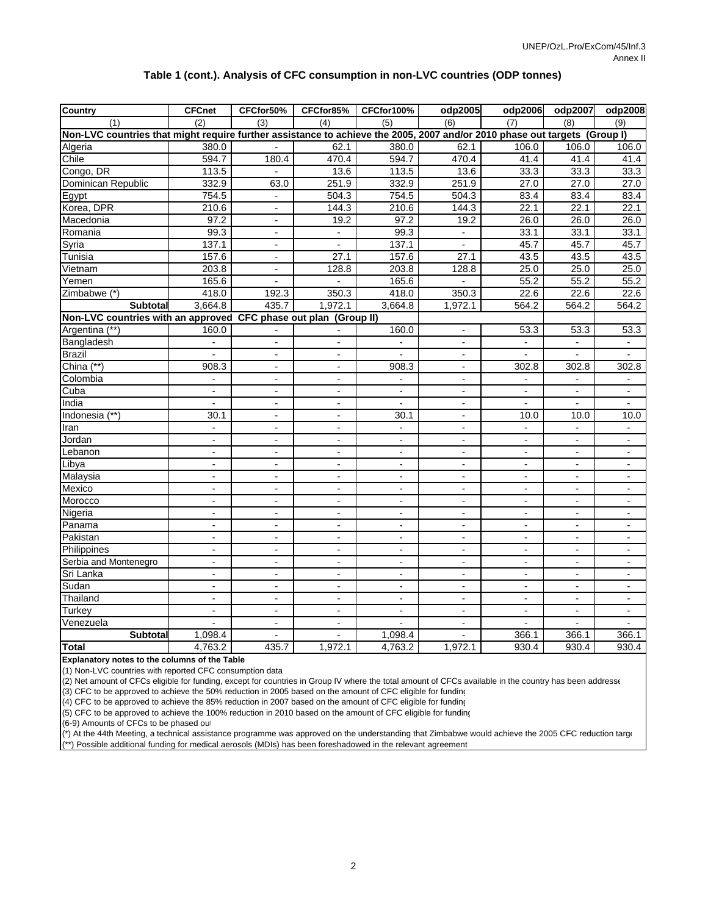#### **Table 1 (cont.). Analysis of CFC consumption in non-LVC countries (ODP tonnes)**

| <b>Country</b>                                                                                                            | <b>CFCnet</b>            | CFCfor50%                    | CFCfor85%                | CFCfor100%               | odp2005                  | odp2006                  | odp2007                  | odp2008                  |
|---------------------------------------------------------------------------------------------------------------------------|--------------------------|------------------------------|--------------------------|--------------------------|--------------------------|--------------------------|--------------------------|--------------------------|
| (1)                                                                                                                       | (2)                      | (3)                          | (4)                      | (5)                      | (6)                      | (7)                      | (8)                      | (9)                      |
| Non-LVC countries that might require further assistance to achieve the 2005, 2007 and/or 2010 phase out targets (Group I) |                          |                              |                          |                          |                          |                          |                          |                          |
| Algeria                                                                                                                   | 380.0                    | $\overline{a}$               | 62.1                     | 380.0                    | 62.1                     | 106.0                    | 106.0                    | 106.0                    |
| Chile                                                                                                                     | $\overline{594.7}$       | 180.4                        | 470.4                    | 594.7                    | 470.4                    | 41.4                     | 41.4                     | 41.4                     |
| Congo, DR                                                                                                                 | 113.5                    |                              | 13.6                     | 113.5                    | 13.6                     | 33.3                     | 33.3                     | 33.3                     |
| Dominican Republic                                                                                                        | 332.9                    | 63.0                         | 251.9                    | 332.9                    | 251.9                    | 27.0                     | 27.0                     | 27.0                     |
| Egypt                                                                                                                     | 754.5                    | $\overline{\phantom{a}}$     | 504.3                    | 754.5                    | 504.3                    | 83.4                     | 83.4                     | 83.4                     |
| Korea, DPR                                                                                                                | 210.6                    | $\frac{1}{2}$                | 144.3                    | 210.6                    | 144.3                    | 22.1                     | 22.1                     | 22.1                     |
| Macedonia                                                                                                                 | 97.2                     | $\overline{\phantom{a}}$     | 19.2                     | 97.2                     | 19.2                     | 26.0                     | 26.0                     | 26.0                     |
| Romania                                                                                                                   | 99.3                     | $\blacksquare$               | $\blacksquare$           | 99.3                     | $\blacksquare$           | 33.1                     | 33.1                     | 33.1                     |
| Syria                                                                                                                     | 137.1                    | $\overline{a}$               | $\blacksquare$           | 137.1                    | $\mathbf{r}$             | 45.7                     | 45.7                     | 45.7                     |
| Tunisia                                                                                                                   | 157.6                    | $\overline{\phantom{a}}$     | 27.1                     | 157.6                    | 27.1                     | 43.5                     | 43.5                     | 43.5                     |
| Vietnam                                                                                                                   | 203.8                    | $\qquad \qquad \blacksquare$ | 128.8                    | 203.8                    | 128.8                    | 25.0                     | 25.0                     | 25.0                     |
| Yemen                                                                                                                     | 165.6                    | $\overline{a}$               | $\mathbb{L}$             | 165.6                    | $\mathbb{Z}^2$           | 55.2                     | 55.2                     | 55.2                     |
| Zimbabwe (*)                                                                                                              | 418.0                    | 192.3                        | 350.3                    | 418.0                    | 350.3                    | 22.6                     | 22.6                     | 22.6                     |
| Subtotal                                                                                                                  | 3,664.8                  | 435.7                        | 1,972.1                  | 3,664.8                  | 1,972.1                  | 564.2                    | 564.2                    | 564.2                    |
| Non-LVC countries with an approved CFC phase out plan (Group II)                                                          |                          |                              |                          |                          |                          |                          |                          |                          |
| Argentina (**)                                                                                                            | 160.0                    |                              |                          | 160.0                    | $\blacksquare$           | 53.3                     | 53.3                     | 53.3                     |
| Bangladesh                                                                                                                |                          |                              |                          | $\blacksquare$           |                          | $\blacksquare$           |                          |                          |
| <b>Brazil</b>                                                                                                             | $\blacksquare$           | $\blacksquare$               | $\blacksquare$           | $\overline{\phantom{a}}$ | $\blacksquare$           | $\overline{\phantom{a}}$ | $\overline{\phantom{a}}$ | $\overline{\phantom{a}}$ |
| China (**)                                                                                                                | 908.3                    | $\overline{\phantom{a}}$     | $\overline{\phantom{0}}$ | 908.3                    | $\blacksquare$           | 302.8                    | 302.8                    | 302.8                    |
| Colombia                                                                                                                  |                          | $\blacksquare$               | $\blacksquare$           |                          | $\overline{\phantom{a}}$ |                          |                          |                          |
| Cuba                                                                                                                      | $\overline{\phantom{a}}$ | $\overline{\phantom{a}}$     | $\overline{\phantom{a}}$ | $\overline{\phantom{a}}$ | $\overline{\phantom{a}}$ | $\overline{\phantom{a}}$ | $\blacksquare$           | $\blacksquare$           |
| India                                                                                                                     | $\blacksquare$           | $\overline{a}$               | $\blacksquare$           | $\overline{\phantom{a}}$ | $\blacksquare$           | $\blacksquare$           | $\overline{a}$           | $\blacksquare$           |
| Indonesia (**)                                                                                                            | 30.1                     | $\overline{a}$               | $\blacksquare$           | 30.1                     | $\blacksquare$           | 10.0                     | 10.0                     | 10.0                     |
| Iran                                                                                                                      | $\blacksquare$           | $\overline{\phantom{a}}$     | $\overline{\phantom{0}}$ | $\blacksquare$           | $\blacksquare$           | $\overline{\phantom{a}}$ | $\overline{\phantom{a}}$ | $\overline{\phantom{a}}$ |
| Jordan                                                                                                                    | $\blacksquare$           | $\blacksquare$               | $\blacksquare$           | $\overline{\phantom{a}}$ | $\overline{\phantom{a}}$ | $\blacksquare$           | $\overline{\phantom{a}}$ | $\overline{\phantom{a}}$ |
| Lebanon                                                                                                                   | $\overline{a}$           | $\overline{a}$               | $\blacksquare$           | $\overline{a}$           | $\mathbf{r}$             | $\overline{a}$           | $\overline{a}$           | $\sim$                   |
| Libya                                                                                                                     | $\blacksquare$           | $\frac{1}{2}$                | $\overline{\phantom{a}}$ | $\overline{\phantom{a}}$ | $\overline{\phantom{a}}$ | $\overline{\phantom{a}}$ | $\overline{\phantom{a}}$ | $\blacksquare$           |
| Malaysia                                                                                                                  | $\overline{\phantom{a}}$ | $\blacksquare$               | $\overline{a}$           | $\blacksquare$           | $\blacksquare$           | $\overline{\phantom{a}}$ | $\blacksquare$           | $\blacksquare$           |
| Mexico                                                                                                                    | $\mathbf{r}$             | $\overline{\phantom{a}}$     | $\overline{\phantom{a}}$ | $\mathbf{r}$             | $\mathbf{r}$             | $\mathbf{r}$             | $\mathbf{r}$             | $\blacksquare$           |
| Morocco                                                                                                                   | $\blacksquare$           | $\overline{\phantom{a}}$     | $\blacksquare$           | $\blacksquare$           | $\blacksquare$           | $\blacksquare$           | $\blacksquare$           | $\overline{\phantom{a}}$ |
| Nigeria                                                                                                                   |                          | $\overline{a}$               | -                        | $\overline{\phantom{a}}$ | $\overline{\phantom{a}}$ | $\overline{a}$           |                          | $\overline{\phantom{a}}$ |
| Panama                                                                                                                    | $\blacksquare$           | $\overline{\phantom{a}}$     | $\blacksquare$           | $\blacksquare$           | $\blacksquare$           | $\blacksquare$           | $\blacksquare$           | $\overline{\phantom{a}}$ |
| Pakistan                                                                                                                  | $\overline{a}$           | $\overline{\phantom{a}}$     | $\blacksquare$           | $\blacksquare$           | $\blacksquare$           | $\blacksquare$           | $\blacksquare$           | $\blacksquare$           |
| Philippines                                                                                                               | $\overline{a}$           | $\overline{a}$               | $\overline{a}$           | $\overline{\phantom{a}}$ | $\blacksquare$           | $\overline{\phantom{a}}$ | $\blacksquare$           | $\blacksquare$           |
| Serbia and Montenegro                                                                                                     | $\overline{\phantom{a}}$ | $\overline{\phantom{a}}$     | $\blacksquare$           | $\overline{\phantom{a}}$ | $\overline{\phantom{a}}$ | $\overline{\phantom{a}}$ | $\blacksquare$           | $\blacksquare$           |
| Sri Lanka                                                                                                                 | $\blacksquare$           | $\frac{1}{2}$                | $\overline{\phantom{a}}$ | $\blacksquare$           | $\blacksquare$           | $\blacksquare$           | $\blacksquare$           | $\overline{\phantom{a}}$ |
| Sudan                                                                                                                     | $\overline{a}$           | $\overline{a}$               | $\overline{a}$           | $\overline{a}$           | $\overline{a}$           | $\overline{a}$           | $\overline{a}$           | $\overline{\phantom{a}}$ |
| Thailand                                                                                                                  | $\blacksquare$           | $\overline{\phantom{a}}$     | $\blacksquare$           | $\blacksquare$           | $\blacksquare$           | $\overline{\phantom{a}}$ | $\blacksquare$           | $\blacksquare$           |
| Turkey                                                                                                                    | $\blacksquare$           | $\blacksquare$               | $\blacksquare$           | $\blacksquare$           | $\blacksquare$           | $\blacksquare$           | $\blacksquare$           | $\blacksquare$           |
| Venezuela                                                                                                                 |                          | $\overline{a}$               | $\blacksquare$           |                          | $\blacksquare$           | $\sim$                   |                          |                          |
| <b>Subtotal</b>                                                                                                           | 1,098.4                  | $\frac{1}{2}$                | $\overline{a}$           | 1,098.4                  | $\blacksquare$           | 366.1                    | 366.1                    | 366.1                    |
| <b>Total</b>                                                                                                              | 4,763.2                  | 435.7                        | 1,972.1                  | 4,763.2                  | 1,972.1                  | 930.4                    | 930.4                    | 930.4                    |

**Explanatory notes to the columns of the Table**

(1) Non-LVC countries with reported CFC consumption data

 $(2)$  Net amount of CFCs eligible for funding, except for countries in Group IV where the total amount of CFCs available in the country has been addresse

(3) CFC to be approved to achieve the 50% reduction in 2005 based on the amount of CFC eligible for funding

(4) CFC to be approved to achieve the 85% reduction in 2007 based on the amount of CFC eligible for funding

(5) CFC to be approved to achieve the 100% reduction in 2010 based on the amount of CFC eligible for funding

(6-9) Amounts of CFCs to be phased out

(\*) At the 44th Meeting, a technical assistance programme was approved on the understanding that Zimbabwe would achieve the 2005 CFC reduction targe \*\*) Possible additional funding for medical aerosols (MDIs) has been foreshadowed in the relevant agreement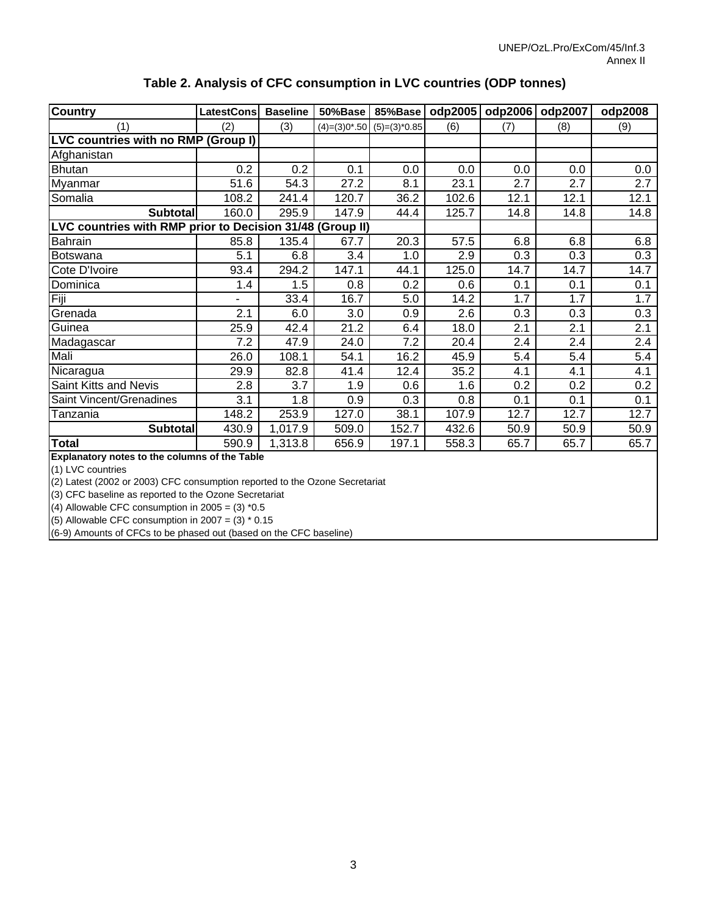| Country                                                   | LatestCons | <b>Baseline</b> | 50%Base | 85%Base                        | odp2005 | odp2006 | odp2007 | odp2008 |
|-----------------------------------------------------------|------------|-----------------|---------|--------------------------------|---------|---------|---------|---------|
| (1)                                                       | (2)        | (3)             |         | $(4)=(3)0*0.50$ $(5)=(3)*0.85$ | (6)     | (7)     | (8)     | (9)     |
| LVC countries with no RMP (Group I)                       |            |                 |         |                                |         |         |         |         |
| Afghanistan                                               |            |                 |         |                                |         |         |         |         |
| <b>Bhutan</b>                                             | 0.2        | 0.2             | 0.1     | 0.0                            | 0.0     | 0.0     | 0.0     | 0.0     |
| Myanmar                                                   | 51.6       | 54.3            | 27.2    | 8.1                            | 23.1    | 2.7     | 2.7     | 2.7     |
| Somalia                                                   | 108.2      | 241.4           | 120.7   | 36.2                           | 102.6   | 12.1    | 12.1    | 12.1    |
| <b>Subtotal</b>                                           | 160.0      | 295.9           | 147.9   | 44.4                           | 125.7   | 14.8    | 14.8    | 14.8    |
| LVC countries with RMP prior to Decision 31/48 (Group II) |            |                 |         |                                |         |         |         |         |
| Bahrain                                                   | 85.8       | 135.4           | 67.7    | 20.3                           | 57.5    | 6.8     | 6.8     | 6.8     |
| <b>Botswana</b>                                           | 5.1        | 6.8             | 3.4     | 1.0                            | 2.9     | 0.3     | 0.3     | 0.3     |
| Cote D'Ivoire                                             | 93.4       | 294.2           | 147.1   | 44.1                           | 125.0   | 14.7    | 14.7    | 14.7    |
| Dominica                                                  | 1.4        | 1.5             | 0.8     | 0.2                            | 0.6     | 0.1     | 0.1     | 0.1     |
| Fiji                                                      | Ξ.         | 33.4            | 16.7    | 5.0                            | 14.2    | 1.7     | 1.7     | 1.7     |
| Grenada                                                   | 2.1        | 6.0             | 3.0     | 0.9                            | 2.6     | 0.3     | 0.3     | 0.3     |
| Guinea                                                    | 25.9       | 42.4            | 21.2    | 6.4                            | 18.0    | 2.1     | 2.1     | 2.1     |
| Madagascar                                                | 7.2        | 47.9            | 24.0    | 7.2                            | 20.4    | 2.4     | 2.4     | 2.4     |
| Mali                                                      | 26.0       | 108.1           | 54.1    | 16.2                           | 45.9    | 5.4     | 5.4     | 5.4     |
| Nicaragua                                                 | 29.9       | 82.8            | 41.4    | 12.4                           | 35.2    | 4.1     | 4.1     | 4.1     |
| Saint Kitts and Nevis                                     | 2.8        | 3.7             | 1.9     | 0.6                            | 1.6     | 0.2     | 0.2     | 0.2     |
| Saint Vincent/Grenadines                                  | 3.1        | 1.8             | 0.9     | 0.3                            | 0.8     | 0.1     | 0.1     | 0.1     |
| Tanzania                                                  | 148.2      | 253.9           | 127.0   | 38.1                           | 107.9   | 12.7    | 12.7    | 12.7    |
| <b>Subtotal</b>                                           | 430.9      | 1,017.9         | 509.0   | 152.7                          | 432.6   | 50.9    | 50.9    | 50.9    |
| <b>Total</b>                                              | 590.9      | 1,313.8         | 656.9   | 197.1                          | 558.3   | 65.7    | 65.7    | 65.7    |

### **Table 2. Analysis of CFC consumption in LVC countries (ODP tonnes)**

**Explanatory notes to the columns of the Table**

(1) LVC countries

(2) Latest (2002 or 2003) CFC consumption reported to the Ozone Secretariat

(3) CFC baseline as reported to the Ozone Secretariat

(4) Allowable CFC consumption in  $2005 = (3) *0.5$ 

(5) Allowable CFC consumption in  $2007 = (3) * 0.15$ 

(6-9) Amounts of CFCs to be phased out (based on the CFC baseline)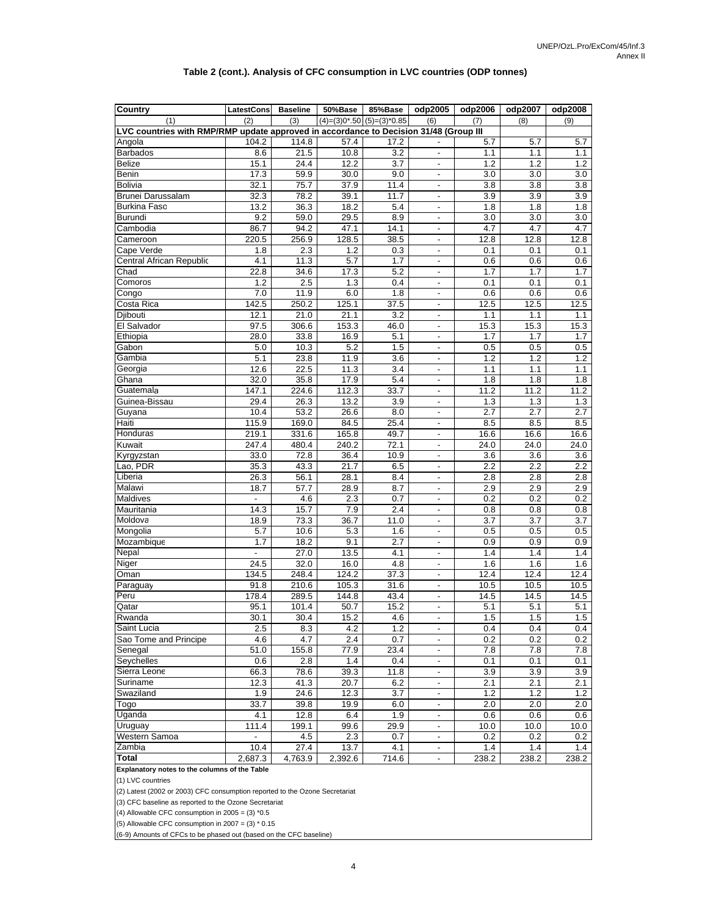#### **Table 2 (cont.). Analysis of CFC consumption in LVC countries (ODP tonnes)**

| $(4)=(3)0*0.50(5)=(3)*0.85$<br>(2)<br>(3)<br>(6)<br>(9)<br>(1)<br>(7)<br>(8)<br>LVC countries with RMP/RMP update approved in accordance to Decision 31/48 (Group III<br>Angola<br>104.2<br>114.8<br>57.4<br>17.2<br>5.7<br>5.7<br>5.7<br><b>Barbados</b><br>21.5<br>10.8<br>3.2<br>1.1<br>8.6<br>1.1<br>1.1<br><b>Belize</b><br>15.1<br>24.4<br>12.2<br>3.7<br>1.2<br>1.2<br>1.2<br>$\overline{\phantom{a}}$<br>Benin<br>17.3<br>59.9<br>30.0<br>9.0<br>3.0<br>3.0<br>3.0<br>$\blacksquare$<br><b>Bolivia</b><br>32.1<br>75.7<br>37.9<br>11.4<br>3.8<br>3.8<br>3.8<br>$\overline{\phantom{a}}$<br>Brunei Darussalam<br>32.3<br>78.2<br>39.1<br>11.7<br>3.9<br>3.9<br>3.9<br>$\blacksquare$<br>13.2<br><b>Burkina Fasc</b><br>36.3<br>18.2<br>5.4<br>1.8<br>1.8<br>1.8<br>$\overline{\phantom{a}}$<br>9.2<br>59.0<br>29.5<br>8.9<br>3.0<br>Burundi<br>3.0<br>3.0<br>$\blacksquare$<br>86.7<br>94.2<br>47.1<br>14.1<br>4.7<br>4.7<br>4.7<br>Cambodia<br>$\overline{\phantom{a}}$<br>256.9<br>128.5<br>Cameroon<br>220.5<br>38.5<br>12.8<br>12.8<br>12.8<br>$\blacksquare$<br>Cape Verde<br>2.3<br>1.2<br>0.3<br>0.1<br>1.8<br>0.1<br>0.1<br>$\overline{a}$<br>Central African Republic<br>4.1<br>11.3<br>5.7<br>1.7<br>0.6<br>0.6<br>0.6<br>$\overline{\phantom{a}}$<br>22.8<br>34.6<br>17.3<br>5.2<br>1.7<br>1.7<br>1.7<br>Chad<br>$\blacksquare$<br>1.2<br>2.5<br>1.3<br>0.4<br>Comoros<br>0.1<br>0.1<br>0.1<br>$\overline{\phantom{a}}$<br>7.0<br>11.9<br>6.0<br>1.8<br>Congo<br>0.6<br>0.6<br>0.6<br>$\blacksquare$<br>142.5<br>125.1<br>37.5<br>12.5<br>12.5<br>12.5<br>Costa Rica<br>250.2<br>$\overline{\phantom{a}}$<br>Djibouti<br>12.1<br>21.0<br>21.1<br>3.2<br>1.1<br>1.1<br>1.1<br>$\blacksquare$<br>El Salvador<br>97.5<br>306.6<br>153.3<br>15.3<br>15.3<br>15.3<br>46.0<br>$\overline{a}$<br>Ethiopia<br>28.0<br>33.8<br>16.9<br>5.1<br>1.7<br>1.7<br>1.7<br>$\overline{\phantom{a}}$<br>Gabon<br>10.3<br>5.2<br>1.5<br>0.5<br>0.5<br>5.0<br>0.5<br>$\blacksquare$<br>Gambia<br>5.1<br>23.8<br>1.2<br>1.2<br>11.9<br>3.6<br>1.2<br>$\overline{\phantom{a}}$<br>22.5<br>Georgia<br>12.6<br>11.3<br>3.4<br>1.1<br>1.1<br>1.1<br>$\overline{\phantom{a}}$<br>Ghana<br>32.0<br>35.8<br>17.9<br>5.4<br>1.8<br>1.8<br>1.8<br>$\blacksquare$<br>Guatemala<br>147.1<br>224.6<br>112.3<br>11.2<br>33.7<br>11.2<br>11.2<br>$\blacksquare$<br>29.4<br>26.3<br>13.2<br>3.9<br>1.3<br>1.3<br>1.3<br>Guinea-Bissau<br>$\frac{1}{2}$<br>Guyana<br>53.2<br>26.6<br>2.7<br>10.4<br>8.0<br>2.7<br>2.7<br>$\overline{\phantom{a}}$<br>Haiti<br>115.9<br>169.0<br>84.5<br>25.4<br>8.5<br>8.5<br>8.5<br>Honduras<br>219.1<br>331.6<br>165.8<br>49.7<br>16.6<br>16.6<br>16.6<br>$\overline{\phantom{a}}$<br>72.1<br>247.4<br>480.4<br>240.2<br>24.0<br>24.0<br>24.0<br>Kuwait<br>$\blacksquare$<br>33.0<br>72.8<br>36.4<br>10.9<br>3.6<br>3.6<br>3.6<br>Kyrgyzstan<br>$\overline{\phantom{a}}$<br>Lao, PDR<br>35.3<br>43.3<br>21.7<br>6.5<br>2.2<br>2.2<br>2.2<br>$\blacksquare$<br>2.8<br>Liberia<br>26.3<br>56.1<br>28.1<br>8.4<br>2.8<br>2.8<br>$\blacksquare$<br>Malawi<br>18.7<br>57.7<br>28.9<br>8.7<br>2.9<br>2.9<br>2.9<br>$\blacksquare$<br>2.3<br>0.2<br>0.2<br>Maldives<br>$\mathbf{r}$<br>4.6<br>0.7<br>0.2<br>$\overline{\phantom{a}}$<br>Mauritania<br>15.7<br>7.9<br>14.3<br>2.4<br>0.8<br>0.8<br>0.8<br>$\blacksquare$<br>73.3<br>$\overline{3.7}$<br>$\overline{3.7}$<br>$\overline{3.7}$<br>Moldova<br>18.9<br>36.7<br>11.0<br>5.7<br>10.6<br>5.3<br>0.5<br>0.5<br>Mongolia<br>1.6<br>0.5<br>$\overline{\phantom{a}}$<br>1.7<br>18.2<br>9.1<br>2.7<br>0.9<br>0.9<br>0.9<br>Mozambique<br>$\blacksquare$<br>27.0<br>13.5<br>1.4<br>Nepal<br>$\frac{1}{2}$<br>4.1<br>1.4<br>1.4<br>$\overline{\phantom{a}}$<br>Niger<br>24.5<br>32.0<br>16.0<br>4.8<br>1.6<br>1.6<br>1.6<br>$\blacksquare$<br>Oman<br>134.5<br>248.4<br>124.2<br>37.3<br>12.4<br>12.4<br>12.4<br>$\overline{\phantom{a}}$<br>91.8<br>105.3<br>Paraguay<br>210.6<br>31.6<br>10.5<br>10.5<br>10.5<br>$\blacksquare$<br>Peru<br>289.5<br>144.8<br>14.5<br>14.5<br>14.5<br>178.4<br>43.4<br>$\overline{a}$<br>15.2<br>Qatar<br>95.1<br>101.4<br>5.1<br>5.1<br>5.1<br>50.7<br>$\blacksquare$<br>30.1<br>30.4<br>15.2<br>1.5<br>1.5<br>1.5<br>Rwanda<br>4.6<br>Saint Lucia<br>2.5<br>8.3<br>4.2<br>$1.2$<br>0.4<br>0.4<br>0.4<br>$\overline{\phantom{a}}$<br>Sao Tome and Principe<br>4.6<br>4.7<br>2.4<br>0.2<br>0.7<br>0.2<br>$0.2\,$<br>$\overline{\phantom{a}}$<br>Senegal<br>51.0<br>155.8<br>77.9<br>23.4<br>7.8<br>7.8<br>7.8<br>$\overline{\phantom{a}}$<br>Seychelles<br>2.8<br>1.4<br>0.4<br>$0.6\,$<br>0.1<br>0.1<br>0.1<br>$\overline{\phantom{a}}$<br>Sierra Leone<br>78.6<br>3.9<br>66.3<br>39.3<br>11.8<br>3.9<br>3.9<br>$\overline{\phantom{a}}$<br>Suriname<br>12.3<br>41.3<br>20.7<br>6.2<br>2.1<br>2.1<br>2.1<br>$\overline{\phantom{a}}$<br>Swaziland<br>24.6<br>12.3<br>3.7<br>1.2<br>$1.2$<br>1.9<br>1.2<br>33.7<br>2.0<br>2.0<br>39.8<br>19.9<br>6.0<br>2.0<br>Togo<br>$\overline{\phantom{a}}$<br>Uganda<br>12.8<br>4.1<br>6.4<br>1.9<br>0.6<br>0.6<br>0.6<br>$\overline{\phantom{a}}$<br>Uruguay<br>111.4<br>199.1<br>99.6<br>29.9<br>10.0<br>10.0<br>10.0<br>$\blacksquare$<br>Western Samoa<br>4.5<br>2.3<br>0.7<br>0.2<br>0.2<br>0.2<br>$\overline{a}$<br>$\blacksquare$<br>27.4<br>10.4<br>13.7<br>4.1<br>1.4<br>1.4<br>Zambia<br>1.4<br>$\overline{\phantom{a}}$<br>4,763.9<br>238.2<br>2,687.3<br>2,392.6<br>714.6<br>238.2<br>238.2<br>Total<br>$\overline{\phantom{a}}$ | <b>Country</b> | LatestCons | <b>Baseline</b> | 50%Base | 85%Base | odp2005 | odp2006 | odp2007 | odp2008 |
|-----------------------------------------------------------------------------------------------------------------------------------------------------------------------------------------------------------------------------------------------------------------------------------------------------------------------------------------------------------------------------------------------------------------------------------------------------------------------------------------------------------------------------------------------------------------------------------------------------------------------------------------------------------------------------------------------------------------------------------------------------------------------------------------------------------------------------------------------------------------------------------------------------------------------------------------------------------------------------------------------------------------------------------------------------------------------------------------------------------------------------------------------------------------------------------------------------------------------------------------------------------------------------------------------------------------------------------------------------------------------------------------------------------------------------------------------------------------------------------------------------------------------------------------------------------------------------------------------------------------------------------------------------------------------------------------------------------------------------------------------------------------------------------------------------------------------------------------------------------------------------------------------------------------------------------------------------------------------------------------------------------------------------------------------------------------------------------------------------------------------------------------------------------------------------------------------------------------------------------------------------------------------------------------------------------------------------------------------------------------------------------------------------------------------------------------------------------------------------------------------------------------------------------------------------------------------------------------------------------------------------------------------------------------------------------------------------------------------------------------------------------------------------------------------------------------------------------------------------------------------------------------------------------------------------------------------------------------------------------------------------------------------------------------------------------------------------------------------------------------------------------------------------------------------------------------------------------------------------------------------------------------------------------------------------------------------------------------------------------------------------------------------------------------------------------------------------------------------------------------------------------------------------------------------------------------------------------------------------------------------------------------------------------------------------------------------------------------------------------------------------------------------------------------------------------------------------------------------------------------------------------------------------------------------------------------------------------------------------------------------------------------------------------------------------------------------------------------------------------------------------------------------------------------------------------------------------------------------------------------------------------------------------------------------------------------------------------------------------------------------------------------------------------------------------------------------------------------------------------------------------------------------------------------------------------------------------------------------------------------------------------------------------------------------------------------------------------------------------------------------------------------------------------------------------------------------------------------------------------------------------------------------------------------------------------------------------------------------------------------------------------------------------------------------------------------------------------------------------------------------------------------------------------------------------------------------------------------------------------------------------------------------------------------------------------------------------------------------------------------------------------------------------------------------------------------------------------------------------|----------------|------------|-----------------|---------|---------|---------|---------|---------|---------|
|                                                                                                                                                                                                                                                                                                                                                                                                                                                                                                                                                                                                                                                                                                                                                                                                                                                                                                                                                                                                                                                                                                                                                                                                                                                                                                                                                                                                                                                                                                                                                                                                                                                                                                                                                                                                                                                                                                                                                                                                                                                                                                                                                                                                                                                                                                                                                                                                                                                                                                                                                                                                                                                                                                                                                                                                                                                                                                                                                                                                                                                                                                                                                                                                                                                                                                                                                                                                                                                                                                                                                                                                                                                                                                                                                                                                                                                                                                                                                                                                                                                                                                                                                                                                                                                                                                                                                                                                                                                                                                                                                                                                                                                                                                                                                                                                                                                                                                                                                                                                                                                                                                                                                                                                                                                                                                                                                                                                                                                                             |                |            |                 |         |         |         |         |         |         |
|                                                                                                                                                                                                                                                                                                                                                                                                                                                                                                                                                                                                                                                                                                                                                                                                                                                                                                                                                                                                                                                                                                                                                                                                                                                                                                                                                                                                                                                                                                                                                                                                                                                                                                                                                                                                                                                                                                                                                                                                                                                                                                                                                                                                                                                                                                                                                                                                                                                                                                                                                                                                                                                                                                                                                                                                                                                                                                                                                                                                                                                                                                                                                                                                                                                                                                                                                                                                                                                                                                                                                                                                                                                                                                                                                                                                                                                                                                                                                                                                                                                                                                                                                                                                                                                                                                                                                                                                                                                                                                                                                                                                                                                                                                                                                                                                                                                                                                                                                                                                                                                                                                                                                                                                                                                                                                                                                                                                                                                                             |                |            |                 |         |         |         |         |         |         |
|                                                                                                                                                                                                                                                                                                                                                                                                                                                                                                                                                                                                                                                                                                                                                                                                                                                                                                                                                                                                                                                                                                                                                                                                                                                                                                                                                                                                                                                                                                                                                                                                                                                                                                                                                                                                                                                                                                                                                                                                                                                                                                                                                                                                                                                                                                                                                                                                                                                                                                                                                                                                                                                                                                                                                                                                                                                                                                                                                                                                                                                                                                                                                                                                                                                                                                                                                                                                                                                                                                                                                                                                                                                                                                                                                                                                                                                                                                                                                                                                                                                                                                                                                                                                                                                                                                                                                                                                                                                                                                                                                                                                                                                                                                                                                                                                                                                                                                                                                                                                                                                                                                                                                                                                                                                                                                                                                                                                                                                                             |                |            |                 |         |         |         |         |         |         |
|                                                                                                                                                                                                                                                                                                                                                                                                                                                                                                                                                                                                                                                                                                                                                                                                                                                                                                                                                                                                                                                                                                                                                                                                                                                                                                                                                                                                                                                                                                                                                                                                                                                                                                                                                                                                                                                                                                                                                                                                                                                                                                                                                                                                                                                                                                                                                                                                                                                                                                                                                                                                                                                                                                                                                                                                                                                                                                                                                                                                                                                                                                                                                                                                                                                                                                                                                                                                                                                                                                                                                                                                                                                                                                                                                                                                                                                                                                                                                                                                                                                                                                                                                                                                                                                                                                                                                                                                                                                                                                                                                                                                                                                                                                                                                                                                                                                                                                                                                                                                                                                                                                                                                                                                                                                                                                                                                                                                                                                                             |                |            |                 |         |         |         |         |         |         |
|                                                                                                                                                                                                                                                                                                                                                                                                                                                                                                                                                                                                                                                                                                                                                                                                                                                                                                                                                                                                                                                                                                                                                                                                                                                                                                                                                                                                                                                                                                                                                                                                                                                                                                                                                                                                                                                                                                                                                                                                                                                                                                                                                                                                                                                                                                                                                                                                                                                                                                                                                                                                                                                                                                                                                                                                                                                                                                                                                                                                                                                                                                                                                                                                                                                                                                                                                                                                                                                                                                                                                                                                                                                                                                                                                                                                                                                                                                                                                                                                                                                                                                                                                                                                                                                                                                                                                                                                                                                                                                                                                                                                                                                                                                                                                                                                                                                                                                                                                                                                                                                                                                                                                                                                                                                                                                                                                                                                                                                                             |                |            |                 |         |         |         |         |         |         |
|                                                                                                                                                                                                                                                                                                                                                                                                                                                                                                                                                                                                                                                                                                                                                                                                                                                                                                                                                                                                                                                                                                                                                                                                                                                                                                                                                                                                                                                                                                                                                                                                                                                                                                                                                                                                                                                                                                                                                                                                                                                                                                                                                                                                                                                                                                                                                                                                                                                                                                                                                                                                                                                                                                                                                                                                                                                                                                                                                                                                                                                                                                                                                                                                                                                                                                                                                                                                                                                                                                                                                                                                                                                                                                                                                                                                                                                                                                                                                                                                                                                                                                                                                                                                                                                                                                                                                                                                                                                                                                                                                                                                                                                                                                                                                                                                                                                                                                                                                                                                                                                                                                                                                                                                                                                                                                                                                                                                                                                                             |                |            |                 |         |         |         |         |         |         |
|                                                                                                                                                                                                                                                                                                                                                                                                                                                                                                                                                                                                                                                                                                                                                                                                                                                                                                                                                                                                                                                                                                                                                                                                                                                                                                                                                                                                                                                                                                                                                                                                                                                                                                                                                                                                                                                                                                                                                                                                                                                                                                                                                                                                                                                                                                                                                                                                                                                                                                                                                                                                                                                                                                                                                                                                                                                                                                                                                                                                                                                                                                                                                                                                                                                                                                                                                                                                                                                                                                                                                                                                                                                                                                                                                                                                                                                                                                                                                                                                                                                                                                                                                                                                                                                                                                                                                                                                                                                                                                                                                                                                                                                                                                                                                                                                                                                                                                                                                                                                                                                                                                                                                                                                                                                                                                                                                                                                                                                                             |                |            |                 |         |         |         |         |         |         |
|                                                                                                                                                                                                                                                                                                                                                                                                                                                                                                                                                                                                                                                                                                                                                                                                                                                                                                                                                                                                                                                                                                                                                                                                                                                                                                                                                                                                                                                                                                                                                                                                                                                                                                                                                                                                                                                                                                                                                                                                                                                                                                                                                                                                                                                                                                                                                                                                                                                                                                                                                                                                                                                                                                                                                                                                                                                                                                                                                                                                                                                                                                                                                                                                                                                                                                                                                                                                                                                                                                                                                                                                                                                                                                                                                                                                                                                                                                                                                                                                                                                                                                                                                                                                                                                                                                                                                                                                                                                                                                                                                                                                                                                                                                                                                                                                                                                                                                                                                                                                                                                                                                                                                                                                                                                                                                                                                                                                                                                                             |                |            |                 |         |         |         |         |         |         |
|                                                                                                                                                                                                                                                                                                                                                                                                                                                                                                                                                                                                                                                                                                                                                                                                                                                                                                                                                                                                                                                                                                                                                                                                                                                                                                                                                                                                                                                                                                                                                                                                                                                                                                                                                                                                                                                                                                                                                                                                                                                                                                                                                                                                                                                                                                                                                                                                                                                                                                                                                                                                                                                                                                                                                                                                                                                                                                                                                                                                                                                                                                                                                                                                                                                                                                                                                                                                                                                                                                                                                                                                                                                                                                                                                                                                                                                                                                                                                                                                                                                                                                                                                                                                                                                                                                                                                                                                                                                                                                                                                                                                                                                                                                                                                                                                                                                                                                                                                                                                                                                                                                                                                                                                                                                                                                                                                                                                                                                                             |                |            |                 |         |         |         |         |         |         |
|                                                                                                                                                                                                                                                                                                                                                                                                                                                                                                                                                                                                                                                                                                                                                                                                                                                                                                                                                                                                                                                                                                                                                                                                                                                                                                                                                                                                                                                                                                                                                                                                                                                                                                                                                                                                                                                                                                                                                                                                                                                                                                                                                                                                                                                                                                                                                                                                                                                                                                                                                                                                                                                                                                                                                                                                                                                                                                                                                                                                                                                                                                                                                                                                                                                                                                                                                                                                                                                                                                                                                                                                                                                                                                                                                                                                                                                                                                                                                                                                                                                                                                                                                                                                                                                                                                                                                                                                                                                                                                                                                                                                                                                                                                                                                                                                                                                                                                                                                                                                                                                                                                                                                                                                                                                                                                                                                                                                                                                                             |                |            |                 |         |         |         |         |         |         |
|                                                                                                                                                                                                                                                                                                                                                                                                                                                                                                                                                                                                                                                                                                                                                                                                                                                                                                                                                                                                                                                                                                                                                                                                                                                                                                                                                                                                                                                                                                                                                                                                                                                                                                                                                                                                                                                                                                                                                                                                                                                                                                                                                                                                                                                                                                                                                                                                                                                                                                                                                                                                                                                                                                                                                                                                                                                                                                                                                                                                                                                                                                                                                                                                                                                                                                                                                                                                                                                                                                                                                                                                                                                                                                                                                                                                                                                                                                                                                                                                                                                                                                                                                                                                                                                                                                                                                                                                                                                                                                                                                                                                                                                                                                                                                                                                                                                                                                                                                                                                                                                                                                                                                                                                                                                                                                                                                                                                                                                                             |                |            |                 |         |         |         |         |         |         |
|                                                                                                                                                                                                                                                                                                                                                                                                                                                                                                                                                                                                                                                                                                                                                                                                                                                                                                                                                                                                                                                                                                                                                                                                                                                                                                                                                                                                                                                                                                                                                                                                                                                                                                                                                                                                                                                                                                                                                                                                                                                                                                                                                                                                                                                                                                                                                                                                                                                                                                                                                                                                                                                                                                                                                                                                                                                                                                                                                                                                                                                                                                                                                                                                                                                                                                                                                                                                                                                                                                                                                                                                                                                                                                                                                                                                                                                                                                                                                                                                                                                                                                                                                                                                                                                                                                                                                                                                                                                                                                                                                                                                                                                                                                                                                                                                                                                                                                                                                                                                                                                                                                                                                                                                                                                                                                                                                                                                                                                                             |                |            |                 |         |         |         |         |         |         |
|                                                                                                                                                                                                                                                                                                                                                                                                                                                                                                                                                                                                                                                                                                                                                                                                                                                                                                                                                                                                                                                                                                                                                                                                                                                                                                                                                                                                                                                                                                                                                                                                                                                                                                                                                                                                                                                                                                                                                                                                                                                                                                                                                                                                                                                                                                                                                                                                                                                                                                                                                                                                                                                                                                                                                                                                                                                                                                                                                                                                                                                                                                                                                                                                                                                                                                                                                                                                                                                                                                                                                                                                                                                                                                                                                                                                                                                                                                                                                                                                                                                                                                                                                                                                                                                                                                                                                                                                                                                                                                                                                                                                                                                                                                                                                                                                                                                                                                                                                                                                                                                                                                                                                                                                                                                                                                                                                                                                                                                                             |                |            |                 |         |         |         |         |         |         |
|                                                                                                                                                                                                                                                                                                                                                                                                                                                                                                                                                                                                                                                                                                                                                                                                                                                                                                                                                                                                                                                                                                                                                                                                                                                                                                                                                                                                                                                                                                                                                                                                                                                                                                                                                                                                                                                                                                                                                                                                                                                                                                                                                                                                                                                                                                                                                                                                                                                                                                                                                                                                                                                                                                                                                                                                                                                                                                                                                                                                                                                                                                                                                                                                                                                                                                                                                                                                                                                                                                                                                                                                                                                                                                                                                                                                                                                                                                                                                                                                                                                                                                                                                                                                                                                                                                                                                                                                                                                                                                                                                                                                                                                                                                                                                                                                                                                                                                                                                                                                                                                                                                                                                                                                                                                                                                                                                                                                                                                                             |                |            |                 |         |         |         |         |         |         |
|                                                                                                                                                                                                                                                                                                                                                                                                                                                                                                                                                                                                                                                                                                                                                                                                                                                                                                                                                                                                                                                                                                                                                                                                                                                                                                                                                                                                                                                                                                                                                                                                                                                                                                                                                                                                                                                                                                                                                                                                                                                                                                                                                                                                                                                                                                                                                                                                                                                                                                                                                                                                                                                                                                                                                                                                                                                                                                                                                                                                                                                                                                                                                                                                                                                                                                                                                                                                                                                                                                                                                                                                                                                                                                                                                                                                                                                                                                                                                                                                                                                                                                                                                                                                                                                                                                                                                                                                                                                                                                                                                                                                                                                                                                                                                                                                                                                                                                                                                                                                                                                                                                                                                                                                                                                                                                                                                                                                                                                                             |                |            |                 |         |         |         |         |         |         |
|                                                                                                                                                                                                                                                                                                                                                                                                                                                                                                                                                                                                                                                                                                                                                                                                                                                                                                                                                                                                                                                                                                                                                                                                                                                                                                                                                                                                                                                                                                                                                                                                                                                                                                                                                                                                                                                                                                                                                                                                                                                                                                                                                                                                                                                                                                                                                                                                                                                                                                                                                                                                                                                                                                                                                                                                                                                                                                                                                                                                                                                                                                                                                                                                                                                                                                                                                                                                                                                                                                                                                                                                                                                                                                                                                                                                                                                                                                                                                                                                                                                                                                                                                                                                                                                                                                                                                                                                                                                                                                                                                                                                                                                                                                                                                                                                                                                                                                                                                                                                                                                                                                                                                                                                                                                                                                                                                                                                                                                                             |                |            |                 |         |         |         |         |         |         |
|                                                                                                                                                                                                                                                                                                                                                                                                                                                                                                                                                                                                                                                                                                                                                                                                                                                                                                                                                                                                                                                                                                                                                                                                                                                                                                                                                                                                                                                                                                                                                                                                                                                                                                                                                                                                                                                                                                                                                                                                                                                                                                                                                                                                                                                                                                                                                                                                                                                                                                                                                                                                                                                                                                                                                                                                                                                                                                                                                                                                                                                                                                                                                                                                                                                                                                                                                                                                                                                                                                                                                                                                                                                                                                                                                                                                                                                                                                                                                                                                                                                                                                                                                                                                                                                                                                                                                                                                                                                                                                                                                                                                                                                                                                                                                                                                                                                                                                                                                                                                                                                                                                                                                                                                                                                                                                                                                                                                                                                                             |                |            |                 |         |         |         |         |         |         |
|                                                                                                                                                                                                                                                                                                                                                                                                                                                                                                                                                                                                                                                                                                                                                                                                                                                                                                                                                                                                                                                                                                                                                                                                                                                                                                                                                                                                                                                                                                                                                                                                                                                                                                                                                                                                                                                                                                                                                                                                                                                                                                                                                                                                                                                                                                                                                                                                                                                                                                                                                                                                                                                                                                                                                                                                                                                                                                                                                                                                                                                                                                                                                                                                                                                                                                                                                                                                                                                                                                                                                                                                                                                                                                                                                                                                                                                                                                                                                                                                                                                                                                                                                                                                                                                                                                                                                                                                                                                                                                                                                                                                                                                                                                                                                                                                                                                                                                                                                                                                                                                                                                                                                                                                                                                                                                                                                                                                                                                                             |                |            |                 |         |         |         |         |         |         |
|                                                                                                                                                                                                                                                                                                                                                                                                                                                                                                                                                                                                                                                                                                                                                                                                                                                                                                                                                                                                                                                                                                                                                                                                                                                                                                                                                                                                                                                                                                                                                                                                                                                                                                                                                                                                                                                                                                                                                                                                                                                                                                                                                                                                                                                                                                                                                                                                                                                                                                                                                                                                                                                                                                                                                                                                                                                                                                                                                                                                                                                                                                                                                                                                                                                                                                                                                                                                                                                                                                                                                                                                                                                                                                                                                                                                                                                                                                                                                                                                                                                                                                                                                                                                                                                                                                                                                                                                                                                                                                                                                                                                                                                                                                                                                                                                                                                                                                                                                                                                                                                                                                                                                                                                                                                                                                                                                                                                                                                                             |                |            |                 |         |         |         |         |         |         |
|                                                                                                                                                                                                                                                                                                                                                                                                                                                                                                                                                                                                                                                                                                                                                                                                                                                                                                                                                                                                                                                                                                                                                                                                                                                                                                                                                                                                                                                                                                                                                                                                                                                                                                                                                                                                                                                                                                                                                                                                                                                                                                                                                                                                                                                                                                                                                                                                                                                                                                                                                                                                                                                                                                                                                                                                                                                                                                                                                                                                                                                                                                                                                                                                                                                                                                                                                                                                                                                                                                                                                                                                                                                                                                                                                                                                                                                                                                                                                                                                                                                                                                                                                                                                                                                                                                                                                                                                                                                                                                                                                                                                                                                                                                                                                                                                                                                                                                                                                                                                                                                                                                                                                                                                                                                                                                                                                                                                                                                                             |                |            |                 |         |         |         |         |         |         |
|                                                                                                                                                                                                                                                                                                                                                                                                                                                                                                                                                                                                                                                                                                                                                                                                                                                                                                                                                                                                                                                                                                                                                                                                                                                                                                                                                                                                                                                                                                                                                                                                                                                                                                                                                                                                                                                                                                                                                                                                                                                                                                                                                                                                                                                                                                                                                                                                                                                                                                                                                                                                                                                                                                                                                                                                                                                                                                                                                                                                                                                                                                                                                                                                                                                                                                                                                                                                                                                                                                                                                                                                                                                                                                                                                                                                                                                                                                                                                                                                                                                                                                                                                                                                                                                                                                                                                                                                                                                                                                                                                                                                                                                                                                                                                                                                                                                                                                                                                                                                                                                                                                                                                                                                                                                                                                                                                                                                                                                                             |                |            |                 |         |         |         |         |         |         |
|                                                                                                                                                                                                                                                                                                                                                                                                                                                                                                                                                                                                                                                                                                                                                                                                                                                                                                                                                                                                                                                                                                                                                                                                                                                                                                                                                                                                                                                                                                                                                                                                                                                                                                                                                                                                                                                                                                                                                                                                                                                                                                                                                                                                                                                                                                                                                                                                                                                                                                                                                                                                                                                                                                                                                                                                                                                                                                                                                                                                                                                                                                                                                                                                                                                                                                                                                                                                                                                                                                                                                                                                                                                                                                                                                                                                                                                                                                                                                                                                                                                                                                                                                                                                                                                                                                                                                                                                                                                                                                                                                                                                                                                                                                                                                                                                                                                                                                                                                                                                                                                                                                                                                                                                                                                                                                                                                                                                                                                                             |                |            |                 |         |         |         |         |         |         |
|                                                                                                                                                                                                                                                                                                                                                                                                                                                                                                                                                                                                                                                                                                                                                                                                                                                                                                                                                                                                                                                                                                                                                                                                                                                                                                                                                                                                                                                                                                                                                                                                                                                                                                                                                                                                                                                                                                                                                                                                                                                                                                                                                                                                                                                                                                                                                                                                                                                                                                                                                                                                                                                                                                                                                                                                                                                                                                                                                                                                                                                                                                                                                                                                                                                                                                                                                                                                                                                                                                                                                                                                                                                                                                                                                                                                                                                                                                                                                                                                                                                                                                                                                                                                                                                                                                                                                                                                                                                                                                                                                                                                                                                                                                                                                                                                                                                                                                                                                                                                                                                                                                                                                                                                                                                                                                                                                                                                                                                                             |                |            |                 |         |         |         |         |         |         |
|                                                                                                                                                                                                                                                                                                                                                                                                                                                                                                                                                                                                                                                                                                                                                                                                                                                                                                                                                                                                                                                                                                                                                                                                                                                                                                                                                                                                                                                                                                                                                                                                                                                                                                                                                                                                                                                                                                                                                                                                                                                                                                                                                                                                                                                                                                                                                                                                                                                                                                                                                                                                                                                                                                                                                                                                                                                                                                                                                                                                                                                                                                                                                                                                                                                                                                                                                                                                                                                                                                                                                                                                                                                                                                                                                                                                                                                                                                                                                                                                                                                                                                                                                                                                                                                                                                                                                                                                                                                                                                                                                                                                                                                                                                                                                                                                                                                                                                                                                                                                                                                                                                                                                                                                                                                                                                                                                                                                                                                                             |                |            |                 |         |         |         |         |         |         |
|                                                                                                                                                                                                                                                                                                                                                                                                                                                                                                                                                                                                                                                                                                                                                                                                                                                                                                                                                                                                                                                                                                                                                                                                                                                                                                                                                                                                                                                                                                                                                                                                                                                                                                                                                                                                                                                                                                                                                                                                                                                                                                                                                                                                                                                                                                                                                                                                                                                                                                                                                                                                                                                                                                                                                                                                                                                                                                                                                                                                                                                                                                                                                                                                                                                                                                                                                                                                                                                                                                                                                                                                                                                                                                                                                                                                                                                                                                                                                                                                                                                                                                                                                                                                                                                                                                                                                                                                                                                                                                                                                                                                                                                                                                                                                                                                                                                                                                                                                                                                                                                                                                                                                                                                                                                                                                                                                                                                                                                                             |                |            |                 |         |         |         |         |         |         |
|                                                                                                                                                                                                                                                                                                                                                                                                                                                                                                                                                                                                                                                                                                                                                                                                                                                                                                                                                                                                                                                                                                                                                                                                                                                                                                                                                                                                                                                                                                                                                                                                                                                                                                                                                                                                                                                                                                                                                                                                                                                                                                                                                                                                                                                                                                                                                                                                                                                                                                                                                                                                                                                                                                                                                                                                                                                                                                                                                                                                                                                                                                                                                                                                                                                                                                                                                                                                                                                                                                                                                                                                                                                                                                                                                                                                                                                                                                                                                                                                                                                                                                                                                                                                                                                                                                                                                                                                                                                                                                                                                                                                                                                                                                                                                                                                                                                                                                                                                                                                                                                                                                                                                                                                                                                                                                                                                                                                                                                                             |                |            |                 |         |         |         |         |         |         |
|                                                                                                                                                                                                                                                                                                                                                                                                                                                                                                                                                                                                                                                                                                                                                                                                                                                                                                                                                                                                                                                                                                                                                                                                                                                                                                                                                                                                                                                                                                                                                                                                                                                                                                                                                                                                                                                                                                                                                                                                                                                                                                                                                                                                                                                                                                                                                                                                                                                                                                                                                                                                                                                                                                                                                                                                                                                                                                                                                                                                                                                                                                                                                                                                                                                                                                                                                                                                                                                                                                                                                                                                                                                                                                                                                                                                                                                                                                                                                                                                                                                                                                                                                                                                                                                                                                                                                                                                                                                                                                                                                                                                                                                                                                                                                                                                                                                                                                                                                                                                                                                                                                                                                                                                                                                                                                                                                                                                                                                                             |                |            |                 |         |         |         |         |         |         |
|                                                                                                                                                                                                                                                                                                                                                                                                                                                                                                                                                                                                                                                                                                                                                                                                                                                                                                                                                                                                                                                                                                                                                                                                                                                                                                                                                                                                                                                                                                                                                                                                                                                                                                                                                                                                                                                                                                                                                                                                                                                                                                                                                                                                                                                                                                                                                                                                                                                                                                                                                                                                                                                                                                                                                                                                                                                                                                                                                                                                                                                                                                                                                                                                                                                                                                                                                                                                                                                                                                                                                                                                                                                                                                                                                                                                                                                                                                                                                                                                                                                                                                                                                                                                                                                                                                                                                                                                                                                                                                                                                                                                                                                                                                                                                                                                                                                                                                                                                                                                                                                                                                                                                                                                                                                                                                                                                                                                                                                                             |                |            |                 |         |         |         |         |         |         |
|                                                                                                                                                                                                                                                                                                                                                                                                                                                                                                                                                                                                                                                                                                                                                                                                                                                                                                                                                                                                                                                                                                                                                                                                                                                                                                                                                                                                                                                                                                                                                                                                                                                                                                                                                                                                                                                                                                                                                                                                                                                                                                                                                                                                                                                                                                                                                                                                                                                                                                                                                                                                                                                                                                                                                                                                                                                                                                                                                                                                                                                                                                                                                                                                                                                                                                                                                                                                                                                                                                                                                                                                                                                                                                                                                                                                                                                                                                                                                                                                                                                                                                                                                                                                                                                                                                                                                                                                                                                                                                                                                                                                                                                                                                                                                                                                                                                                                                                                                                                                                                                                                                                                                                                                                                                                                                                                                                                                                                                                             |                |            |                 |         |         |         |         |         |         |
|                                                                                                                                                                                                                                                                                                                                                                                                                                                                                                                                                                                                                                                                                                                                                                                                                                                                                                                                                                                                                                                                                                                                                                                                                                                                                                                                                                                                                                                                                                                                                                                                                                                                                                                                                                                                                                                                                                                                                                                                                                                                                                                                                                                                                                                                                                                                                                                                                                                                                                                                                                                                                                                                                                                                                                                                                                                                                                                                                                                                                                                                                                                                                                                                                                                                                                                                                                                                                                                                                                                                                                                                                                                                                                                                                                                                                                                                                                                                                                                                                                                                                                                                                                                                                                                                                                                                                                                                                                                                                                                                                                                                                                                                                                                                                                                                                                                                                                                                                                                                                                                                                                                                                                                                                                                                                                                                                                                                                                                                             |                |            |                 |         |         |         |         |         |         |
|                                                                                                                                                                                                                                                                                                                                                                                                                                                                                                                                                                                                                                                                                                                                                                                                                                                                                                                                                                                                                                                                                                                                                                                                                                                                                                                                                                                                                                                                                                                                                                                                                                                                                                                                                                                                                                                                                                                                                                                                                                                                                                                                                                                                                                                                                                                                                                                                                                                                                                                                                                                                                                                                                                                                                                                                                                                                                                                                                                                                                                                                                                                                                                                                                                                                                                                                                                                                                                                                                                                                                                                                                                                                                                                                                                                                                                                                                                                                                                                                                                                                                                                                                                                                                                                                                                                                                                                                                                                                                                                                                                                                                                                                                                                                                                                                                                                                                                                                                                                                                                                                                                                                                                                                                                                                                                                                                                                                                                                                             |                |            |                 |         |         |         |         |         |         |
|                                                                                                                                                                                                                                                                                                                                                                                                                                                                                                                                                                                                                                                                                                                                                                                                                                                                                                                                                                                                                                                                                                                                                                                                                                                                                                                                                                                                                                                                                                                                                                                                                                                                                                                                                                                                                                                                                                                                                                                                                                                                                                                                                                                                                                                                                                                                                                                                                                                                                                                                                                                                                                                                                                                                                                                                                                                                                                                                                                                                                                                                                                                                                                                                                                                                                                                                                                                                                                                                                                                                                                                                                                                                                                                                                                                                                                                                                                                                                                                                                                                                                                                                                                                                                                                                                                                                                                                                                                                                                                                                                                                                                                                                                                                                                                                                                                                                                                                                                                                                                                                                                                                                                                                                                                                                                                                                                                                                                                                                             |                |            |                 |         |         |         |         |         |         |
|                                                                                                                                                                                                                                                                                                                                                                                                                                                                                                                                                                                                                                                                                                                                                                                                                                                                                                                                                                                                                                                                                                                                                                                                                                                                                                                                                                                                                                                                                                                                                                                                                                                                                                                                                                                                                                                                                                                                                                                                                                                                                                                                                                                                                                                                                                                                                                                                                                                                                                                                                                                                                                                                                                                                                                                                                                                                                                                                                                                                                                                                                                                                                                                                                                                                                                                                                                                                                                                                                                                                                                                                                                                                                                                                                                                                                                                                                                                                                                                                                                                                                                                                                                                                                                                                                                                                                                                                                                                                                                                                                                                                                                                                                                                                                                                                                                                                                                                                                                                                                                                                                                                                                                                                                                                                                                                                                                                                                                                                             |                |            |                 |         |         |         |         |         |         |
|                                                                                                                                                                                                                                                                                                                                                                                                                                                                                                                                                                                                                                                                                                                                                                                                                                                                                                                                                                                                                                                                                                                                                                                                                                                                                                                                                                                                                                                                                                                                                                                                                                                                                                                                                                                                                                                                                                                                                                                                                                                                                                                                                                                                                                                                                                                                                                                                                                                                                                                                                                                                                                                                                                                                                                                                                                                                                                                                                                                                                                                                                                                                                                                                                                                                                                                                                                                                                                                                                                                                                                                                                                                                                                                                                                                                                                                                                                                                                                                                                                                                                                                                                                                                                                                                                                                                                                                                                                                                                                                                                                                                                                                                                                                                                                                                                                                                                                                                                                                                                                                                                                                                                                                                                                                                                                                                                                                                                                                                             |                |            |                 |         |         |         |         |         |         |
|                                                                                                                                                                                                                                                                                                                                                                                                                                                                                                                                                                                                                                                                                                                                                                                                                                                                                                                                                                                                                                                                                                                                                                                                                                                                                                                                                                                                                                                                                                                                                                                                                                                                                                                                                                                                                                                                                                                                                                                                                                                                                                                                                                                                                                                                                                                                                                                                                                                                                                                                                                                                                                                                                                                                                                                                                                                                                                                                                                                                                                                                                                                                                                                                                                                                                                                                                                                                                                                                                                                                                                                                                                                                                                                                                                                                                                                                                                                                                                                                                                                                                                                                                                                                                                                                                                                                                                                                                                                                                                                                                                                                                                                                                                                                                                                                                                                                                                                                                                                                                                                                                                                                                                                                                                                                                                                                                                                                                                                                             |                |            |                 |         |         |         |         |         |         |
|                                                                                                                                                                                                                                                                                                                                                                                                                                                                                                                                                                                                                                                                                                                                                                                                                                                                                                                                                                                                                                                                                                                                                                                                                                                                                                                                                                                                                                                                                                                                                                                                                                                                                                                                                                                                                                                                                                                                                                                                                                                                                                                                                                                                                                                                                                                                                                                                                                                                                                                                                                                                                                                                                                                                                                                                                                                                                                                                                                                                                                                                                                                                                                                                                                                                                                                                                                                                                                                                                                                                                                                                                                                                                                                                                                                                                                                                                                                                                                                                                                                                                                                                                                                                                                                                                                                                                                                                                                                                                                                                                                                                                                                                                                                                                                                                                                                                                                                                                                                                                                                                                                                                                                                                                                                                                                                                                                                                                                                                             |                |            |                 |         |         |         |         |         |         |
|                                                                                                                                                                                                                                                                                                                                                                                                                                                                                                                                                                                                                                                                                                                                                                                                                                                                                                                                                                                                                                                                                                                                                                                                                                                                                                                                                                                                                                                                                                                                                                                                                                                                                                                                                                                                                                                                                                                                                                                                                                                                                                                                                                                                                                                                                                                                                                                                                                                                                                                                                                                                                                                                                                                                                                                                                                                                                                                                                                                                                                                                                                                                                                                                                                                                                                                                                                                                                                                                                                                                                                                                                                                                                                                                                                                                                                                                                                                                                                                                                                                                                                                                                                                                                                                                                                                                                                                                                                                                                                                                                                                                                                                                                                                                                                                                                                                                                                                                                                                                                                                                                                                                                                                                                                                                                                                                                                                                                                                                             |                |            |                 |         |         |         |         |         |         |
|                                                                                                                                                                                                                                                                                                                                                                                                                                                                                                                                                                                                                                                                                                                                                                                                                                                                                                                                                                                                                                                                                                                                                                                                                                                                                                                                                                                                                                                                                                                                                                                                                                                                                                                                                                                                                                                                                                                                                                                                                                                                                                                                                                                                                                                                                                                                                                                                                                                                                                                                                                                                                                                                                                                                                                                                                                                                                                                                                                                                                                                                                                                                                                                                                                                                                                                                                                                                                                                                                                                                                                                                                                                                                                                                                                                                                                                                                                                                                                                                                                                                                                                                                                                                                                                                                                                                                                                                                                                                                                                                                                                                                                                                                                                                                                                                                                                                                                                                                                                                                                                                                                                                                                                                                                                                                                                                                                                                                                                                             |                |            |                 |         |         |         |         |         |         |
|                                                                                                                                                                                                                                                                                                                                                                                                                                                                                                                                                                                                                                                                                                                                                                                                                                                                                                                                                                                                                                                                                                                                                                                                                                                                                                                                                                                                                                                                                                                                                                                                                                                                                                                                                                                                                                                                                                                                                                                                                                                                                                                                                                                                                                                                                                                                                                                                                                                                                                                                                                                                                                                                                                                                                                                                                                                                                                                                                                                                                                                                                                                                                                                                                                                                                                                                                                                                                                                                                                                                                                                                                                                                                                                                                                                                                                                                                                                                                                                                                                                                                                                                                                                                                                                                                                                                                                                                                                                                                                                                                                                                                                                                                                                                                                                                                                                                                                                                                                                                                                                                                                                                                                                                                                                                                                                                                                                                                                                                             |                |            |                 |         |         |         |         |         |         |
|                                                                                                                                                                                                                                                                                                                                                                                                                                                                                                                                                                                                                                                                                                                                                                                                                                                                                                                                                                                                                                                                                                                                                                                                                                                                                                                                                                                                                                                                                                                                                                                                                                                                                                                                                                                                                                                                                                                                                                                                                                                                                                                                                                                                                                                                                                                                                                                                                                                                                                                                                                                                                                                                                                                                                                                                                                                                                                                                                                                                                                                                                                                                                                                                                                                                                                                                                                                                                                                                                                                                                                                                                                                                                                                                                                                                                                                                                                                                                                                                                                                                                                                                                                                                                                                                                                                                                                                                                                                                                                                                                                                                                                                                                                                                                                                                                                                                                                                                                                                                                                                                                                                                                                                                                                                                                                                                                                                                                                                                             |                |            |                 |         |         |         |         |         |         |
|                                                                                                                                                                                                                                                                                                                                                                                                                                                                                                                                                                                                                                                                                                                                                                                                                                                                                                                                                                                                                                                                                                                                                                                                                                                                                                                                                                                                                                                                                                                                                                                                                                                                                                                                                                                                                                                                                                                                                                                                                                                                                                                                                                                                                                                                                                                                                                                                                                                                                                                                                                                                                                                                                                                                                                                                                                                                                                                                                                                                                                                                                                                                                                                                                                                                                                                                                                                                                                                                                                                                                                                                                                                                                                                                                                                                                                                                                                                                                                                                                                                                                                                                                                                                                                                                                                                                                                                                                                                                                                                                                                                                                                                                                                                                                                                                                                                                                                                                                                                                                                                                                                                                                                                                                                                                                                                                                                                                                                                                             |                |            |                 |         |         |         |         |         |         |
|                                                                                                                                                                                                                                                                                                                                                                                                                                                                                                                                                                                                                                                                                                                                                                                                                                                                                                                                                                                                                                                                                                                                                                                                                                                                                                                                                                                                                                                                                                                                                                                                                                                                                                                                                                                                                                                                                                                                                                                                                                                                                                                                                                                                                                                                                                                                                                                                                                                                                                                                                                                                                                                                                                                                                                                                                                                                                                                                                                                                                                                                                                                                                                                                                                                                                                                                                                                                                                                                                                                                                                                                                                                                                                                                                                                                                                                                                                                                                                                                                                                                                                                                                                                                                                                                                                                                                                                                                                                                                                                                                                                                                                                                                                                                                                                                                                                                                                                                                                                                                                                                                                                                                                                                                                                                                                                                                                                                                                                                             |                |            |                 |         |         |         |         |         |         |
|                                                                                                                                                                                                                                                                                                                                                                                                                                                                                                                                                                                                                                                                                                                                                                                                                                                                                                                                                                                                                                                                                                                                                                                                                                                                                                                                                                                                                                                                                                                                                                                                                                                                                                                                                                                                                                                                                                                                                                                                                                                                                                                                                                                                                                                                                                                                                                                                                                                                                                                                                                                                                                                                                                                                                                                                                                                                                                                                                                                                                                                                                                                                                                                                                                                                                                                                                                                                                                                                                                                                                                                                                                                                                                                                                                                                                                                                                                                                                                                                                                                                                                                                                                                                                                                                                                                                                                                                                                                                                                                                                                                                                                                                                                                                                                                                                                                                                                                                                                                                                                                                                                                                                                                                                                                                                                                                                                                                                                                                             |                |            |                 |         |         |         |         |         |         |
|                                                                                                                                                                                                                                                                                                                                                                                                                                                                                                                                                                                                                                                                                                                                                                                                                                                                                                                                                                                                                                                                                                                                                                                                                                                                                                                                                                                                                                                                                                                                                                                                                                                                                                                                                                                                                                                                                                                                                                                                                                                                                                                                                                                                                                                                                                                                                                                                                                                                                                                                                                                                                                                                                                                                                                                                                                                                                                                                                                                                                                                                                                                                                                                                                                                                                                                                                                                                                                                                                                                                                                                                                                                                                                                                                                                                                                                                                                                                                                                                                                                                                                                                                                                                                                                                                                                                                                                                                                                                                                                                                                                                                                                                                                                                                                                                                                                                                                                                                                                                                                                                                                                                                                                                                                                                                                                                                                                                                                                                             |                |            |                 |         |         |         |         |         |         |
|                                                                                                                                                                                                                                                                                                                                                                                                                                                                                                                                                                                                                                                                                                                                                                                                                                                                                                                                                                                                                                                                                                                                                                                                                                                                                                                                                                                                                                                                                                                                                                                                                                                                                                                                                                                                                                                                                                                                                                                                                                                                                                                                                                                                                                                                                                                                                                                                                                                                                                                                                                                                                                                                                                                                                                                                                                                                                                                                                                                                                                                                                                                                                                                                                                                                                                                                                                                                                                                                                                                                                                                                                                                                                                                                                                                                                                                                                                                                                                                                                                                                                                                                                                                                                                                                                                                                                                                                                                                                                                                                                                                                                                                                                                                                                                                                                                                                                                                                                                                                                                                                                                                                                                                                                                                                                                                                                                                                                                                                             |                |            |                 |         |         |         |         |         |         |
|                                                                                                                                                                                                                                                                                                                                                                                                                                                                                                                                                                                                                                                                                                                                                                                                                                                                                                                                                                                                                                                                                                                                                                                                                                                                                                                                                                                                                                                                                                                                                                                                                                                                                                                                                                                                                                                                                                                                                                                                                                                                                                                                                                                                                                                                                                                                                                                                                                                                                                                                                                                                                                                                                                                                                                                                                                                                                                                                                                                                                                                                                                                                                                                                                                                                                                                                                                                                                                                                                                                                                                                                                                                                                                                                                                                                                                                                                                                                                                                                                                                                                                                                                                                                                                                                                                                                                                                                                                                                                                                                                                                                                                                                                                                                                                                                                                                                                                                                                                                                                                                                                                                                                                                                                                                                                                                                                                                                                                                                             |                |            |                 |         |         |         |         |         |         |
|                                                                                                                                                                                                                                                                                                                                                                                                                                                                                                                                                                                                                                                                                                                                                                                                                                                                                                                                                                                                                                                                                                                                                                                                                                                                                                                                                                                                                                                                                                                                                                                                                                                                                                                                                                                                                                                                                                                                                                                                                                                                                                                                                                                                                                                                                                                                                                                                                                                                                                                                                                                                                                                                                                                                                                                                                                                                                                                                                                                                                                                                                                                                                                                                                                                                                                                                                                                                                                                                                                                                                                                                                                                                                                                                                                                                                                                                                                                                                                                                                                                                                                                                                                                                                                                                                                                                                                                                                                                                                                                                                                                                                                                                                                                                                                                                                                                                                                                                                                                                                                                                                                                                                                                                                                                                                                                                                                                                                                                                             |                |            |                 |         |         |         |         |         |         |
|                                                                                                                                                                                                                                                                                                                                                                                                                                                                                                                                                                                                                                                                                                                                                                                                                                                                                                                                                                                                                                                                                                                                                                                                                                                                                                                                                                                                                                                                                                                                                                                                                                                                                                                                                                                                                                                                                                                                                                                                                                                                                                                                                                                                                                                                                                                                                                                                                                                                                                                                                                                                                                                                                                                                                                                                                                                                                                                                                                                                                                                                                                                                                                                                                                                                                                                                                                                                                                                                                                                                                                                                                                                                                                                                                                                                                                                                                                                                                                                                                                                                                                                                                                                                                                                                                                                                                                                                                                                                                                                                                                                                                                                                                                                                                                                                                                                                                                                                                                                                                                                                                                                                                                                                                                                                                                                                                                                                                                                                             |                |            |                 |         |         |         |         |         |         |
|                                                                                                                                                                                                                                                                                                                                                                                                                                                                                                                                                                                                                                                                                                                                                                                                                                                                                                                                                                                                                                                                                                                                                                                                                                                                                                                                                                                                                                                                                                                                                                                                                                                                                                                                                                                                                                                                                                                                                                                                                                                                                                                                                                                                                                                                                                                                                                                                                                                                                                                                                                                                                                                                                                                                                                                                                                                                                                                                                                                                                                                                                                                                                                                                                                                                                                                                                                                                                                                                                                                                                                                                                                                                                                                                                                                                                                                                                                                                                                                                                                                                                                                                                                                                                                                                                                                                                                                                                                                                                                                                                                                                                                                                                                                                                                                                                                                                                                                                                                                                                                                                                                                                                                                                                                                                                                                                                                                                                                                                             |                |            |                 |         |         |         |         |         |         |
|                                                                                                                                                                                                                                                                                                                                                                                                                                                                                                                                                                                                                                                                                                                                                                                                                                                                                                                                                                                                                                                                                                                                                                                                                                                                                                                                                                                                                                                                                                                                                                                                                                                                                                                                                                                                                                                                                                                                                                                                                                                                                                                                                                                                                                                                                                                                                                                                                                                                                                                                                                                                                                                                                                                                                                                                                                                                                                                                                                                                                                                                                                                                                                                                                                                                                                                                                                                                                                                                                                                                                                                                                                                                                                                                                                                                                                                                                                                                                                                                                                                                                                                                                                                                                                                                                                                                                                                                                                                                                                                                                                                                                                                                                                                                                                                                                                                                                                                                                                                                                                                                                                                                                                                                                                                                                                                                                                                                                                                                             |                |            |                 |         |         |         |         |         |         |
|                                                                                                                                                                                                                                                                                                                                                                                                                                                                                                                                                                                                                                                                                                                                                                                                                                                                                                                                                                                                                                                                                                                                                                                                                                                                                                                                                                                                                                                                                                                                                                                                                                                                                                                                                                                                                                                                                                                                                                                                                                                                                                                                                                                                                                                                                                                                                                                                                                                                                                                                                                                                                                                                                                                                                                                                                                                                                                                                                                                                                                                                                                                                                                                                                                                                                                                                                                                                                                                                                                                                                                                                                                                                                                                                                                                                                                                                                                                                                                                                                                                                                                                                                                                                                                                                                                                                                                                                                                                                                                                                                                                                                                                                                                                                                                                                                                                                                                                                                                                                                                                                                                                                                                                                                                                                                                                                                                                                                                                                             |                |            |                 |         |         |         |         |         |         |
|                                                                                                                                                                                                                                                                                                                                                                                                                                                                                                                                                                                                                                                                                                                                                                                                                                                                                                                                                                                                                                                                                                                                                                                                                                                                                                                                                                                                                                                                                                                                                                                                                                                                                                                                                                                                                                                                                                                                                                                                                                                                                                                                                                                                                                                                                                                                                                                                                                                                                                                                                                                                                                                                                                                                                                                                                                                                                                                                                                                                                                                                                                                                                                                                                                                                                                                                                                                                                                                                                                                                                                                                                                                                                                                                                                                                                                                                                                                                                                                                                                                                                                                                                                                                                                                                                                                                                                                                                                                                                                                                                                                                                                                                                                                                                                                                                                                                                                                                                                                                                                                                                                                                                                                                                                                                                                                                                                                                                                                                             |                |            |                 |         |         |         |         |         |         |
|                                                                                                                                                                                                                                                                                                                                                                                                                                                                                                                                                                                                                                                                                                                                                                                                                                                                                                                                                                                                                                                                                                                                                                                                                                                                                                                                                                                                                                                                                                                                                                                                                                                                                                                                                                                                                                                                                                                                                                                                                                                                                                                                                                                                                                                                                                                                                                                                                                                                                                                                                                                                                                                                                                                                                                                                                                                                                                                                                                                                                                                                                                                                                                                                                                                                                                                                                                                                                                                                                                                                                                                                                                                                                                                                                                                                                                                                                                                                                                                                                                                                                                                                                                                                                                                                                                                                                                                                                                                                                                                                                                                                                                                                                                                                                                                                                                                                                                                                                                                                                                                                                                                                                                                                                                                                                                                                                                                                                                                                             |                |            |                 |         |         |         |         |         |         |
|                                                                                                                                                                                                                                                                                                                                                                                                                                                                                                                                                                                                                                                                                                                                                                                                                                                                                                                                                                                                                                                                                                                                                                                                                                                                                                                                                                                                                                                                                                                                                                                                                                                                                                                                                                                                                                                                                                                                                                                                                                                                                                                                                                                                                                                                                                                                                                                                                                                                                                                                                                                                                                                                                                                                                                                                                                                                                                                                                                                                                                                                                                                                                                                                                                                                                                                                                                                                                                                                                                                                                                                                                                                                                                                                                                                                                                                                                                                                                                                                                                                                                                                                                                                                                                                                                                                                                                                                                                                                                                                                                                                                                                                                                                                                                                                                                                                                                                                                                                                                                                                                                                                                                                                                                                                                                                                                                                                                                                                                             |                |            |                 |         |         |         |         |         |         |
|                                                                                                                                                                                                                                                                                                                                                                                                                                                                                                                                                                                                                                                                                                                                                                                                                                                                                                                                                                                                                                                                                                                                                                                                                                                                                                                                                                                                                                                                                                                                                                                                                                                                                                                                                                                                                                                                                                                                                                                                                                                                                                                                                                                                                                                                                                                                                                                                                                                                                                                                                                                                                                                                                                                                                                                                                                                                                                                                                                                                                                                                                                                                                                                                                                                                                                                                                                                                                                                                                                                                                                                                                                                                                                                                                                                                                                                                                                                                                                                                                                                                                                                                                                                                                                                                                                                                                                                                                                                                                                                                                                                                                                                                                                                                                                                                                                                                                                                                                                                                                                                                                                                                                                                                                                                                                                                                                                                                                                                                             |                |            |                 |         |         |         |         |         |         |
|                                                                                                                                                                                                                                                                                                                                                                                                                                                                                                                                                                                                                                                                                                                                                                                                                                                                                                                                                                                                                                                                                                                                                                                                                                                                                                                                                                                                                                                                                                                                                                                                                                                                                                                                                                                                                                                                                                                                                                                                                                                                                                                                                                                                                                                                                                                                                                                                                                                                                                                                                                                                                                                                                                                                                                                                                                                                                                                                                                                                                                                                                                                                                                                                                                                                                                                                                                                                                                                                                                                                                                                                                                                                                                                                                                                                                                                                                                                                                                                                                                                                                                                                                                                                                                                                                                                                                                                                                                                                                                                                                                                                                                                                                                                                                                                                                                                                                                                                                                                                                                                                                                                                                                                                                                                                                                                                                                                                                                                                             |                |            |                 |         |         |         |         |         |         |
|                                                                                                                                                                                                                                                                                                                                                                                                                                                                                                                                                                                                                                                                                                                                                                                                                                                                                                                                                                                                                                                                                                                                                                                                                                                                                                                                                                                                                                                                                                                                                                                                                                                                                                                                                                                                                                                                                                                                                                                                                                                                                                                                                                                                                                                                                                                                                                                                                                                                                                                                                                                                                                                                                                                                                                                                                                                                                                                                                                                                                                                                                                                                                                                                                                                                                                                                                                                                                                                                                                                                                                                                                                                                                                                                                                                                                                                                                                                                                                                                                                                                                                                                                                                                                                                                                                                                                                                                                                                                                                                                                                                                                                                                                                                                                                                                                                                                                                                                                                                                                                                                                                                                                                                                                                                                                                                                                                                                                                                                             |                |            |                 |         |         |         |         |         |         |
|                                                                                                                                                                                                                                                                                                                                                                                                                                                                                                                                                                                                                                                                                                                                                                                                                                                                                                                                                                                                                                                                                                                                                                                                                                                                                                                                                                                                                                                                                                                                                                                                                                                                                                                                                                                                                                                                                                                                                                                                                                                                                                                                                                                                                                                                                                                                                                                                                                                                                                                                                                                                                                                                                                                                                                                                                                                                                                                                                                                                                                                                                                                                                                                                                                                                                                                                                                                                                                                                                                                                                                                                                                                                                                                                                                                                                                                                                                                                                                                                                                                                                                                                                                                                                                                                                                                                                                                                                                                                                                                                                                                                                                                                                                                                                                                                                                                                                                                                                                                                                                                                                                                                                                                                                                                                                                                                                                                                                                                                             |                |            |                 |         |         |         |         |         |         |
|                                                                                                                                                                                                                                                                                                                                                                                                                                                                                                                                                                                                                                                                                                                                                                                                                                                                                                                                                                                                                                                                                                                                                                                                                                                                                                                                                                                                                                                                                                                                                                                                                                                                                                                                                                                                                                                                                                                                                                                                                                                                                                                                                                                                                                                                                                                                                                                                                                                                                                                                                                                                                                                                                                                                                                                                                                                                                                                                                                                                                                                                                                                                                                                                                                                                                                                                                                                                                                                                                                                                                                                                                                                                                                                                                                                                                                                                                                                                                                                                                                                                                                                                                                                                                                                                                                                                                                                                                                                                                                                                                                                                                                                                                                                                                                                                                                                                                                                                                                                                                                                                                                                                                                                                                                                                                                                                                                                                                                                                             |                |            |                 |         |         |         |         |         |         |

**Explanatory notes to the columns of the Table**

(1) LVC countries

(2) Latest (2002 or 2003) CFC consumption reported to the Ozone Secretariat

(3) CFC baseline as reported to the Ozone Secretariat

(4) Allowable CFC consumption in  $2005 = (3) *0.5$ 

(5) Allowable CFC consumption in  $2007 = (3) * 0.15$ 

(6-9) Amounts of CFCs to be phased out (based on the CFC baseline)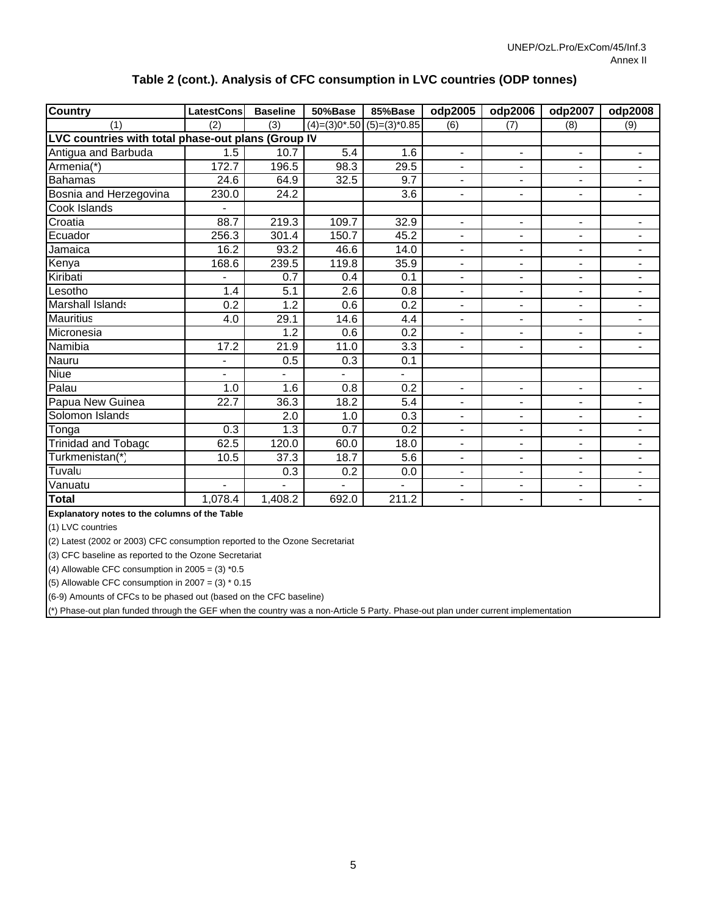| <b>Country</b>                                     | LatestCons               | <b>Baseline</b>          | 50%Base        | 85%Base                     | odp2005                  | odp2006                  | odp2007                  | odp2008 |
|----------------------------------------------------|--------------------------|--------------------------|----------------|-----------------------------|--------------------------|--------------------------|--------------------------|---------|
| (1)                                                | (2)                      | (3)                      |                | $(4)=(3)0*.50$ (5)=(3)*0.85 | (6)                      | (7)                      | (8)                      | (9)     |
| LVC countries with total phase-out plans (Group IV |                          |                          |                |                             |                          |                          |                          |         |
| Antigua and Barbuda                                | 1.5                      | 10.7                     | 5.4            | 1.6                         | $\blacksquare$           | $\blacksquare$           | $\overline{\phantom{0}}$ |         |
| Armenia(*)                                         | 172.7                    | 196.5                    | 98.3           | 29.5                        | $\overline{\phantom{0}}$ | $\overline{\phantom{0}}$ | $\overline{\phantom{0}}$ |         |
| <b>Bahamas</b>                                     | 24.6                     | 64.9                     | 32.5           | 9.7                         | $\blacksquare$           | $\blacksquare$           | $\overline{\phantom{0}}$ |         |
| Bosnia and Herzegovina                             | 230.0                    | 24.2                     |                | 3.6                         | $\blacksquare$           | $\blacksquare$           | $\overline{\phantom{0}}$ |         |
| Cook Islands                                       |                          |                          |                |                             |                          |                          |                          |         |
| Croatia                                            | 88.7                     | 219.3                    | 109.7          | 32.9                        | $\overline{\phantom{0}}$ | $\blacksquare$           | $\overline{\phantom{0}}$ |         |
| Ecuador                                            | 256.3                    | 301.4                    | 150.7          | 45.2                        | $\blacksquare$           | $\blacksquare$           | -                        |         |
| Jamaica                                            | 16.2                     | 93.2                     | 46.6           | 14.0                        | -                        | $\blacksquare$           | $\overline{\phantom{0}}$ |         |
| Kenya                                              | 168.6                    | 239.5                    | 119.8          | 35.9                        | -                        | $\blacksquare$           | $\overline{\phantom{0}}$ |         |
| Kiribati                                           |                          | 0.7                      | 0.4            | 0.1                         | $\blacksquare$           | $\blacksquare$           | $\overline{\phantom{0}}$ |         |
| Lesotho                                            | 1.4                      | 5.1                      | 2.6            | 0.8                         | $\blacksquare$           | $\blacksquare$           | $\overline{\phantom{0}}$ |         |
| Marshall Islands                                   | 0.2                      | 1.2                      | 0.6            | 0.2                         | -                        | $\blacksquare$           | $\overline{\phantom{0}}$ |         |
| <b>Mauritius</b>                                   | 4.0                      | 29.1                     | 14.6           | 4.4                         | $\blacksquare$           | $\overline{a}$           | -                        |         |
| Micronesia                                         |                          | 1.2                      | 0.6            | 0.2                         | $\blacksquare$           | $\blacksquare$           | -                        |         |
| Namibia                                            | 17.2                     | 21.9                     | 11.0           | 3.3                         | $\blacksquare$           | $\blacksquare$           | -                        |         |
| Nauru                                              | $\overline{\phantom{0}}$ | 0.5                      | 0.3            | 0.1                         |                          |                          |                          |         |
| Niue                                               | $\overline{\phantom{0}}$ | $\overline{\phantom{0}}$ | $\blacksquare$ | $\blacksquare$              |                          |                          |                          |         |
| Palau                                              | 1.0                      | 1.6                      | 0.8            | 0.2                         | $\overline{\phantom{0}}$ | $\blacksquare$           | -                        |         |
| Papua New Guinea                                   | 22.7                     | 36.3                     | 18.2           | 5.4                         | $\blacksquare$           | $\overline{\phantom{0}}$ | $\blacksquare$           |         |

Solomon Islands 1.0 2.0 0.3 - - - - Tonga 1.3 0.3 0.7 0.2 - - - - Trinidad and Tobago 120.0 62.5 60.0 18.0 - - - - Turkmenistan(\*) 37.3 10.5 18.7 5.6 - - - - Tuvalu 0.2 0.3 0.0 - - - - Vanuatu - - - - - - - - **Total** | 1,078.4 | 1,408.2 | 692.0 | 211.2 | - | - | - | -

#### **Table 2 (cont.). Analysis of CFC consumption in LVC countries (ODP tonnes)**

**Explanatory notes to the columns of the Table**

(1) LVC countries

(2) Latest (2002 or 2003) CFC consumption reported to the Ozone Secretariat

(3) CFC baseline as reported to the Ozone Secretariat

(4) Allowable CFC consumption in  $2005 = (3) *0.5$ 

(5) Allowable CFC consumption in  $2007 = (3) * 0.15$ 

(6-9) Amounts of CFCs to be phased out (based on the CFC baseline)

(\*) Phase-out plan funded through the GEF when the country was a non-Article 5 Party. Phase-out plan under current implementation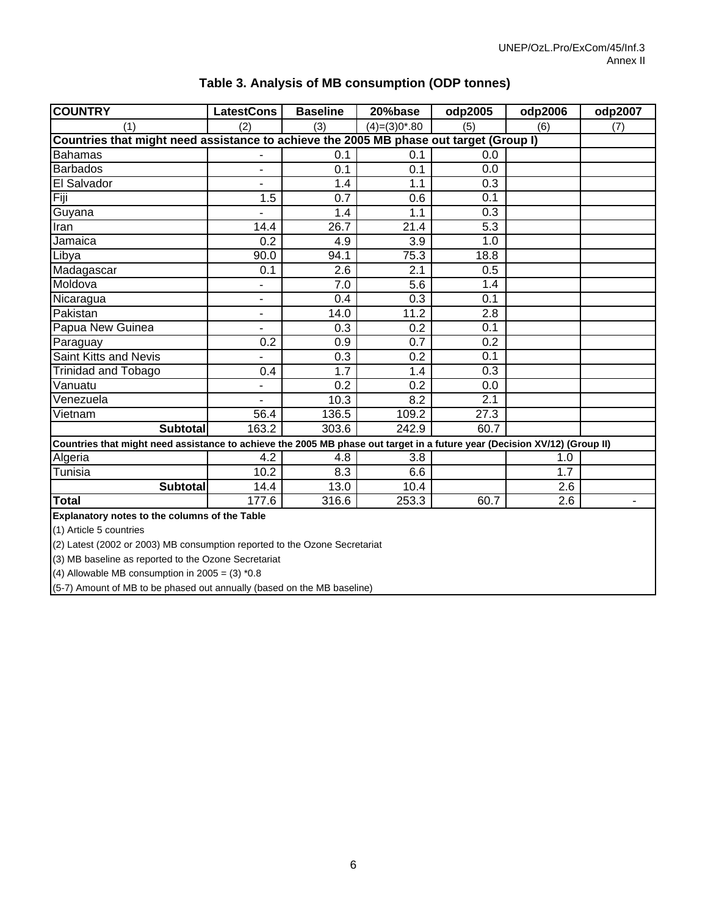| <b>COUNTRY</b>                                                                                                            | <b>LatestCons</b>        | <b>Baseline</b> | 20%base           | odp2005 | odp2006 | odp2007 |
|---------------------------------------------------------------------------------------------------------------------------|--------------------------|-----------------|-------------------|---------|---------|---------|
| (1)                                                                                                                       | (2)                      | (3)             | $(4) = (3)0$ *.80 | (5)     | (6)     | (7)     |
| Countries that might need assistance to achieve the 2005 MB phase out target (Group I)                                    |                          |                 |                   |         |         |         |
| <b>Bahamas</b>                                                                                                            |                          | 0.1             | 0.1               | 0.0     |         |         |
| <b>Barbados</b>                                                                                                           | $\blacksquare$           | 0.1             | 0.1               | 0.0     |         |         |
| El Salvador                                                                                                               | ä,                       | 1.4             | 1.1               | 0.3     |         |         |
| Fiji                                                                                                                      | 1.5                      | 0.7             | 0.6               | 0.1     |         |         |
| Guyana                                                                                                                    |                          | 1.4             | 1.1               | 0.3     |         |         |
| Iran                                                                                                                      | 14.4                     | 26.7            | 21.4              | 5.3     |         |         |
| Jamaica                                                                                                                   | 0.2                      | 4.9             | 3.9               | 1.0     |         |         |
| Libya                                                                                                                     | 90.0                     | 94.1            | 75.3              | 18.8    |         |         |
| Madagascar                                                                                                                | 0.1                      | 2.6             | 2.1               | 0.5     |         |         |
| Moldova                                                                                                                   | ٠                        | 7.0             | 5.6               | 1.4     |         |         |
| Nicaragua                                                                                                                 | $\blacksquare$           | 0.4             | 0.3               | 0.1     |         |         |
| Pakistan                                                                                                                  | $\overline{\phantom{a}}$ | 14.0            | 11.2              | 2.8     |         |         |
| Papua New Guinea                                                                                                          | ä,                       | 0.3             | 0.2               | 0.1     |         |         |
| Paraguay                                                                                                                  | 0.2                      | 0.9             | $\overline{0.7}$  | 0.2     |         |         |
| Saint Kitts and Nevis                                                                                                     |                          | 0.3             | 0.2               | 0.1     |         |         |
| Trinidad and Tobago                                                                                                       | 0.4                      | 1.7             | 1.4               | 0.3     |         |         |
| Vanuatu                                                                                                                   | ÷                        | 0.2             | 0.2               | 0.0     |         |         |
| Venezuela                                                                                                                 |                          | 10.3            | 8.2               | 2.1     |         |         |
| Vietnam                                                                                                                   | 56.4                     | 136.5           | 109.2             | 27.3    |         |         |
| <b>Subtotal</b>                                                                                                           | 163.2                    | 303.6           | 242.9             | 60.7    |         |         |
| Countries that might need assistance to achieve the 2005 MB phase out target in a future year (Decision XV/12) (Group II) |                          |                 |                   |         |         |         |
| Algeria                                                                                                                   | 4.2                      | 4.8             | 3.8               |         | 1.0     |         |
| Tunisia                                                                                                                   | 10.2                     | 8.3             | 6.6               |         | 1.7     |         |
| <b>Subtotal</b>                                                                                                           | 14.4                     | 13.0            | 10.4              |         | 2.6     |         |
| <b>Total</b>                                                                                                              | 177.6                    | 316.6           | 253.3             | 60.7    | 2.6     |         |
| Explanatory notes to the columns of the Table                                                                             |                          |                 |                   |         |         |         |
| (1) Article 5 countries                                                                                                   |                          |                 |                   |         |         |         |

### **Table 3. Analysis of MB consumption (ODP tonnes)**

 $(2)$  Latest (2002 or 2003) MB consumption reported to the Ozone Secretariat

(3) MB baseline as reported to the Ozone Secretariat

(4) Allowable MB consumption in  $2005 = (3) *0.8$ 

(5-7) Amount of MB to be phased out annually (based on the MB baseline)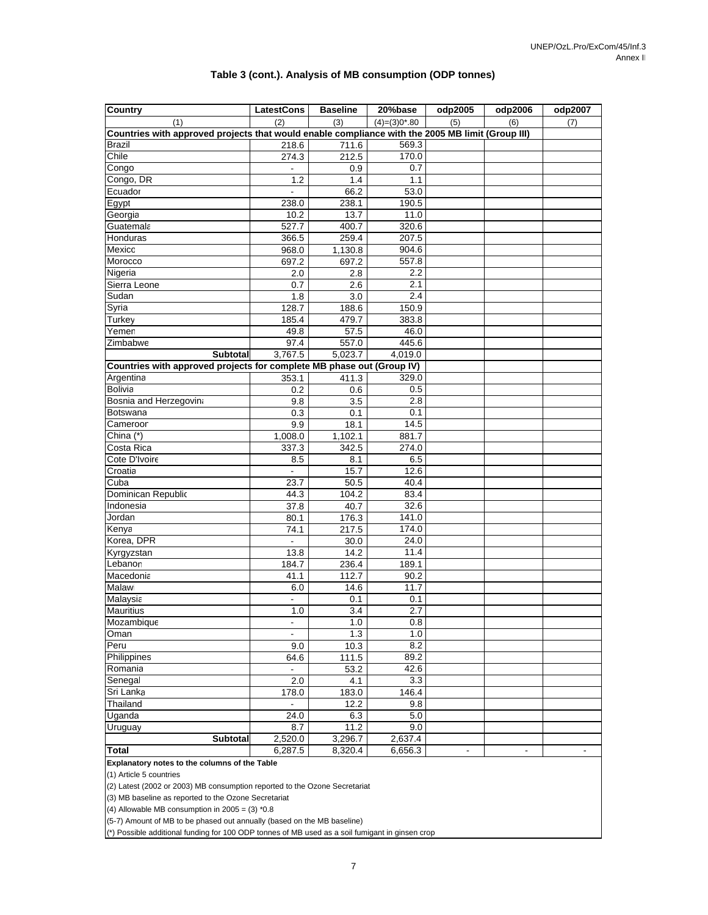#### **Table 3 (cont.). Analysis of MB consumption (ODP tonnes)**

| Country                                                                                          | <b>LatestCons</b> | <b>Baseline</b>    | 20%base         | odp2005 | odp2006                      | odp2007 |
|--------------------------------------------------------------------------------------------------|-------------------|--------------------|-----------------|---------|------------------------------|---------|
| (1)                                                                                              | (2)               | (3)                | $(4)=(3)0$ *.80 | (5)     | (6)                          | (7)     |
| Countries with approved projects that would enable compliance with the 2005 MB limit (Group III) |                   |                    |                 |         |                              |         |
| <b>Brazil</b>                                                                                    | 218.6             | 711.6              | 569.3           |         |                              |         |
| Chile                                                                                            | 274.3             | 212.5              | 170.0           |         |                              |         |
| Congo                                                                                            | $\blacksquare$    | 0.9                | 0.7             |         |                              |         |
| Congo, DR                                                                                        | 1.2               | 1.4                | 1.1             |         |                              |         |
| Ecuador                                                                                          |                   | 66.2               | 53.0            |         |                              |         |
| Egypt                                                                                            | 238.0             | 238.1              | 190.5           |         |                              |         |
| Georgia                                                                                          | 10.2              | 13.7               | 11.0            |         |                              |         |
| Guatemala                                                                                        | 527.7             | 400.7              | 320.6           |         |                              |         |
| Honduras                                                                                         | 366.5             | 259.4              | 207.5           |         |                              |         |
| Mexico                                                                                           | 968.0             | 1,130.8            | 904.6           |         |                              |         |
| Morocco                                                                                          | 697.2             | 697.2              | 557.8           |         |                              |         |
| Nigeria                                                                                          | 2.0               | 2.8                | 2.2             |         |                              |         |
| Sierra Leone                                                                                     | 0.7               | 2.6                | 2.1             |         |                              |         |
| Sudan                                                                                            | 1.8               | 3.0                | 2.4             |         |                              |         |
| Syria                                                                                            | 128.7             | 188.6              | 150.9           |         |                              |         |
| Turkey                                                                                           | 185.4             | 479.7              | 383.8           |         |                              |         |
| Yemen                                                                                            | 49.8              | 57.5               | 46.0            |         |                              |         |
| Zimbabwe                                                                                         | 97.4              | 557.0              | 445.6           |         |                              |         |
| <b>Subtotal</b>                                                                                  | 3,767.5           | 5,023.7            | 4,019.0         |         |                              |         |
| Countries with approved projects for complete MB phase out (Group IV)                            |                   |                    |                 |         |                              |         |
| Argentina                                                                                        | 353.1             | 411.3              | 329.0           |         |                              |         |
| <b>Bolivia</b>                                                                                   | 0.2               | 0.6                | 0.5             |         |                              |         |
| Bosnia and Herzegovina                                                                           | 9.8               | 3.5                | 2.8             |         |                              |         |
| Botswana                                                                                         | 0.3               | 0.1                | 0.1             |         |                              |         |
| Cameroor                                                                                         | 9.9               | 18.1               | 14.5            |         |                              |         |
| China $(*)$                                                                                      | 1,008.0           | 1,102.1            | 881.7           |         |                              |         |
| Costa Rica                                                                                       | 337.3             | 342.5              | 274.0           |         |                              |         |
| Cote D'Ivoire                                                                                    | 8.5               | 8.1                | 6.5             |         |                              |         |
| Croatia                                                                                          | $\blacksquare$    | 15.7               | 12.6            |         |                              |         |
| Cuba                                                                                             | 23.7              | 50.5               | 40.4            |         |                              |         |
| Dominican Republic                                                                               | 44.3              | 104.2              | 83.4            |         |                              |         |
| Indonesia                                                                                        | 37.8              | 40.7               | 32.6            |         |                              |         |
| Jordan                                                                                           | 80.1<br>74.1      | 176.3              | 141.0           |         |                              |         |
| Kenya<br>Korea, DPR                                                                              |                   | 217.5<br>30.0      | 174.0<br>24.0   |         |                              |         |
| Kyrgyzstan                                                                                       | 13.8              | $\overline{1}$ 4.2 | 11.4            |         |                              |         |
| Lebanon                                                                                          | 184.7             | 236.4              | 189.1           |         |                              |         |
| Macedonia                                                                                        | 41.1              | 112.7              | 90.2            |         |                              |         |
| Malawi                                                                                           | 6.0               | 14.6               | 11.7            |         |                              |         |
| Malaysia                                                                                         | $\blacksquare$    | 0.1                | 0.1             |         |                              |         |
| <b>Mauritius</b>                                                                                 | 1.0               | 3.4                | 2.7             |         |                              |         |
| Mozambique                                                                                       | $\blacksquare$    | 1.0                | 0.8             |         |                              |         |
| Oman                                                                                             |                   | 1.3                | 1.0             |         |                              |         |
| Peru                                                                                             | 9.0               | 10.3               | 8.2             |         |                              |         |
| Philippines                                                                                      | 64.6              | 111.5              | 89.2            |         |                              |         |
| Romania                                                                                          |                   | 53.2               | 42.6            |         |                              |         |
| Senegal                                                                                          | 2.0               | 4.1                | 3.3             |         |                              |         |
| Sri Lanka                                                                                        | 178.0             | 183.0              | 146.4           |         |                              |         |
| Thailand                                                                                         |                   | 12.2               | 9.8             |         |                              |         |
| Uganda                                                                                           | 24.0              | 6.3                | 5.0             |         |                              |         |
| Uruguay                                                                                          | 8.7               | 11.2               | 9.0             |         |                              |         |
| Subtotal                                                                                         | 2,520.0           | 3,296.7            | 2,637.4         |         |                              |         |
| <b>Total</b>                                                                                     | 6,287.5           | 8,320.4            | 6,656.3         |         | $\qquad \qquad \blacksquare$ |         |
| Explanatory notes to the columns of the Table                                                    |                   |                    |                 |         |                              |         |

(1) Article 5 countries

(2) Latest (2002 or 2003) MB consumption reported to the Ozone Secretariat

(3) MB baseline as reported to the Ozone Secretariat

(4) Allowable MB consumption in  $2005 = (3) *0.8$ 

(5-7) Amount of MB to be phased out annually (based on the MB baseline)

(\*) Possible additional funding for 100 ODP tonnes of MB used as a soil fumigant in ginsen crop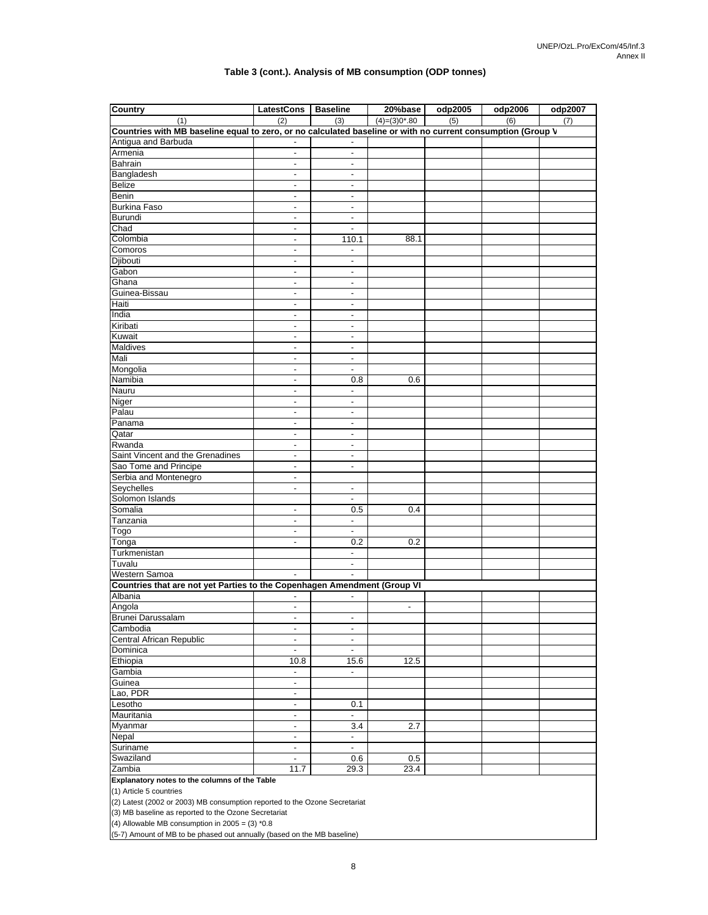#### **Table 3 (cont.). Analysis of MB consumption (ODP tonnes)**

| <b>Country</b>                                                                                              | LatestCons   Baseline                                |                                            | 20%base                  | odp2005 | odp2006 | odp2007 |
|-------------------------------------------------------------------------------------------------------------|------------------------------------------------------|--------------------------------------------|--------------------------|---------|---------|---------|
| (1)                                                                                                         | (2)                                                  | (3)                                        | $(4)=(3)0*0.80$          | (5)     | (6)     | (7)     |
| Countries with MB baseline equal to zero, or no calculated baseline or with no current consumption (Group V |                                                      |                                            |                          |         |         |         |
| Antigua and Barbuda                                                                                         | $\blacksquare$                                       |                                            |                          |         |         |         |
| Armenia                                                                                                     |                                                      |                                            |                          |         |         |         |
| Bahrain                                                                                                     | $\overline{\phantom{a}}$                             | $\overline{\phantom{a}}$                   |                          |         |         |         |
| Bangladesh                                                                                                  | $\overline{\phantom{a}}$                             | $\overline{\phantom{a}}$                   |                          |         |         |         |
| Belize                                                                                                      | $\blacksquare$                                       | $\overline{\phantom{a}}$                   |                          |         |         |         |
| Benin                                                                                                       | ٠                                                    | $\blacksquare$                             |                          |         |         |         |
| <b>Burkina Faso</b>                                                                                         | $\overline{\phantom{0}}$                             | $\overline{\phantom{a}}$                   |                          |         |         |         |
| <b>Burundi</b>                                                                                              | $\overline{\phantom{a}}$                             | $\overline{\phantom{a}}$                   |                          |         |         |         |
| Chad                                                                                                        | $\overline{\phantom{a}}$                             | $\blacksquare$                             |                          |         |         |         |
| Colombia                                                                                                    | $\blacksquare$                                       | 110.1                                      | 88.1                     |         |         |         |
| Comoros                                                                                                     | $\overline{a}$                                       | $\overline{\phantom{a}}$                   |                          |         |         |         |
| Djibouti                                                                                                    | $\overline{\phantom{a}}$                             | $\overline{\phantom{a}}$                   |                          |         |         |         |
| Gabon                                                                                                       | $\overline{\phantom{a}}$                             | $\blacksquare$                             |                          |         |         |         |
| Ghana                                                                                                       | $\blacksquare$                                       | $\overline{\phantom{a}}$                   |                          |         |         |         |
| Guinea-Bissau                                                                                               | $\overline{a}$                                       | $\blacksquare$                             |                          |         |         |         |
| Haiti                                                                                                       | $\overline{\phantom{a}}$                             | $\overline{\phantom{a}}$                   |                          |         |         |         |
| India                                                                                                       | $\blacksquare$                                       | $\blacksquare$                             |                          |         |         |         |
| Kiribati                                                                                                    | $\overline{a}$                                       | $\overline{\phantom{a}}$                   |                          |         |         |         |
| Kuwait                                                                                                      | $\overline{\phantom{0}}$                             | $\overline{\phantom{a}}$                   |                          |         |         |         |
| Maldives<br>Mali                                                                                            | $\overline{\phantom{a}}$                             | $\overline{\phantom{a}}$                   |                          |         |         |         |
|                                                                                                             | $\overline{\phantom{a}}$                             | $\overline{\phantom{a}}$                   |                          |         |         |         |
| Mongolia<br>Namibia                                                                                         | $\blacksquare$                                       | $\overline{\phantom{a}}$                   |                          |         |         |         |
| Nauru                                                                                                       | $\overline{\phantom{0}}$<br>$\overline{\phantom{a}}$ | 0.8                                        | 0.6                      |         |         |         |
| <b>Niger</b>                                                                                                | $\blacksquare$                                       | $\overline{\phantom{a}}$<br>$\blacksquare$ |                          |         |         |         |
| Palau                                                                                                       | $\overline{\phantom{a}}$                             | $\overline{\phantom{a}}$                   |                          |         |         |         |
| Panama                                                                                                      | ٠                                                    | $\overline{\phantom{0}}$                   |                          |         |         |         |
| Qatar                                                                                                       | $\overline{\phantom{a}}$                             | $\overline{\phantom{a}}$                   |                          |         |         |         |
| Rwanda                                                                                                      | $\overline{\phantom{a}}$                             | $\blacksquare$                             |                          |         |         |         |
| Saint Vincent and the Grenadines                                                                            | $\overline{\phantom{a}}$                             | $\overline{\phantom{a}}$                   |                          |         |         |         |
| Sao Tome and Principe                                                                                       | $\overline{a}$                                       | $\overline{\phantom{0}}$                   |                          |         |         |         |
| Serbia and Montenegro                                                                                       | $\overline{\phantom{0}}$                             |                                            |                          |         |         |         |
| Seychelles                                                                                                  | $\overline{a}$                                       | $\overline{\phantom{a}}$                   |                          |         |         |         |
| Solomon Islands                                                                                             |                                                      | $\blacksquare$                             |                          |         |         |         |
| Somalia                                                                                                     | $\overline{\phantom{a}}$                             | 0.5                                        | 0.4                      |         |         |         |
| Tanzania                                                                                                    |                                                      | $\blacksquare$                             |                          |         |         |         |
| Togo                                                                                                        | $\overline{\phantom{a}}$                             | $\overline{\phantom{a}}$                   |                          |         |         |         |
| Tonga                                                                                                       | $\overline{\phantom{a}}$                             | 0.2                                        | 0.2                      |         |         |         |
| Turkmenistan                                                                                                |                                                      | $\blacksquare$                             |                          |         |         |         |
| Tuvalu                                                                                                      |                                                      | $\overline{\phantom{a}}$                   |                          |         |         |         |
| Western Samoa                                                                                               | $\overline{\phantom{a}}$                             | $\overline{\phantom{a}}$                   |                          |         |         |         |
| Countries that are not yet Parties to the Copenhagen Amendment (Group VI                                    |                                                      |                                            |                          |         |         |         |
| Albania                                                                                                     |                                                      | $\overline{\phantom{a}}$                   |                          |         |         |         |
| Angola                                                                                                      | $\overline{\phantom{a}}$                             |                                            | $\overline{\phantom{a}}$ |         |         |         |
| <b>Brunei Darussalam</b>                                                                                    |                                                      | ٠                                          |                          |         |         |         |
| Cambodia                                                                                                    | $\overline{\phantom{a}}$                             | $\overline{\phantom{a}}$                   |                          |         |         |         |
| Central African Republic                                                                                    | $\overline{\phantom{a}}$                             | $\overline{\phantom{a}}$                   |                          |         |         |         |
| Dominica                                                                                                    | $\overline{\phantom{a}}$                             | $\overline{\phantom{a}}$                   |                          |         |         |         |
| Ethiopia                                                                                                    | 10.8                                                 | 15.6                                       | 12.5                     |         |         |         |
| Gambia                                                                                                      | $\overline{\phantom{a}}$                             | $\blacksquare$                             |                          |         |         |         |
| Guinea<br>Lao, PDR                                                                                          | $\overline{\phantom{a}}$                             |                                            |                          |         |         |         |
| Lesotho                                                                                                     |                                                      |                                            |                          |         |         |         |
| Mauritania                                                                                                  | $\overline{\phantom{a}}$<br>$\overline{\phantom{a}}$ | 0.1<br>$\overline{\phantom{a}}$            |                          |         |         |         |
| Myanmar                                                                                                     | $\overline{\phantom{a}}$                             | 3.4                                        | 2.7                      |         |         |         |
| <b>Nepal</b>                                                                                                | $\qquad \qquad \blacksquare$                         | $\overline{\phantom{a}}$                   |                          |         |         |         |
| Suriname                                                                                                    | $\overline{\phantom{a}}$                             | $\overline{\phantom{a}}$                   |                          |         |         |         |
| Swaziland                                                                                                   | $\overline{\phantom{a}}$                             | 0.6                                        | 0.5                      |         |         |         |
| Zambia                                                                                                      | 11.7                                                 | 29.3                                       | 23.4                     |         |         |         |
| Explanatory notes to the columns of the Table                                                               |                                                      |                                            |                          |         |         |         |

(1) Article 5 countries

(2) Latest (2002 or 2003) MB consumption reported to the Ozone Secretariat

(3) MB baseline as reported to the Ozone Secretariat

(4) Allowable MB consumption in  $2005 = (3)$  \*0.8

(5-7) Amount of MB to be phased out annually (based on the MB baseline)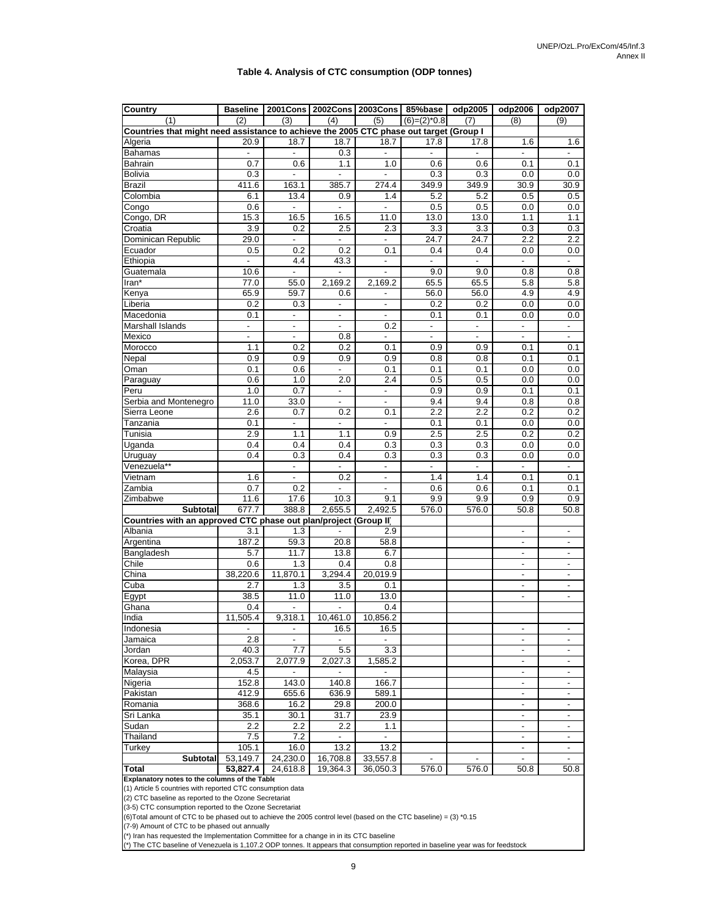#### **Table 4. Analysis of CTC consumption (ODP tonnes)**

| <b>Country</b>                                                                                              | <b>Baseline</b>          |                          | 2001Cons   2002Cons      | 2003Cons                     | 85%base                         | odp2005                         | odp2006                         | odp2007                         |
|-------------------------------------------------------------------------------------------------------------|--------------------------|--------------------------|--------------------------|------------------------------|---------------------------------|---------------------------------|---------------------------------|---------------------------------|
| (1)                                                                                                         | (2)                      | (3)                      | (4)                      | (5)                          | $(6)=(2)^*0.8$                  | (7)                             | (8)                             | (9)                             |
| Countries that might need assistance to achieve the 2005 CTC phase out target (Group I                      |                          |                          |                          |                              |                                 |                                 |                                 |                                 |
| Algeria                                                                                                     | 20.9                     | 18.7                     | 18.7                     | 18.7                         | 17.8                            | 17.8                            | 1.6                             | 1.6                             |
| <b>Bahamas</b>                                                                                              |                          |                          | 0.3                      | ÷,                           |                                 | $\overline{\phantom{a}}$        | $\blacksquare$                  | $\overline{a}$                  |
| Bahrain                                                                                                     | 0.7                      | 0.6                      | 1.1                      | 1.0                          | 0.6                             | 0.6                             | 0.1                             | 0.1                             |
| <b>Bolivia</b>                                                                                              | 0.3                      | $\overline{\phantom{a}}$ | $\blacksquare$           | ÷,                           | 0.3                             | 0.3                             | 0.0                             | 0.0                             |
| <b>Brazil</b>                                                                                               | 411.6                    | 163.1                    | 385.7                    | 274.4                        | 349.9                           | 349.9                           | 30.9                            | 30.9                            |
| Colombia                                                                                                    | 6.1                      | 13.4                     | 0.9                      | 1.4                          | 5.2                             | 5.2                             | 0.5                             | 0.5                             |
| Congo                                                                                                       | 0.6                      |                          | $\overline{\phantom{a}}$ | -                            | 0.5                             | 0.5                             | 0.0                             | 0.0                             |
| Congo, DR                                                                                                   | 15.3                     | 16.5                     | 16.5                     | 11.0                         | 13.0                            | 13.0                            | 1.1                             | 1.1                             |
| Croatia                                                                                                     | 3.9                      | 0.2                      | 2.5                      | 2.3                          | 3.3                             | 3.3                             | 0.3                             | 0.3                             |
| Dominican Republic                                                                                          | 29.0                     | $\overline{\phantom{a}}$ | $\overline{\phantom{a}}$ | $\overline{\phantom{a}}$     | 24.7                            | 24.7                            | 2.2                             | $2.2\,$                         |
| Ecuador                                                                                                     | 0.5<br>$\blacksquare$    | 0.2                      | 0.2                      | 0.1                          | 0.4                             | 0.4                             | 0.0                             | 0.0                             |
| Ethiopia                                                                                                    | 10.6                     | 4.4<br>$\overline{a}$    | 43.3<br>$\blacksquare$   | $\overline{\phantom{a}}$     | $\overline{\phantom{a}}$<br>9.0 | $\overline{\phantom{a}}$<br>9.0 | $\overline{\phantom{a}}$<br>0.8 | $\overline{\phantom{a}}$<br>0.8 |
| Guatemala<br>Iran*                                                                                          | 77.0                     | 55.0                     | 2,169.2                  | 2,169.2                      | 65.5                            | 65.5                            | 5.8                             | 5.8                             |
| Kenya                                                                                                       | 65.9                     | 59.7                     | 0.6                      | $\overline{\phantom{a}}$     | 56.0                            | 56.0                            | 4.9                             | 4.9                             |
| Liberia                                                                                                     | 0.2                      | 0.3                      | ۰                        | $\overline{\phantom{a}}$     | 0.2                             | 0.2                             | 0.0                             | $0.0\,$                         |
| Macedonia                                                                                                   | 0.1                      | $\frac{1}{2}$            | $\overline{\phantom{a}}$ | $\qquad \qquad \blacksquare$ | 0.1                             | 0.1                             | 0.0                             | 0.0                             |
| Marshall Islands                                                                                            | $\overline{\phantom{a}}$ | $\overline{\phantom{a}}$ | $\overline{\phantom{a}}$ | 0.2                          | $\blacksquare$                  | $\overline{\phantom{a}}$        | $\blacksquare$                  | $\overline{\phantom{a}}$        |
| Mexico                                                                                                      | $\blacksquare$           | $\overline{\phantom{a}}$ | 0.8                      | $\blacksquare$               | $\overline{\phantom{a}}$        | $\overline{\phantom{a}}$        | $\overline{\phantom{a}}$        | $\blacksquare$                  |
| Morocco                                                                                                     | 1.1                      | 0.2                      | 0.2                      | 0.1                          | 0.9                             | 0.9                             | 0.1                             | 0.1                             |
| Nepal                                                                                                       | 0.9                      | 0.9                      | 0.9                      | 0.9                          | 0.8                             | 0.8                             | 0.1                             | 0.1                             |
| Oman                                                                                                        | 0.1                      | 0.6                      | L.                       | 0.1                          | 0.1                             | 0.1                             | 0.0                             | 0.0                             |
| Paraguay                                                                                                    | 0.6                      | 1.0                      | 2.0                      | 2.4                          | 0.5                             | 0.5                             | 0.0                             | 0.0                             |
| Peru                                                                                                        | 1.0                      | 0.7                      |                          | $\overline{\phantom{a}}$     | 0.9                             | 0.9                             | 0.1                             | 0.1                             |
| Serbia and Montenegro                                                                                       | 11.0                     | 33.0                     | $\overline{\phantom{a}}$ | $\overline{\phantom{a}}$     | 9.4                             | 9.4                             | 0.8                             | 0.8                             |
| Sierra Leone                                                                                                | 2.6                      | 0.7                      | 0.2                      | 0.1                          | $2.2\,$                         | 2.2                             | 0.2                             | 0.2                             |
| Tanzania                                                                                                    | 0.1                      | $\blacksquare$           | ÷.                       | $\overline{a}$               | 0.1                             | 0.1                             | 0.0                             | 0.0                             |
| Tunisia                                                                                                     | 2.9                      | 1.1                      | 1.1                      | 0.9                          | $\overline{2.5}$                | 2.5                             | 0.2                             | 0.2                             |
| Uganda                                                                                                      | 0.4                      | 0.4                      | 0.4                      | 0.3                          | 0.3                             | 0.3                             | 0.0                             | 0.0                             |
| Uruguay                                                                                                     | 0.4                      | 0.3                      | 0.4                      | 0.3                          | 0.3                             | 0.3                             | 0.0                             | 0.0                             |
| Venezuela**                                                                                                 |                          | $\overline{\phantom{a}}$ | $\overline{\phantom{0}}$ |                              | $\overline{a}$                  | $\mathbf{r}$                    |                                 | $\overline{a}$                  |
| Vietnam                                                                                                     | 1.6                      | $\blacksquare$           | 0.2                      | $\blacksquare$               | 1.4                             | 1.4                             | 0.1                             | 0.1                             |
| Zambia                                                                                                      | 0.7                      | 0.2                      |                          |                              | 0.6                             | 0.6                             | 0.1                             | 0.1                             |
| Zimbabwe                                                                                                    | 11.6                     | 17.6                     | 10.3                     | 9.1                          | 9.9                             | 9.9                             | 0.9                             | 0.9                             |
| <b>Subtotal</b>                                                                                             | 677.7                    | 388.8                    | 2,655.5                  | 2,492.5                      | 576.0                           | 576.0                           | 50.8                            | 50.8                            |
| Countries with an approved CTC phase out plan/project (Group II)                                            |                          |                          |                          |                              |                                 |                                 |                                 |                                 |
| Albania                                                                                                     | 3.1                      | 1.3                      |                          | 2.9                          |                                 |                                 | $\blacksquare$                  |                                 |
| Argentina                                                                                                   | 187.2                    | 59.3                     | 20.8                     | 58.8                         |                                 |                                 | $\overline{\phantom{a}}$        | $\overline{\phantom{a}}$        |
| Bangladesh<br>Chile                                                                                         | 5.7<br>0.6               | 11.7<br>1.3              | 13.8<br>0.4              | 6.7<br>0.8                   |                                 |                                 | $\overline{\phantom{a}}$        | $\overline{\phantom{a}}$        |
| China                                                                                                       | 38,220.6                 | 11,870.1                 | 3,294.4                  | 20,019.9                     |                                 |                                 | $\overline{\phantom{a}}$        | $\overline{\phantom{a}}$        |
| Cuba                                                                                                        | 2.7                      | 1.3                      | 3.5                      | 0.1                          |                                 |                                 | $\overline{\phantom{a}}$        | $\blacksquare$                  |
| Egypt                                                                                                       | 38.5                     | 11.0                     | 11.0                     | 13.0                         |                                 |                                 | $\overline{\phantom{a}}$        | $\blacksquare$                  |
| Ghana                                                                                                       | 0.4                      | $\overline{\phantom{a}}$ | $\overline{\phantom{a}}$ | 0.4                          |                                 |                                 |                                 |                                 |
| India                                                                                                       | 11,505.4                 | 9,318.1                  | 10,461.0                 | 10,856.2                     |                                 |                                 |                                 |                                 |
| Indonesia                                                                                                   | $\blacksquare$           | $\blacksquare$           | 16.5                     | 16.5                         |                                 |                                 | $\overline{\phantom{a}}$        |                                 |
| Jamaica                                                                                                     | 2.8                      |                          |                          |                              |                                 |                                 | $\overline{\phantom{a}}$        |                                 |
| Jordan                                                                                                      | 40.3                     | 7.7                      | 5.5                      | 3.3                          |                                 |                                 | -                               | -                               |
| Korea, DPR                                                                                                  | 2,053.7                  | 2,077.9                  | 2,027.3                  | 1,585.2                      |                                 |                                 | $\overline{\phantom{a}}$        |                                 |
| Malaysia                                                                                                    | 4.5                      |                          |                          |                              |                                 |                                 | $\overline{\phantom{a}}$        | $\overline{\phantom{a}}$        |
| Nigeria                                                                                                     | 152.8                    | 143.0                    | 140.8                    | 166.7                        |                                 |                                 | $\overline{\phantom{a}}$        | $\overline{\phantom{a}}$        |
| Pakistan                                                                                                    | 412.9                    | 655.6                    | 636.9                    | 589.1                        |                                 |                                 | $\blacksquare$                  |                                 |
| Romania                                                                                                     | 368.6                    | 16.2                     | 29.8                     | 200.0                        |                                 |                                 | $\overline{\phantom{a}}$        |                                 |
| Sri Lanka                                                                                                   | 35.1                     | 30.1                     | 31.7                     | 23.9                         |                                 |                                 | $\blacksquare$                  |                                 |
| Sudan                                                                                                       | 2.2                      | 2.2                      | 2.2                      | 1.1                          |                                 |                                 | $\overline{\phantom{a}}$        | ۰                               |
| Thailand                                                                                                    | 7.5                      | 7.2                      |                          |                              |                                 |                                 |                                 |                                 |
| Turkey                                                                                                      | 105.1                    | 16.0                     | 13.2                     | 13.2                         |                                 |                                 | $\overline{\phantom{a}}$        | -                               |
| <b>Subtotal</b>                                                                                             | 53,149.7                 | 24,230.0                 | 16,708.8                 | 33,557.8                     | ٠                               |                                 | $\overline{\phantom{a}}$        |                                 |
| Total                                                                                                       | 53,827.4                 | 24,618.8                 | 19,364.3                 | 36,050.3                     | 576.0                           | 576.0                           | 50.8                            | 50.8                            |
| Explanatory notes to the columns of the Table<br>(1) Article 5 countries with reported CTC consumption data |                          |                          |                          |                              |                                 |                                 |                                 |                                 |
|                                                                                                             |                          |                          |                          |                              |                                 |                                 |                                 |                                 |

(2) CTC baseline as reported to the Ozone Secretariat (3-5) CTC consumption reported to the Ozone Secretariat

(6)Total amount of CTC to be phased out to achieve the 2005 control level (based on the CTC baseline) = (3) \*0.15

(7-9) Amount of CTC to be phased out annually

(\*) Iran has requested the Implementation Committee for a change in in its CTC baseline

(\*) The CTC baseline of Venezuela is 1,107.2 ODP tonnes. It appears that consumption reported in baseline year was for feedstock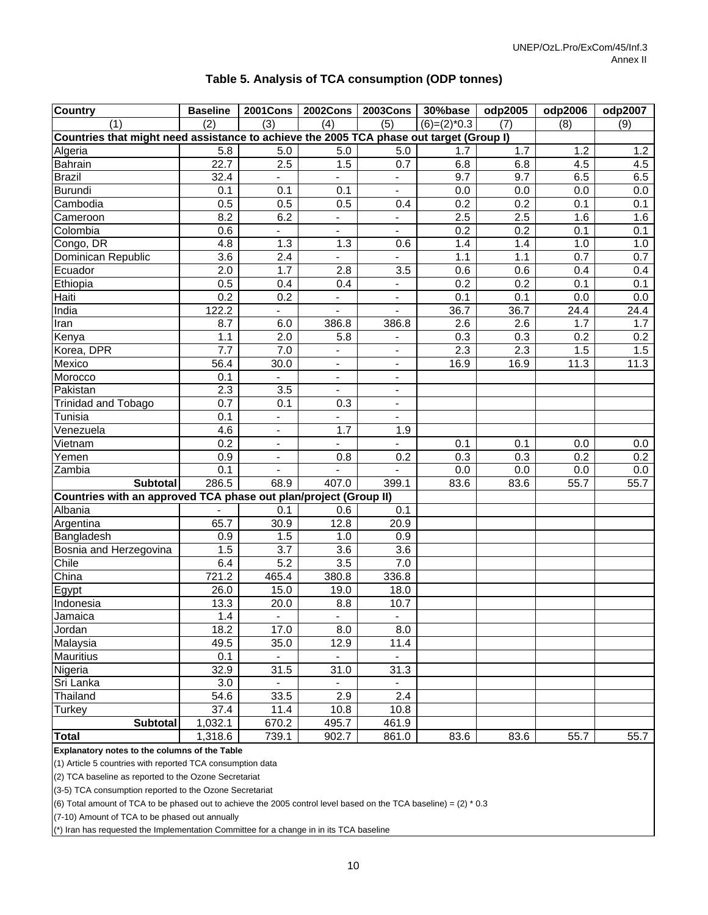| <b>Country</b>                                                                          | <b>Baseline</b>  |                          | 2001Cons   2002Cons      | <b>2003Cons</b> | 30%base          | odp2005          | odp2006 | odp2007 |
|-----------------------------------------------------------------------------------------|------------------|--------------------------|--------------------------|-----------------|------------------|------------------|---------|---------|
| (1)                                                                                     | (2)              | (3)                      | (4)                      | (5)             | $(6)=(2)^*0.3$   | (7)              | (8)     | (9)     |
| Countries that might need assistance to achieve the 2005 TCA phase out target (Group I) |                  |                          |                          |                 |                  |                  |         |         |
| Algeria                                                                                 | 5.8              | 5.0                      | 5.0                      | 5.0             | 1.7              | 1.7              | 1.2     | 1.2     |
| Bahrain                                                                                 | 22.7             | 2.5                      | 1.5                      | 0.7             | 6.8              | 6.8              | 4.5     | 4.5     |
| Brazil                                                                                  | 32.4             | ä,                       | $\blacksquare$           | $\blacksquare$  | 9.7              | 9.7              | 6.5     | 6.5     |
| <b>Burundi</b>                                                                          | 0.1              | 0.1                      | 0.1                      | $\blacksquare$  | 0.0              | 0.0              | 0.0     | 0.0     |
| Cambodia                                                                                | 0.5              | 0.5                      | 0.5                      | 0.4             | 0.2              | 0.2              | 0.1     | 0.1     |
| Cameroon                                                                                | 8.2              | 6.2                      |                          | $\blacksquare$  | 2.5              | 2.5              | 1.6     | 1.6     |
| Colombia                                                                                | 0.6              |                          |                          | $\blacksquare$  | $\overline{0.2}$ | $\overline{0.2}$ | 0.1     | 0.1     |
| Congo, DR                                                                               | 4.8              | 1.3                      | 1.3                      | 0.6             | 1.4              | 1.4              | 1.0     | 1.0     |
| Dominican Republic                                                                      | 3.6              | 2.4                      | ÷.                       | $\blacksquare$  | 1.1              | 1.1              | 0.7     | 0.7     |
| Ecuador                                                                                 | 2.0              | 1.7                      | 2.8                      | 3.5             | 0.6              | 0.6              | 0.4     | 0.4     |
| Ethiopia                                                                                | 0.5              | 0.4                      | 0.4                      | $\blacksquare$  | 0.2              | 0.2              | 0.1     | 0.1     |
| Haiti                                                                                   | 0.2              | $0.\overline{2}$         | $\blacksquare$           | $\blacksquare$  | 0.1              | 0.1              | 0.0     | 0.0     |
| India                                                                                   | 122.2            | $\overline{\phantom{0}}$ | $\blacksquare$           | $\blacksquare$  | 36.7             | 36.7             | 24.4    | 24.4    |
| Iran                                                                                    | 8.7              | 6.0                      | 386.8                    | 386.8           | 2.6              | 2.6              | 1.7     | 1.7     |
| Kenya                                                                                   | 1.1              | 2.0                      | 5.8                      | $\blacksquare$  | 0.3              | 0.3              | 0.2     | 0.2     |
| Korea, DPR                                                                              | $\overline{7.7}$ | 7.0                      | $\blacksquare$           | $\blacksquare$  | 2.3              | 2.3              | 1.5     | 1.5     |
| Mexico                                                                                  | 56.4             | 30.0                     | $\blacksquare$           | $\blacksquare$  | 16.9             | 16.9             | 11.3    | 11.3    |
| Morocco                                                                                 | 0.1              |                          | $\blacksquare$           | $\blacksquare$  |                  |                  |         |         |
| Pakistan                                                                                | 2.3              | $\overline{3.5}$         | $\overline{\phantom{a}}$ | $\blacksquare$  |                  |                  |         |         |
| Trinidad and Tobago                                                                     | $\overline{0.7}$ | 0.1                      | 0.3                      | $\blacksquare$  |                  |                  |         |         |
| Tunisia                                                                                 | 0.1              | $\overline{a}$           |                          | $\blacksquare$  |                  |                  |         |         |
| Venezuela                                                                               | 4.6              | $\overline{\phantom{0}}$ | 1.7                      | 1.9             |                  |                  |         |         |
| Vietnam                                                                                 | 0.2              | $\blacksquare$           | $\blacksquare$           | $\blacksquare$  | 0.1              | 0.1              | 0.0     | 0.0     |
| Yemen                                                                                   | 0.9              | $\blacksquare$           | 0.8                      | 0.2             | 0.3              | 0.3              | 0.2     | 0.2     |
| Zambia                                                                                  | 0.1              |                          |                          |                 | 0.0              | 0.0              | 0.0     | $0.0\,$ |
| <b>Subtotal</b>                                                                         | 286.5            | 68.9                     | 407.0                    | 399.1           | 83.6             | 83.6             | 55.7    | 55.7    |
| Countries with an approved TCA phase out plan/project (Group II)                        |                  |                          |                          |                 |                  |                  |         |         |
| Albania                                                                                 |                  | 0.1                      | 0.6                      | 0.1             |                  |                  |         |         |
| Argentina                                                                               | 65.7             | 30.9                     | 12.8                     | 20.9            |                  |                  |         |         |
| Bangladesh                                                                              | 0.9              | 1.5                      | 1.0                      | 0.9             |                  |                  |         |         |
| Bosnia and Herzegovina                                                                  | 1.5              | 3.7                      | 3.6                      | 3.6             |                  |                  |         |         |
| Chile                                                                                   | 6.4              | $\overline{5.2}$         | $\overline{3.5}$         | 7.0             |                  |                  |         |         |
| China                                                                                   | 721.2            | 465.4                    | 380.8                    | 336.8           |                  |                  |         |         |
| Egypt                                                                                   | 26.0             | 15.0                     | 19.0                     | 18.0            |                  |                  |         |         |
| Indonesia                                                                               | 13.3             | 20.0                     | 8.8                      | 10.7            |                  |                  |         |         |
| Jamaica                                                                                 | $1.4$            |                          |                          |                 |                  |                  |         |         |
| Jordan                                                                                  | 18.2             | 17.0                     | 8.0                      | 8.0             |                  |                  |         |         |
| Malaysia                                                                                | 49.5             | 35.0                     | 12.9                     | 11.4            |                  |                  |         |         |
| <b>Mauritius</b>                                                                        | 0.1              |                          |                          |                 |                  |                  |         |         |
| Nigeria                                                                                 | 32.9             | 31.5                     | 31.0                     | 31.3            |                  |                  |         |         |
| Sri Lanka                                                                               | 3.0              |                          |                          |                 |                  |                  |         |         |
| Thailand                                                                                | 54.6             | 33.5                     | 2.9                      | 2.4             |                  |                  |         |         |
| <b>Turkey</b>                                                                           | 37.4             | $\overline{11.4}$        | 10.8                     | 10.8            |                  |                  |         |         |
| <b>Subtotal</b>                                                                         | 1,032.1          | 670.2                    | 495.7                    | 461.9           |                  |                  |         |         |
| Total                                                                                   | 1,318.6          | 739.1                    | 902.7                    | 861.0           | 83.6             | 83.6             | 55.7    | 55.7    |

#### **Table 5. Analysis of TCA consumption (ODP tonnes)**

**Explanatory notes to the columns of the Table**

(1) Article 5 countries with reported TCA consumption data

(2) TCA baseline as reported to the Ozone Secretariat

(3-5) TCA consumption reported to the Ozone Secretariat

(6) Total amount of TCA to be phased out to achieve the 2005 control level based on the TCA baseline) =  $(2)$  \* 0.3

(7-10) Amount of TCA to be phased out annually

(\*) Iran has requested the Implementation Committee for a change in in its TCA baseline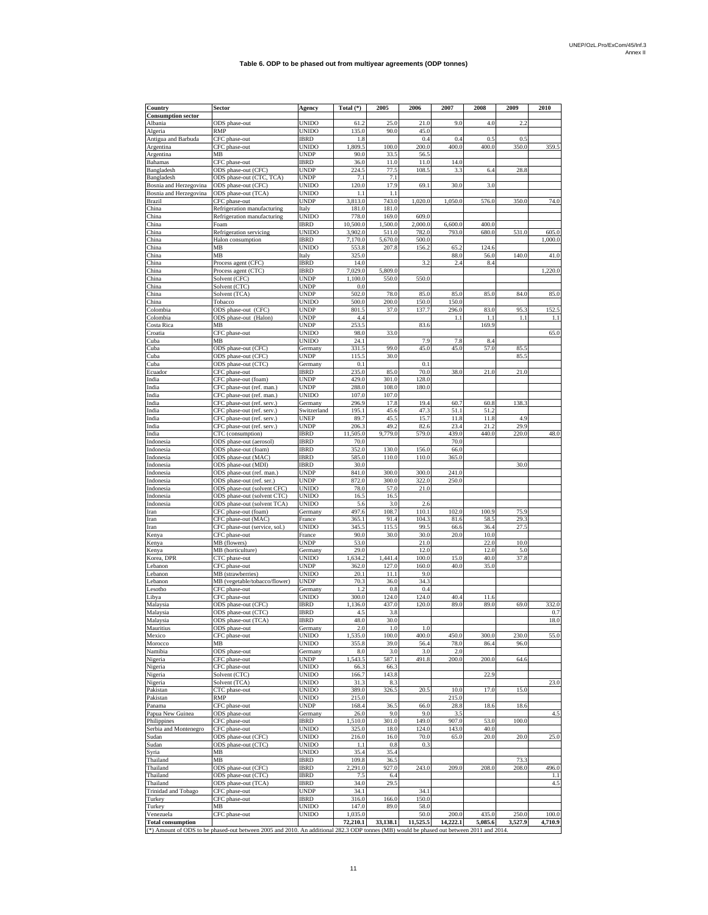| Country                              | Sector                                                                     | Agency                       | Total $(*)$       | 2005            | 2006                              | 2007           | 2008          | 2009          | 2010         |
|--------------------------------------|----------------------------------------------------------------------------|------------------------------|-------------------|-----------------|-----------------------------------|----------------|---------------|---------------|--------------|
| <b>Consumption sector</b><br>Albania | ODS phase-out                                                              | UNIDO                        | 61.2              | 25.0            | 21.0                              | 9.0            | 4.0           | 2.2           |              |
| Algeria                              | RMP                                                                        | <b>UNIDO</b>                 | 135.0             | 90.0            | 45.0                              |                |               |               |              |
| Antigua and Barbuda                  | CFC phase-out                                                              | <b>IBRD</b>                  | 1.8               |                 | 0.4                               | 0.4            | 0.5           | 0.5           |              |
| Argentina                            | CFC phase-out                                                              | <b>UNIDO</b>                 | 1,809.5           | 100.0           | 200.0                             | 400.0          | 400.0         | 350.0         | 359.5        |
| Argentina                            | MB                                                                         | <b>UNDP</b>                  | 90.0              | 33.5            | 56.5                              | 14.0           |               |               |              |
| Bahamas<br>Bangladesh                | CFC phase-out<br>ODS phase-out (CFC)                                       | <b>IBRD</b><br><b>UNDP</b>   | 36.0<br>224.5     | 11.0<br>77.5    | 11.0<br>108.5                     | 3.3            | 6.4           | 28.8          |              |
| Bangladesh                           | ODS phase-out (CTC, TCA)                                                   | <b>UNDP</b>                  | 7.1               | 7.1             |                                   |                |               |               |              |
| Bosnia and Herzegovina               | ODS phase-out (CFC)                                                        | UNIDO                        | 120.0             | 17.9            | 69.1                              | 30.0           | 3.0           |               |              |
| Bosnia and Herzegovina               | ODS phase-out (TCA)                                                        | <b>UNIDO</b>                 | 1.1               | 1.1             |                                   |                |               |               |              |
| Brazil<br>China                      | CFC phase-out                                                              | <b>UNDP</b><br>Italy         | 3,813.0<br>181.0  | 743.0<br>181.0  | 1,020.0                           | 1,050.0        | 576.0         | 350.0         | 74.0         |
| China                                | Refrigeration manufacturing<br>Refrigeration manufacturing                 | <b>UNIDO</b>                 | 778.0             | 169.0           | 609.0                             |                |               |               |              |
| China                                | Foam                                                                       | <b>IBRD</b>                  | 10,500.0          | 1,500.0         | 2,000.0                           | 6,600.0        | 400.0         |               |              |
| China                                | Refrigeration servicing                                                    | <b>UNIDO</b>                 | 3,902.0           | 511.0           | 782.0                             | 793.0          | 680.0         | 531.0         | 605.0        |
| China                                | Halon consumption                                                          | <b>IBRD</b>                  | 7,170.0           | 5,670.0         | 500.0                             |                |               |               | 1,000.0      |
| China                                | MВ                                                                         | UNIDO                        | 553.8             | 207.8           | 156.2                             | 65.2           | 124.6         | 140.0         |              |
| China<br>China                       | МB<br>Process agent (CFC)                                                  | Italy<br><b>IBRD</b>         | 325.0<br>14.0     |                 | 3.2                               | 88.0<br>2.4    | 56.0<br>8.4   |               | 41.0         |
| China                                | Process agent (CTC)                                                        | <b>IBRD</b>                  | 7,029.0           | 5,809.0         |                                   |                |               |               | 1,220.0      |
| China                                | Solvent (CFC)                                                              | <b>UNDP</b>                  | 1,100.0           | 550.0           | 550.0                             |                |               |               |              |
| China                                | Solvent (CTC)                                                              | <b>UNDP</b>                  | 0.0               |                 |                                   |                |               |               |              |
| China                                | Solvent (TCA)                                                              | <b>UNDP</b>                  | 502.0             | 78.0            | 85.0                              | 85.0           | 85.0          | 84.0          | 85.0         |
| China<br>Colombia                    | Tobacco<br>ODS phase-out (CFC)                                             | <b>UNIDO</b><br><b>UNDP</b>  | 500.0<br>801.5    | 200.0<br>37.0   | 150.0<br>137.7                    | 150.0<br>296.0 | 83.0          | 95.3          | 152.5        |
| Colombia                             | ODS phase-out (Halon)                                                      | UNDP                         | 4.4               |                 |                                   | 1.1            | 1.1           | 1.1           | $1.1\,$      |
| Costa Rica                           | MВ                                                                         | <b>UNDP</b>                  | 253.5             |                 | 83.6                              |                | 169.9         |               |              |
| Croatia                              | CFC phase-out                                                              | <b>UNIDO</b>                 | 98.0              | 33.0            |                                   |                |               |               | 65.0         |
| Cuba                                 | MВ                                                                         | UNIDO                        | 24.1              |                 | 7.9                               | 7.8            | 8.4           |               |              |
| Cuba                                 | ODS phase-out (CFC)                                                        | Germany                      | 331.5             | 99.0            | 45.0                              | 45.0           | 57.0          | 85.5          |              |
| Cuba                                 | ODS phase-out (CFC)                                                        | <b>UNDP</b><br>Germany       | 115.5<br>0.1      | 30.0            | 0.1                               |                |               | 85.5          |              |
| Cuba<br>Ecuador                      | ODS phase-out (CTC)<br>CFC phase-out                                       | <b>IBRD</b>                  | 235.0             | 85.0            | 70.0                              | 38.0           | 21.0          | 21.0          |              |
| India                                | CFC phase-out (foam)                                                       | <b>UNDP</b>                  | 429.0             | 301.0           | 128.0                             |                |               |               |              |
| India                                | CFC phase-out (ref. man.)                                                  | <b>UNDP</b>                  | 288.0             | 108.0           | 180.0                             |                |               |               |              |
| India                                | CFC phase-out (ref. man.)                                                  | <b>UNIDO</b>                 | 107.0             | 107.0           |                                   |                |               |               |              |
| India                                | CFC phase-out (ref. serv.)                                                 | Germany                      | 296.9             | 17.8            | 19.4                              | 60.7           | 60.8          | 138.3         |              |
| India                                | CFC phase-out (ref. serv.)                                                 | Switzerland                  | 195.1             | 45.6            | 47.3                              | 51.1           | 51.2          |               |              |
| India                                | CFC phase-out (ref. serv.)                                                 | <b>UNEP</b>                  | 89.7              | 45.5            | 15.7                              | 11.8           | 11.8          | 4.9           |              |
| India                                | CFC phase-out (ref. serv.)<br>CTC (consumption)                            | <b>UNDP</b><br><b>IBRD</b>   | 206.3<br>11,505.0 | 49.2<br>9,779.0 | 82.6<br>579.0                     | 23.4<br>439.0  | 21.2<br>440.0 | 29.9<br>220.0 | 48.0         |
| India<br>Indonesia                   | ODS phase-out (aerosol)                                                    | IBRD                         | 70.0              |                 |                                   | 70.0           |               |               |              |
| Indonesia                            | ODS phase-out (foam)                                                       | <b>IBRD</b>                  | 352.0             | 130.0           | 156.0                             | 66.0           |               |               |              |
| Indonesia                            | ODS phase-out (MAC)                                                        | <b>IBRD</b>                  | 585.0             | 110.0           | 110.0                             | 365.0          |               |               |              |
| Indonesia                            | ODS phase-out (MDI)                                                        | <b>IBRD</b>                  | 30.0              |                 |                                   |                |               | 30.0          |              |
| Indonesia                            | ODS phase-out (ref. man.)                                                  | <b>UNDP</b>                  | 841.0             | 300.0           | 300.0                             | 241.0          |               |               |              |
| Indonesia                            | ODS phase-out (ref. ser.)                                                  | <b>UNDP</b>                  | 872.0             | 300.0           | 322.0                             | 250.0          |               |               |              |
| Indonesia<br>Indonesia               | ODS phase-out (solvent CFC)<br>ODS phase-out (solvent CTC)                 | <b>UNIDO</b><br><b>UNIDO</b> | 78.0<br>16.5      | 57.0<br>16.5    | 21.0                              |                |               |               |              |
| Indonesia                            | ODS phase-out (solvent TCA)                                                | UNIDO                        | 5.6               | 3.0             | 2.6                               |                |               |               |              |
| Iran                                 | CFC phase-out (foam)                                                       | Germany                      | 497.6             | 108.7           | 110.1                             | 102.0          | 100.9         | 75.9          |              |
| Iran                                 | CFC phase-out (MAC)                                                        | France                       | 365.1             | 91.4            | 104.3                             | 81.6           | 58.5          | 29.3          |              |
| Iran                                 | CFC phase-out (service, sol.)                                              | <b>UNIDO</b>                 | 345.5             | 115.5           | 99.5                              | 66.6           | 36.4          | 27.5          |              |
| Kenya                                | CFC phase-out                                                              | France                       | 90.0              | 30.0            | 30.0                              | 20.0           | 10.0          |               |              |
| Kenya                                | $\overline{MB}$ (flowers)<br>MB (horticulture)                             | UNDP                         | 53.0              |                 | 21.0                              |                | 22.0          | 10.0          |              |
| Kenya<br>Korea, DPR                  | CTC phase-out                                                              | Germany<br><b>UNIDO</b>      | 29.0<br>1,634.2   | 1,441.4         | 12.0<br>100.0                     | 15.0           | 12.0<br>40.0  | 5.0<br>37.8   |              |
| Lebanon                              | CFC phase-out                                                              | <b>UNDP</b>                  | 362.0             | 127.0           | 160.0                             | 40.0           | 35.0          |               |              |
| Lebanon                              | MB (strawberries)                                                          | UNIDO                        | 20.1              | 11.1            | 9.0                               |                |               |               |              |
| Lebanon                              | MB (vegetable/tobacco/flower)                                              | <b>UNDP</b>                  | 70.3              | 36.0            | 34.3                              |                |               |               |              |
| Lesotho                              | CFC phase-out                                                              | Germany                      | 1.2               | 0.8             | 0.4                               |                |               |               |              |
| Libya                                | CFC phase-out                                                              | UNIDO                        | 300.0             | 124.0           | 124.0                             | 40.4           | 11.6          |               |              |
| Malaysia<br>Malaysia                 | ODS phase-out (CFC)<br>ODS phase-out (CTC)                                 | <b>IBRD</b><br><b>IBRD</b>   | 1,136.0<br>4.5    | 437.0<br>3.8    | 120.0                             | 89.0           | 89.0          | 69.0          | 332.0<br>0.7 |
| Malaysia                             | ODS phase-out (TCA)                                                        | <b>IBRD</b>                  | 48.0              | 30.0            |                                   |                |               |               | 18.0         |
| Mauritius                            | ODS phase-out                                                              | Germany                      | 2.0               | 1.0             | 1.0                               |                |               |               |              |
| Mexico                               | CFC phase-out                                                              | UNIDO                        | 535.0             | 100.0           | 400.0                             | 450.0          | 300.0         | 230.0         | 55.0         |
| Morocco                              | MВ                                                                         | UNIDO                        | 355.8             | 39.0            | 56.4                              | 78.0           | 86.4          | 96.0          |              |
| Namibia                              | ODS phase-out                                                              | Germany                      | 8.0               | 3.0             | 3.0                               | 2.0            |               |               |              |
| Nigeria                              | CFC phase-out                                                              | <b>UNDP</b>                  | 1,543.5           | 587.1           | 491.8                             | 200.0          | 200.0         | 64.6          |              |
| Nigeria<br>Nigeria                   | CFC phase-out<br>Solvent (CTC)                                             | UNIDO<br>UNIDO               | 66.3<br>166.7     | 66.3<br>143.8   |                                   |                | 22.9          |               |              |
| Nigeria                              | Solvent (TCA)                                                              | <b>UNIDO</b>                 | 31.3              | 8.3             |                                   |                |               |               | 23.0         |
| Pakistan                             | CTC phase-out                                                              | <b>UNIDO</b>                 | 389.0             | 326.5           | 20.5                              | 10.0           | 17.0          | 15.0          |              |
| Pakistan                             | RMP                                                                        | UNIDO                        | 215.0             |                 |                                   | 215.0          |               |               |              |
| Panama                               | CFC phase-out                                                              | UNDP                         | 168.4             | 36.5            | 66.0                              | 28.8           | 18.6          | 18.6          |              |
| Papua New Guinea                     | ODS phase-out                                                              | Germany                      | 26.0              | 9.0             | 9.0                               | 3.5            |               |               | 4.5          |
| Philippines                          | CFC phase-out                                                              | IBRD                         | 1,510.0           | 301.0           | 149.0                             | 907.0          | 53.0          | 100.0         |              |
| Serbia and Montenegro<br>Sudan       | CFC phase-out<br>ODS phase-out (CFC)                                       | <b>UNIDO</b><br>UNIDO        | 325.0<br>216.0    | 18.0<br>16.0    | 124.0<br>70.0                     | 143.0<br>65.0  | 40.0<br>20.0  | 20.0          | 25.0         |
| Sudan                                | ODS phase-out (CTC)                                                        | <b>UNIDO</b>                 | 1.1               | 0.8             | 0.3                               |                |               |               |              |
| Syria                                | MB                                                                         | <b>UNIDO</b>                 | 35.4              | 35.4            |                                   |                |               |               |              |
| Thailand                             | MB                                                                         | <b>IBRD</b>                  | 109.8             | 36.5            |                                   |                |               | 73.3          |              |
| Thailand                             | ODS phase-out (CFC)                                                        | <b>IBRD</b>                  | 2,291.0           | 927.0           | 243.0                             | 209.0          | 208.0         | 208.0         | 496.0        |
| Thailand                             | ODS phase-out (CTC)                                                        | <b>IBRD</b>                  | 7.5               | 6.4             |                                   |                |               |               | $1.1\,$      |
| Thailand                             | ODS phase-out (TCA)                                                        | <b>IBRD</b>                  | 34.0              | 29.5            |                                   |                |               |               | 4.5          |
| Trinidad and Tobago<br>Turkey        | CFC phase-out<br>CFC phase-out                                             | <b>UNDP</b><br><b>IBRD</b>   | 34.1<br>316.0     | 166.0           | 34.1<br>150.0                     |                |               |               |              |
| Turkey                               | МB                                                                         | <b>UNIDO</b>                 | 147.0             | 89.0            | 58.0                              |                |               |               |              |
| Venezuela                            | CFC phase-out                                                              | <b>UNIDO</b>                 | 1,035.0           |                 | 50.0                              | 200.0          | 435.0         | 250.0         | 100.0        |
| <b>Total consumption</b>             |                                                                            |                              | 72,210.1          | 33,138.1        | 11,525.5                          | 14,222.1       | 5,085.6       | 3,527.9       | 4,710.9      |
|                                      | (*) Amount of ODS to be phased-out between 2005 and 2010. An additional 28 |                              |                   |                 | 3 ODP tonnes (MB) would be phased | out between    | 2011 and 201  |               |              |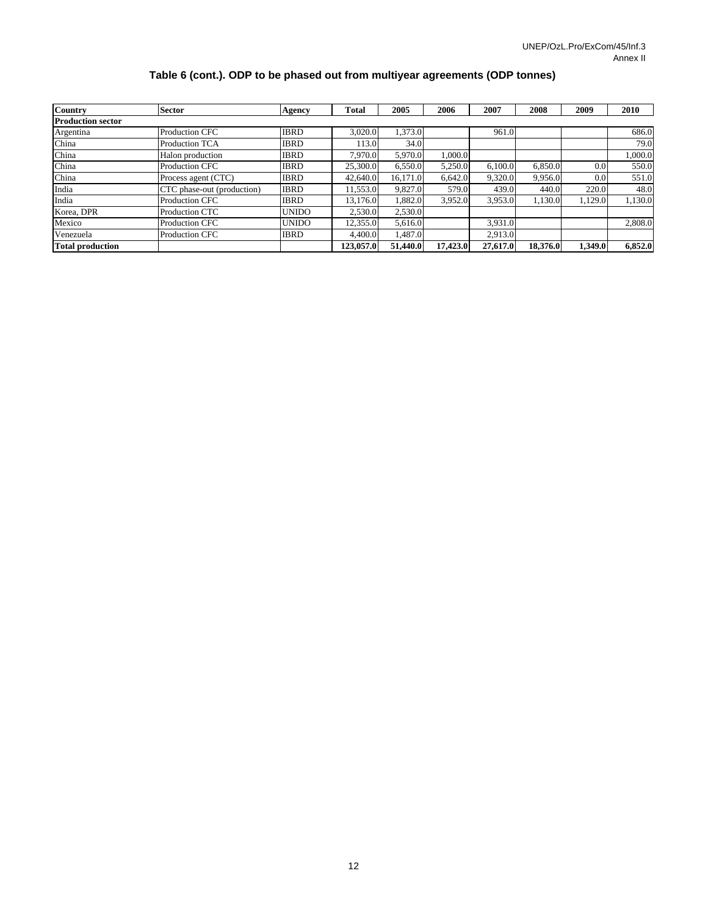#### **Table 6 (cont.). ODP to be phased out from multiyear agreements (ODP tonnes)**

| <b>Country</b>           | <b>Sector</b>              | Agency       | <b>Total</b> | 2005     | 2006     | 2007     | 2008     | 2009    | <b>2010</b> |
|--------------------------|----------------------------|--------------|--------------|----------|----------|----------|----------|---------|-------------|
| <b>Production sector</b> |                            |              |              |          |          |          |          |         |             |
| Argentina                | <b>Production CFC</b>      | <b>IBRD</b>  | 3.020.0      | 1.373.0  |          | 961.0    |          |         | 686.0       |
| China                    | <b>Production TCA</b>      | <b>IBRD</b>  | 113.0        | 34.0     |          |          |          |         | 79.0        |
| China                    | Halon production           | <b>IBRD</b>  | 7.970.0      | 5,970.0  | 1.000.0  |          |          |         | 0.000.0     |
| China                    | <b>Production CFC</b>      | <b>IBRD</b>  | 25,300.0     | 6,550.0  | 5.250.0  | 6,100.0  | 6.850.0  | 0.0     | 550.0       |
| China                    | Process agent (CTC)        | <b>IBRD</b>  | 42,640.0     | 16.171.0 | 6,642.0  | 9,320.0  | 9,956.0  | 0.0     | 551.0       |
| India                    | CTC phase-out (production) | <b>IBRD</b>  | 11.553.0     | 9,827.0  | 579.0    | 439.0    | 440.0    | 220.0   | 48.0        |
| India                    | <b>Production CFC</b>      | <b>IBRD</b>  | 13.176.0     | 1.882.0  | 3.952.0  | 3,953.0  | 1.130.0  | 1,129.0 | 1.130.0     |
| Korea, DPR               | <b>Production CTC</b>      | <b>UNIDO</b> | 2,530.0      | 2,530.0  |          |          |          |         |             |
| Mexico                   | <b>Production CFC</b>      | <b>UNIDO</b> | 12.355.0     | 5.616.0  |          | 3.931.0  |          |         | 2.808.0     |
| Venezuela                | <b>Production CFC</b>      | <b>IBRD</b>  | 4,400.0      | 1.487.0  |          | 2.913.0  |          |         |             |
| <b>Total production</b>  |                            |              | 123,057.0    | 51,440.0 | 17,423.0 | 27,617.0 | 18,376.0 | 1,349.0 | 6,852.0     |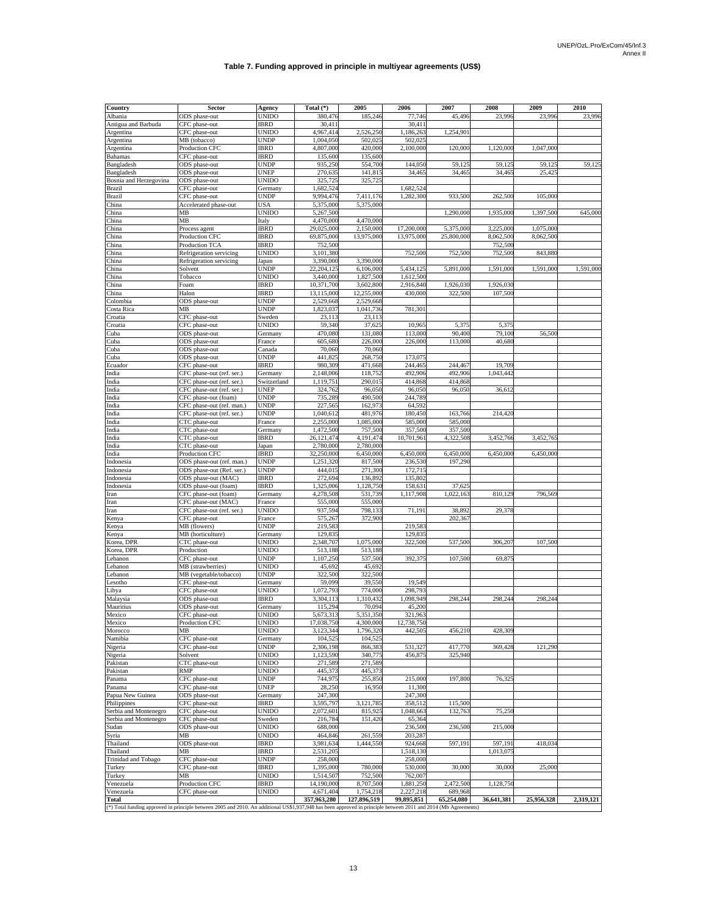#### **Table 7. Funding approved in principle in multiyear agreements (US\$)**

| Country                    | Sector                                                                                                                                                          | Agency               | Total $(*)$             | 2005                   | 2006                  | 2007       | 2008       | 2009       | 2010      |
|----------------------------|-----------------------------------------------------------------------------------------------------------------------------------------------------------------|----------------------|-------------------------|------------------------|-----------------------|------------|------------|------------|-----------|
| Albania                    | ODS phase-out                                                                                                                                                   | UNIDO                | 380,476                 | 185.246                | 77,746                | 45,496     | 23,996     | 23,996     | 23,996    |
| Antigua and Barbuda        | CFC phase-out                                                                                                                                                   | <b>IBRD</b>          | 30,411                  |                        | 30,411                |            |            |            |           |
| Argentina                  | CFC phase-out                                                                                                                                                   | UNIDO                | 4,967,414               | 2.526.25               | 1,186,26              | 1.254,901  |            |            |           |
| Argentina                  | MB (tobacco)                                                                                                                                                    | UNDP                 | 1,004,050               | 502,02:                | 502,02                |            |            |            |           |
| Argentina                  | Production CFC                                                                                                                                                  | <b>IBRD</b>          | 4,807,000               | 420,000                | 2,100,000             | 120,000    | 1,120,000  | 1,047,00   |           |
| <b>Bahamas</b>             | CFC phase-out                                                                                                                                                   | <b>IBRD</b>          | 135,600                 | 135,600                |                       |            |            |            |           |
| Bangladesh                 | ODS phase-out                                                                                                                                                   | UNDP                 | 935,250                 | 554,700                | 144,05                | 59,12:     | 59,12      | 59,12      | 59,125    |
| Bangladesh                 | ODS phase-out                                                                                                                                                   | UNEP                 | 270,635                 | 141,815                | 34,465                | 34,465     | 34,46:     | 25,42:     |           |
| Bosnia and Herzegovina     | ODS phase-out                                                                                                                                                   | UNIDO                | 325,725                 | 325,72:                |                       |            |            |            |           |
| <b>Brazil</b>              | CFC phase-out                                                                                                                                                   | Germany              | 1,682,524               |                        | 1,682,52              |            |            |            |           |
| <b>Brazil</b>              | CFC phase-out                                                                                                                                                   | UNDP                 | 9,994,476               | 7,411,176              | 1,282,300             | 933,500    | 262,500    | 105,00     |           |
| China<br>China             | Accelerated phase-out<br>MВ                                                                                                                                     | USA<br>UNIDO         | 5,375,000<br>5,267,500  | 5,375,000              |                       | 1,290,00   | 1,935,00   | 1,397,50   | 645,000   |
| China                      | MВ                                                                                                                                                              | Italy                | 4,470,000               | 4,470,00               |                       |            |            |            |           |
| China                      | Process agent                                                                                                                                                   | <b>IBRD</b>          | 29,025,000              | 2,150,000              | 17,200,000            | 5,375,000  | 3,225,000  | 1,075,000  |           |
| China                      | Production CFC                                                                                                                                                  | <b>IBRD</b>          | 69,875,00               | 13,975,00              | 13,975,00             | 25,800,00  | 8,062,50   | 8,062,50   |           |
| China                      | Production TCA                                                                                                                                                  | IBRD                 | 752,500                 |                        |                       |            | 752,50     |            |           |
| China                      | Refrigeration servicing                                                                                                                                         | UNIDO                | 3,101,380               |                        | 752,500               | 752,500    | 752,500    | 843,880    |           |
| China                      | Refrigeration servicing                                                                                                                                         | Japan                | 3,390,000               | 3,390,00               |                       |            |            |            |           |
| China                      | Solvent                                                                                                                                                         | UNDP                 | 22,204,125              | 6,106,00               | 5,434,12:             | 5,891,00   | 1,591,000  | 1,591,00   | 1,591,000 |
| China                      | Tobacco                                                                                                                                                         | UNIDO                | 3,440,000               | 1,827,500              | 1,612,500             |            |            |            |           |
| China                      | Foam                                                                                                                                                            | <b>IBRD</b>          | 10,371,700              | 3,602,80               | 2,916,840             | 1,926,030  | 1,926,030  |            |           |
| China                      | Halon                                                                                                                                                           | IBRD                 | 13,115,000              | 12,255,00              | 430,000               | 322,500    | 107,500    |            |           |
| Colombia                   | ODS phase-out                                                                                                                                                   | <b>UNDP</b>          | 2,529,668               | 2,529,668              |                       |            |            |            |           |
| Costa Rica                 | MВ                                                                                                                                                              | UNDF                 | 1,823,037               | 1,041,73               | 781,301               |            |            |            |           |
| Croatia                    | CFC phase-out                                                                                                                                                   | Sweden               | 23,113                  | 23,113                 |                       |            |            |            |           |
| Croatia                    | CFC phase-out                                                                                                                                                   | UNIDO                | 59,340                  | 37,62:                 | 10,965                | 5,37:      | 5,375      |            |           |
| Cuba                       | ODS phase-out                                                                                                                                                   | Germany              | 470,080                 | 131,08                 | 113,000               | 90,40      | 79,100     | 56,50      |           |
| Cuba                       | ODS phase-out                                                                                                                                                   | France               | 605,680                 | 226,00                 | 226,000               | 113,000    | 40,680     |            |           |
| Cuba<br>Cuba               | ODS phase-out<br>ODS phase-out                                                                                                                                  | Canada<br>UNDP       | 70,060<br>441,825       | 70,060<br>268,75       | 173,07                |            |            |            |           |
| Ecuador                    | CFC phase-out                                                                                                                                                   | IBRD                 | 980,309                 | 471,66                 | 244,46                | 244,46     | 19,709     |            |           |
| India                      | CFC phase-out (ref. ser.)                                                                                                                                       | Germany              | 2,148,006               | 118,752                | 492,906               | 492,906    | 1,043,442  |            |           |
| India                      | CFC phase-out (ref. ser.)                                                                                                                                       | Switzerland          | 1,119,751               | 290,01                 | 414,86                | 414,868    |            |            |           |
| India                      | CFC phase-out (ref. ser.)                                                                                                                                       | UNEP                 | 324,762                 | 96,05                  | 96,05                 | 96,050     | 36,61      |            |           |
| India                      | CFC phase-out (foam)                                                                                                                                            | UNDP                 | 735,289                 | 490,50                 | 244,789               |            |            |            |           |
| India                      | CFC phase-out (ref. man.)                                                                                                                                       | UNDF                 | 227,565                 | 162,97.                | 64,592                |            |            |            |           |
| India                      | CFC phase-out (ref. ser.)                                                                                                                                       | UNDP                 | 1,040,612               | 481,97                 | 180,45                | 163,76     | 214,42     |            |           |
| India                      | CTC phase-out                                                                                                                                                   | France               | 2,255,000               | 1,085,000              | 585,000               | 585,00     |            |            |           |
| India                      | CTC phase-out                                                                                                                                                   | Germany              | 1,472,500               | 757,500                | 357,500               | 357,500    |            |            |           |
| India                      | CTC phase-out                                                                                                                                                   | <b>IBRD</b>          | 26,121,474              | 4,191,47               | 10,701,96             | 4,322,50   | 3,452,76   | 3,452,76   |           |
| India                      | CTC phase-out                                                                                                                                                   | Japan                | 2,780,000               | 2,780,00               |                       |            |            |            |           |
| India                      | Production CFC                                                                                                                                                  | <b>IBRD</b>          | 32,250,000              | 6,450,00               | 6,450,000             | 6,450,000  | 6,450,000  | 6,450,00   |           |
| Indonesia                  | ODS phase-out (ref. man.)                                                                                                                                       | UNDF                 | 1,251,320               | 817,50                 | 236,53                | 197,290    |            |            |           |
| Indonesia                  | ODS phase-out (Ref. ser.)                                                                                                                                       | UNDP                 | 444,015                 | 271,30                 | 172,71:               |            |            |            |           |
| Indonesia                  | ODS phase-out (MAC)                                                                                                                                             | <b>IBRD</b>          | 272,694                 | 136,892                | 135,802               |            |            |            |           |
| Indonesia                  | ODS phase-out (foam)                                                                                                                                            | <b>IBRD</b>          | 1,325,006               | 1,128,750              | 158,63                | 37,62      |            |            |           |
| Iran<br>Iran               | CFC phase-out (foam)                                                                                                                                            | Germany              | 4,278,508<br>555,000    | 531,73<br>555,000      | 1,117,908             | 1,022,163  | 810,129    | 796,56     |           |
| Iran                       | CFC phase-out (MAC)<br>CFC phase-out (ref. ser.)                                                                                                                | France<br>UNIDO      | 937,594                 | 798,13                 | 71,191                | 38,89      | 29,378     |            |           |
| Kenya                      | CFC phase-out                                                                                                                                                   | France               | 575,267                 | 372,900                |                       | 202,367    |            |            |           |
| Kenya                      | MB (flowers)                                                                                                                                                    | <b>UNDP</b>          | 219,583                 |                        | 219,58                |            |            |            |           |
| Kenya                      | MB (horticulture)                                                                                                                                               | Germany              | 129,835                 |                        | 129,83                |            |            |            |           |
| Korea, DPR                 | CTC phase-out                                                                                                                                                   | UNIDO                | 2,348,707               | 1,075,000              | 322,500               | 537,500    | 306,207    | 107,50     |           |
| Korea, DPR                 | Production                                                                                                                                                      | UNIDO                | 513,188                 | 513,188                |                       |            |            |            |           |
| Lebanon                    | CFC phase-out                                                                                                                                                   | <b>UNDP</b>          | 1,107,250               | 537,50                 | 392,37                | 107,500    | 69,87      |            |           |
| Lebanon                    | MB (strawberries)                                                                                                                                               | UNIDO                | 45,692                  | 45,69                  |                       |            |            |            |           |
| Lebanon                    | MB (vegetable/tobacco)                                                                                                                                          | UNDP                 | 322,500                 | 322,500                |                       |            |            |            |           |
| Lesotho                    | CFC phase-out                                                                                                                                                   | Germany              | 59,099                  | 39,550                 | 19,549                |            |            |            |           |
| .ibya                      | CFC phase-out                                                                                                                                                   | UNIDO                | 1,072,793               | 774,00                 | 298,793               |            |            |            |           |
| Malaysia                   | ODS phase-out                                                                                                                                                   | IBRD                 | 3,304,113               | 1,310,43               | 1,098,949             | 298,244    | 298,244    | 298,24     |           |
| Mauritius                  | ODS phase-out                                                                                                                                                   | Germany              | 115,294                 | 70,094                 | 45,200                |            |            |            |           |
| Mexico                     | CFC phase-out                                                                                                                                                   | <b>UNIDO</b>         | 5,673,313               | 5,351,350              | 321,963               |            |            |            |           |
| Mexico<br>Morocco          | Production CFC<br>MВ                                                                                                                                            | UNIDO<br>UNIDO       | 17,038,750<br>3.123.344 | 4,300,000<br>1,796,320 | 12,738,750<br>442,505 | 456,210    | 428,309    |            |           |
| Namibia                    | CFC phase-out                                                                                                                                                   | Germany              | 104,525                 | 104,525                |                       |            |            |            |           |
| Nigeria                    | CFC phase-out                                                                                                                                                   | UNDP                 | 2,306,198               | 866,38                 | 531,327               | 417,770    | 369,428    | 121,290    |           |
| Nigeria                    | Solvent                                                                                                                                                         | UNIDO                | 1,123,590               | 340,77:                | 456,875               | 325,940    |            |            |           |
| Pakistan                   | CTC phase-out                                                                                                                                                   | UNIDO                | 271,589                 | 271,589                |                       |            |            |            |           |
| Pakistan                   | <b>RMP</b>                                                                                                                                                      | <b>UNIDO</b>         | 445.373                 | 445,373                |                       |            |            |            |           |
| Panama                     | CFC phase-out                                                                                                                                                   | <b>UNDP</b>          | 744,975                 | 255,850                | 215,000               | 197,800    | 76,32:     |            |           |
| Panama                     | CFC phase-out                                                                                                                                                   | UNEP                 | 28,250                  | 16,950                 | 11,300                |            |            |            |           |
| Papua New Guinea           | ODS phase-out                                                                                                                                                   | Germany              | 247,300                 |                        | 247,300               |            |            |            |           |
| Philippines                | CFC phase-out                                                                                                                                                   | IBRD                 | 3,595,797               | 3,121,785              | 358,512               | 115,500    |            |            |           |
| Serbia and Montenegro      | CFC phase-out                                                                                                                                                   | UNIDO                | 2,072,601               | 815,92                 | 1,048,663             | 132,763    | 75,250     |            |           |
| Serbia and Montenegro      | CFC phase-out                                                                                                                                                   | Sweden               | 216,784                 | 151,420                | 65,364                |            |            |            |           |
| Sudan                      | ODS phase-out                                                                                                                                                   | UNIDO                | 688,000                 |                        | 236,500               | 236,500    | 215,000    |            |           |
| Syria                      | MВ                                                                                                                                                              | <b>UNIDO</b>         | 464,846                 | 261,559                | 203,287               |            |            |            |           |
| Thailand                   | ODS phase-out                                                                                                                                                   | IBRD                 | 3,981,634               | 1,444,550              | 924,668               | 597,191    | 597,191    | 418,03     |           |
| Thailand                   | МB                                                                                                                                                              | <b>IBRD</b>          | 2,531,205               |                        | 1,518,130             |            | 1,013,075  |            |           |
| <b>Trinidad and Tobago</b> | CFC phase-out                                                                                                                                                   | <b>UNDP</b>          | 258,000                 |                        | 258,000               |            |            |            |           |
| Turkey                     | CFC phase-out<br>МB                                                                                                                                             | IBRD                 | 1,395,000               | 780,000                | 530,000               | 30,000     | 30,000     | 25,000     |           |
| Turkey<br>Venezuela        | Production CFC                                                                                                                                                  | UNIDO<br><b>IBRD</b> | 1,514,507<br>14,190,000 | 752,500<br>8,707,500   | 762,007<br>1,881,250  | 2,472,500  | 1,128,750  |            |           |
| Venezuela                  | CFC phase-out                                                                                                                                                   | UNIDO                | 4,671,404               | 1,754,218              | 2,227,218             | 689,968    |            |            |           |
| Total                      |                                                                                                                                                                 |                      | 357,963,280             | 127,896,519            | 99,895,851            | 65,254,080 | 36,641,381 | 25,956,328 | 2,319,121 |
|                            | (*) Total funding approved in principle between 2005 and 2010. An additional US\$1,937,948 has been approved in principle between 2011 and 2014 (Mb Agreements) |                      |                         |                        |                       |            |            |            |           |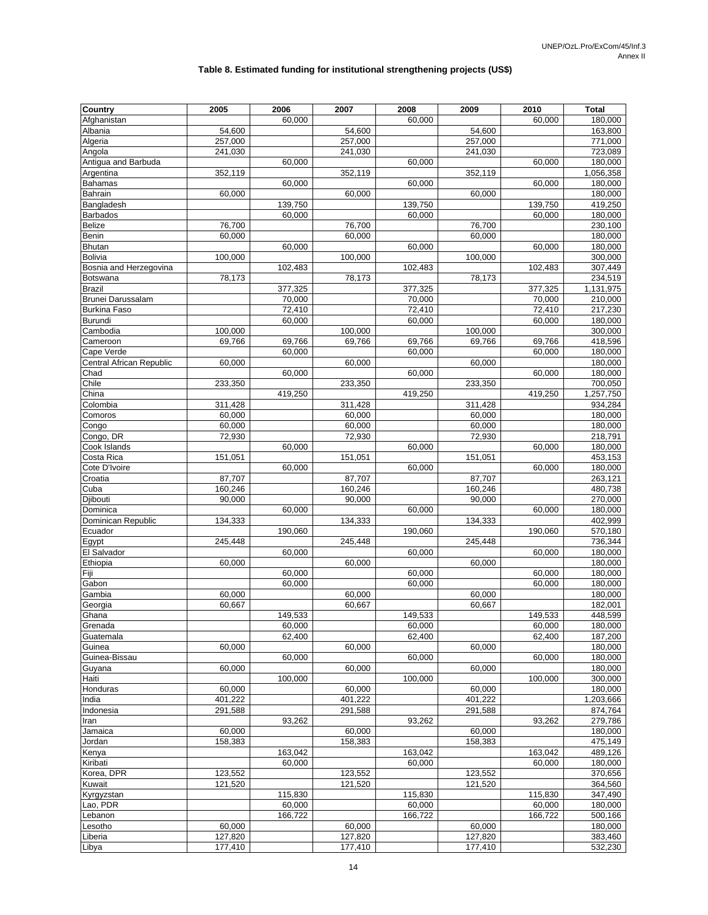#### **Table 8. Estimated funding for institutional strengthening projects (US\$)**

| Country                          | 2005              | 2006             | 2007              | 2008             | 2009              | 2010             | <b>Total</b>       |
|----------------------------------|-------------------|------------------|-------------------|------------------|-------------------|------------------|--------------------|
| Afghanistan                      |                   | 60,000           |                   | 60.000           |                   | 60,000           | 180,000            |
| Albania                          | 54,600            |                  | 54,600            |                  | 54,600            |                  | 163,800            |
| Algeria                          | 257,000           |                  | 257,000           |                  | 257,000           |                  | 771,000            |
| Angola                           | 241,030           |                  | 241,030           |                  | 241,030           |                  | 723,089            |
| Antiqua and Barbuda              |                   | 60,000           |                   | 60,000           |                   | 60.000           | 180,000            |
| Argentina                        | 352,119           |                  | 352,119           |                  | 352,119           |                  | 1,056,358          |
| <b>Bahamas</b><br><b>Bahrain</b> | 60,000            | 60,000           | 60,000            | 60,000           | 60,000            | 60,000           | 180,000<br>180,000 |
| Bangladesh                       |                   | 139,750          |                   | 139,750          |                   | 139,750          | 419,250            |
| <b>Barbados</b>                  |                   | 60,000           |                   | 60,000           |                   | 60,000           | 180,000            |
| Belize                           | 76,700            |                  | 76,700            |                  | 76,700            |                  | 230,100            |
| Benin                            | 60,000            |                  | 60,000            |                  | 60,000            |                  | 180,000            |
| <b>Bhutan</b>                    |                   | 60.000           |                   | 60,000           |                   | 60,000           | 180,000            |
| <b>Bolivia</b>                   | 100,000           |                  | 100,000           |                  | 100,000           |                  | 300,000            |
| Bosnia and Herzegovina           |                   | 102,483          |                   | 102,483          |                   | 102,483          | 307,449            |
| Botswana                         | 78,173            |                  | 78,173            |                  | 78,173            |                  | 234,519            |
| <b>Brazil</b>                    |                   | 377,325          |                   | 377,325          |                   | 377,325          | 1,131,975          |
| Brunei Darussalam                |                   | 70,000           |                   | 70,000           |                   | 70,000           | 210,000            |
| <b>Burkina Faso</b>              |                   | 72,410           |                   | 72,410           |                   | 72,410           | 217,230            |
| Burundi<br>Cambodia              |                   | 60,000           |                   | 60,000           |                   | 60,000           | 180,000            |
| Cameroon                         | 100,000<br>69.766 | 69,766           | 100,000<br>69,766 | 69,766           | 100,000<br>69,766 | 69,766           | 300,000<br>418,596 |
| Cape Verde                       |                   | 60,000           |                   | 60,000           |                   | 60,000           | 180,000            |
| Central African Republic         | 60,000            |                  | 60,000            |                  | 60,000            |                  | 180,000            |
| Chad                             |                   | 60.000           |                   | 60,000           |                   | 60,000           | 180,000            |
| Chile                            | 233,350           |                  | 233,350           |                  | 233,350           |                  | 700,050            |
| China                            |                   | 419,250          |                   | 419,250          |                   | 419,250          | 1,257,750          |
| Colombia                         | 311,428           |                  | 311,428           |                  | 311,428           |                  | 934,284            |
| Comoros                          | 60,000            |                  | 60,000            |                  | 60,000            |                  | 180,000            |
| Congo                            | 60,000            |                  | 60,000            |                  | 60,000            |                  | 180,000            |
| Congo, DR                        | 72,930            |                  | 72,930            |                  | 72,930            |                  | 218,791            |
| Cook Islands                     |                   | 60,000           |                   | 60,000           |                   | 60,000           | 180,000            |
| Costa Rica                       | 151,051           |                  | 151,051           |                  | 151,051           |                  | 453,153            |
| Cote D'Ivoire                    |                   | 60,000           |                   | 60,000           |                   | 60,000           | 180,000            |
| Croatia<br>Cuba                  | 87,707<br>160,246 |                  | 87,707<br>160,246 |                  | 87,707<br>160,246 |                  | 263,121<br>480,738 |
| Djibouti                         | 90,000            |                  | 90,000            |                  | 90,000            |                  | 270,000            |
| Dominica                         |                   | 60,000           |                   | 60,000           |                   | 60,000           | 180,000            |
| Dominican Republic               | 134,333           |                  | 134,333           |                  | 134,333           |                  | 402,999            |
| Ecuador                          |                   | 190,060          |                   | 190,060          |                   | 190,060          | 570,180            |
| Egypt                            | 245,448           |                  | 245,448           |                  | 245,448           |                  | 736,344            |
| El Salvador                      |                   | 60,000           |                   | 60,000           |                   | 60,000           | 180,000            |
| Ethiopia                         | 60,000            |                  | 60,000            |                  | 60,000            |                  | 180,000            |
| Fiji                             |                   | 60,000           |                   | 60,000           |                   | 60,000           | 180,000            |
| Gabon                            |                   | 60,000           |                   | 60,000           |                   | 60,000           | 180,000            |
| Gambia                           | 60,000            |                  | 60,000            |                  | 60,000            |                  | 180,000            |
| Georgia                          | 60,667            | 149.533          | 60,667            | 149.533          | 60.667            |                  | 182,001            |
| Ghana                            |                   |                  |                   |                  |                   | 149,533          | 448,599            |
| Grenada<br>Guatemala             |                   | 60,000<br>62.400 |                   | 60,000<br>62.400 |                   | 60,000<br>62,400 | 180,000<br>187,200 |
| Guinea                           | 60,000            |                  | 60,000            |                  | 60,000            |                  | 180,000            |
| Guinea-Bissau                    |                   | 60,000           |                   | 60,000           |                   | 60,000           | 180,000            |
| Guyana                           | 60,000            |                  | 60,000            |                  | 60,000            |                  | 180,000            |
| Haiti                            |                   | 100,000          |                   | 100,000          |                   | 100,000          | 300,000            |
| Honduras                         | 60,000            |                  | 60,000            |                  | 60,000            |                  | 180,000            |
| India                            | 401,222           |                  | 401,222           |                  | 401,222           |                  | 1,203,666          |
| Indonesia                        | 291,588           |                  | 291,588           |                  | 291,588           |                  | 874,764            |
| Iran                             |                   | 93,262           |                   | 93,262           |                   | 93,262           | 279,786            |
| Jamaica                          | 60,000            |                  | 60,000            |                  | 60,000            |                  | 180,000            |
| Jordan                           | 158,383           |                  | 158,383           |                  | 158,383           |                  | 475,149            |
| Kenya                            |                   | 163,042          |                   | 163,042          |                   | 163,042          | 489,126            |
| Kiribati<br>Korea, DPR           | 123,552           | 60,000           | 123,552           | 60,000           | 123,552           | 60,000           | 180,000<br>370,656 |
| Kuwait                           | 121,520           |                  | 121,520           |                  | 121,520           |                  | 364,560            |
| Kyrgyzstan                       |                   | 115,830          |                   | 115,830          |                   | 115,830          | 347,490            |
| Lao, PDR                         |                   | 60,000           |                   | 60,000           |                   | 60,000           | 180,000            |
| Lebanon                          |                   | 166,722          |                   | 166,722          |                   | 166,722          | 500,166            |
| Lesotho                          | 60,000            |                  | 60,000            |                  | 60,000            |                  | 180,000            |
| Liberia                          | 127,820           |                  | 127,820           |                  | 127,820           |                  | 383,460            |
| Libya                            | 177,410           |                  | 177,410           |                  | 177,410           |                  | 532,230            |